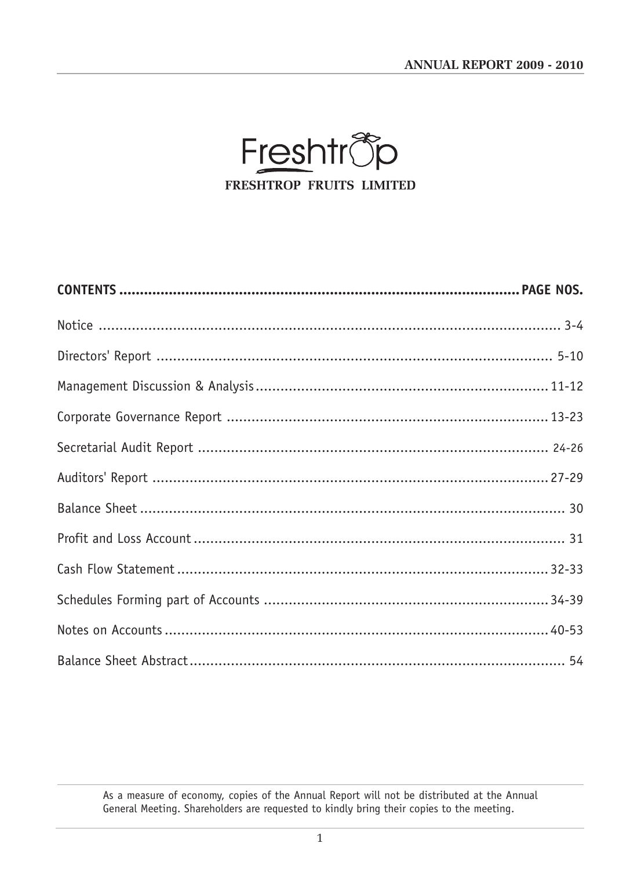ANNUAL REPORT 2009 - 2010



As a measure of economy, copies of the Annual Report will not be distributed at the Annual General Meeting. Shareholders are requested to kindly bring their copies to the meeting.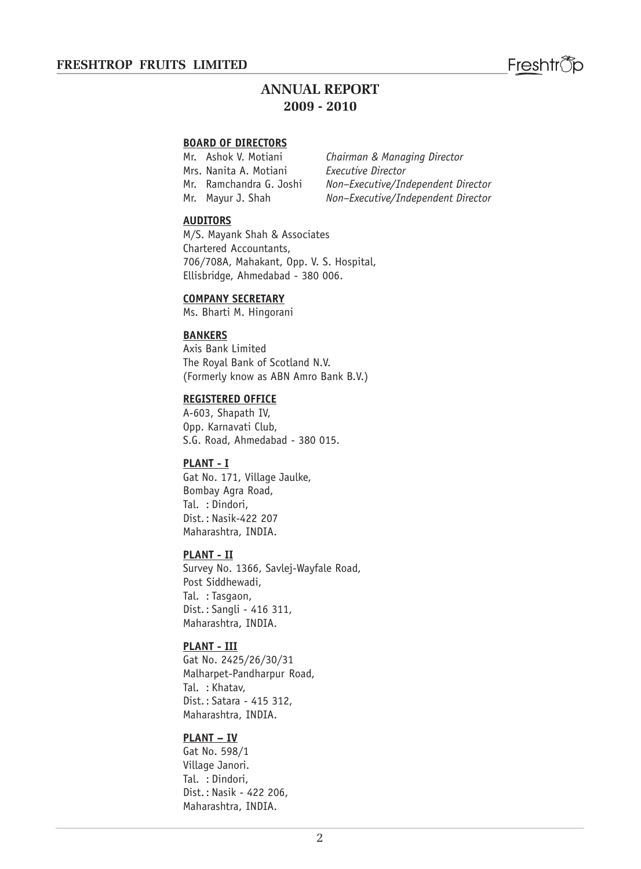# **ANNUAL REPORT 2009 - 2010**

#### **BOARD OF DIRECTORS**

Mrs. Nanita A. Motiani *Executive Director*

Mr. Ashok V. Motiani *Chairman & Managing Director* Mr. Ramchandra G. Joshi *Non–Executive/Independent Director* Mr. Mayur J. Shah *Non–Executive/Independent Director*

#### **AUDITORS**

M/S. Mayank Shah & Associates Chartered Accountants, 706/708A, Mahakant, Opp. V. S. Hospital, Ellisbridge, Ahmedabad - 380 006.

#### **COMPANY SECRETARY**

Ms. Bharti M. Hingorani

#### **BANKERS**

Axis Bank Limited The Royal Bank of Scotland N.V. (Formerly know as ABN Amro Bank B.V.)

#### **REGISTERED OFFICE**

A-603, Shapath IV, Opp. Karnavati Club, S.G. Road, Ahmedabad - 380 015.

#### **PLANT - I**

Gat No. 171, Village Jaulke, Bombay Agra Road, Tal. : Dindori, Dist.: Nasik-422 207 Maharashtra, INDIA.

#### **PLANT - II**

Survey No. 1366, Savlej-Wayfale Road, Post Siddhewadi, Tal. : Tasgaon, Dist.: Sangli - 416 311, Maharashtra, INDIA.

#### **PLANT - III**

Gat No. 2425/26/30/31 Malharpet-Pandharpur Road, Tal. : Khatav, Dist.: Satara - 415 312, Maharashtra, INDIA.

#### **PLANT – IV**

Gat No. 598/1 Village Janori. Tal. : Dindori, Dist.: Nasik - 422 206, Maharashtra, INDIA.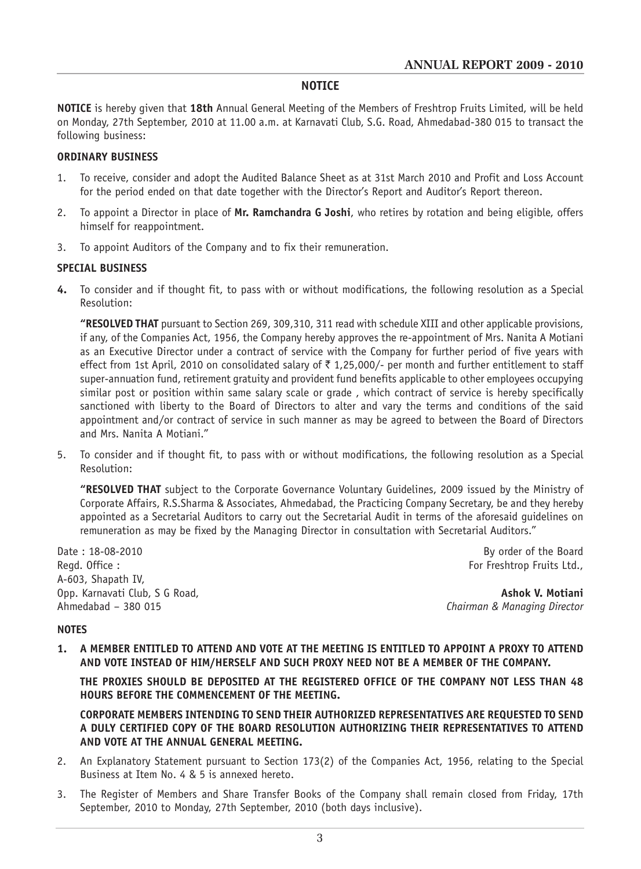#### **NOTICE**

**NOTICE** is hereby given that **18th** Annual General Meeting of the Members of Freshtrop Fruits Limited, will be held on Monday, 27th September, 2010 at 11.00 a.m. at Karnavati Club, S.G. Road, Ahmedabad-380 015 to transact the following business:

#### **ORDINARY BUSINESS**

- 1. To receive, consider and adopt the Audited Balance Sheet as at 31st March 2010 and Profit and Loss Account for the period ended on that date together with the Director's Report and Auditor's Report thereon.
- 2. To appoint a Director in place of **Mr. Ramchandra G Joshi**, who retires by rotation and being eligible, offers himself for reappointment.
- 3. To appoint Auditors of the Company and to fix their remuneration.

#### **SPECIAL BUSINESS**

**4.** To consider and if thought fit, to pass with or without modifications, the following resolution as a Special Resolution:

**"RESOLVED THAT** pursuant to Section 269, 309,310, 311 read with schedule XIII and other applicable provisions, if any, of the Companies Act, 1956, the Company hereby approves the re-appointment of Mrs. Nanita A Motiani as an Executive Director under a contract of service with the Company for further period of five years with effect from 1st April, 2010 on consolidated salary of  $\bar{\tau}$  1,25,000/- per month and further entitlement to staff super-annuation fund, retirement gratuity and provident fund benefits applicable to other employees occupying similar post or position within same salary scale or grade , which contract of service is hereby specifically sanctioned with liberty to the Board of Directors to alter and vary the terms and conditions of the said appointment and/or contract of service in such manner as may be agreed to between the Board of Directors and Mrs. Nanita A Motiani."

5. To consider and if thought fit, to pass with or without modifications, the following resolution as a Special Resolution:

**"RESOLVED THAT** subject to the Corporate Governance Voluntary Guidelines, 2009 issued by the Ministry of Corporate Affairs, R.S.Sharma & Associates, Ahmedabad, the Practicing Company Secretary, be and they hereby appointed as a Secretarial Auditors to carry out the Secretarial Audit in terms of the aforesaid guidelines on remuneration as may be fixed by the Managing Director in consultation with Secretarial Auditors."

Date : 18-08-2010 By order of the Board Regd. Office : For Freshtrop Fruits Ltd., A-603, Shapath IV, Opp. Karnavati Club, S G Road, **Ashok V. Motiani** Club, S G Road, **Ashok V. Motiani** Chairman & Managing Director

Ahmedabad – 380 015 *Chairman & Managing Director*

#### **NOTES**

**1. A MEMBER ENTITLED TO ATTEND AND VOTE AT THE MEETING IS ENTITLED TO APPOINT A PROXY TO ATTEND AND VOTE INSTEAD OF HIM/HERSELF AND SUCH PROXY NEED NOT BE A MEMBER OF THE COMPANY.**

**THE PROXIES SHOULD BE DEPOSITED AT THE REGISTERED OFFICE OF THE COMPANY NOT LESS THAN 48 HOURS BEFORE THE COMMENCEMENT OF THE MEETING.**

**CORPORATE MEMBERS INTENDING TO SEND THEIR AUTHORIZED REPRESENTATIVES ARE REQUESTED TO SEND A DULY CERTIFIED COPY OF THE BOARD RESOLUTION AUTHORIZING THEIR REPRESENTATIVES TO ATTEND AND VOTE AT THE ANNUAL GENERAL MEETING.**

- 2. An Explanatory Statement pursuant to Section 173(2) of the Companies Act, 1956, relating to the Special Business at Item No. 4 & 5 is annexed hereto.
- 3. The Register of Members and Share Transfer Books of the Company shall remain closed from Friday, 17th September, 2010 to Monday, 27th September, 2010 (both days inclusive).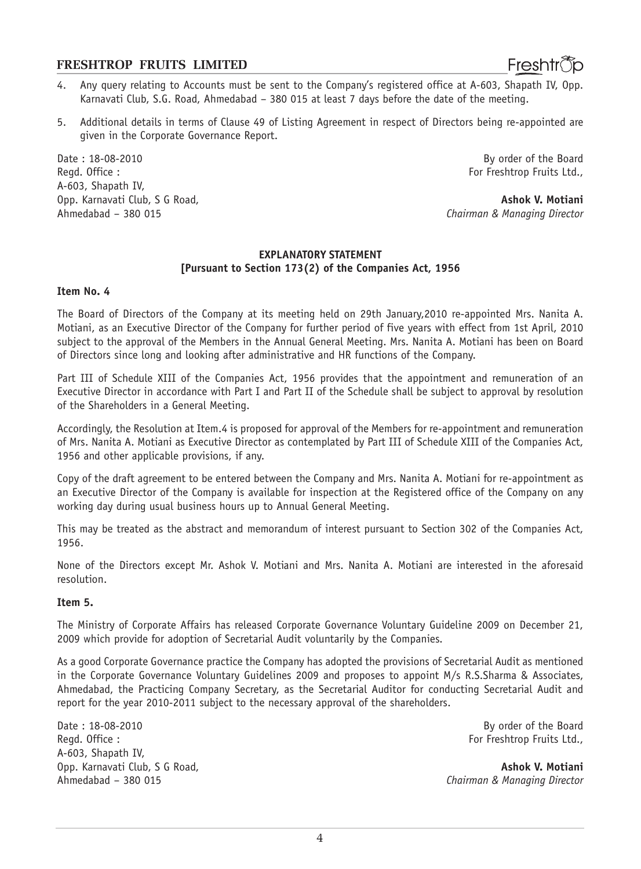- 4. Any query relating to Accounts must be sent to the Company's registered office at A-603, Shapath IV, Opp. Karnavati Club, S.G. Road, Ahmedabad – 380 015 at least 7 days before the date of the meeting.
- 5. Additional details in terms of Clause 49 of Listing Agreement in respect of Directors being re-appointed are given in the Corporate Governance Report.

Date : 18-08-2010 By order of the Board Regd. Office : For Freshtrop Fruits Ltd., A-603, Shapath IV, Opp. Karnavati Club, S G Road, **Ashok V. Motiani** Ahmedabad – 380 015 *Chairman & Managing Director*

Freshtrop

#### **EXPLANATORY STATEMENT [Pursuant to Section 173(2) of the Companies Act, 1956**

#### **Item No. 4**

The Board of Directors of the Company at its meeting held on 29th January,2010 re-appointed Mrs. Nanita A. Motiani, as an Executive Director of the Company for further period of five years with effect from 1st April, 2010 subject to the approval of the Members in the Annual General Meeting. Mrs. Nanita A. Motiani has been on Board of Directors since long and looking after administrative and HR functions of the Company.

Part III of Schedule XIII of the Companies Act, 1956 provides that the appointment and remuneration of an Executive Director in accordance with Part I and Part II of the Schedule shall be subject to approval by resolution of the Shareholders in a General Meeting.

Accordingly, the Resolution at Item.4 is proposed for approval of the Members for re-appointment and remuneration of Mrs. Nanita A. Motiani as Executive Director as contemplated by Part III of Schedule XIII of the Companies Act, 1956 and other applicable provisions, if any.

Copy of the draft agreement to be entered between the Company and Mrs. Nanita A. Motiani for re-appointment as an Executive Director of the Company is available for inspection at the Registered office of the Company on any working day during usual business hours up to Annual General Meeting.

This may be treated as the abstract and memorandum of interest pursuant to Section 302 of the Companies Act, 1956.

None of the Directors except Mr. Ashok V. Motiani and Mrs. Nanita A. Motiani are interested in the aforesaid resolution.

#### **Item 5.**

The Ministry of Corporate Affairs has released Corporate Governance Voluntary Guideline 2009 on December 21, 2009 which provide for adoption of Secretarial Audit voluntarily by the Companies.

As a good Corporate Governance practice the Company has adopted the provisions of Secretarial Audit as mentioned in the Corporate Governance Voluntary Guidelines 2009 and proposes to appoint M/s R.S.Sharma & Associates, Ahmedabad, the Practicing Company Secretary, as the Secretarial Auditor for conducting Secretarial Audit and report for the year 2010-2011 subject to the necessary approval of the shareholders.

Date : 18-08-2010 By order of the Board A-603, Shapath IV, Opp. Karnavati Club, S G Road, **Ashok V. Motiani** Ahmedabad – 380 015 *Chairman & Managing Director*

For Freshtrop Fruits Ltd.,

4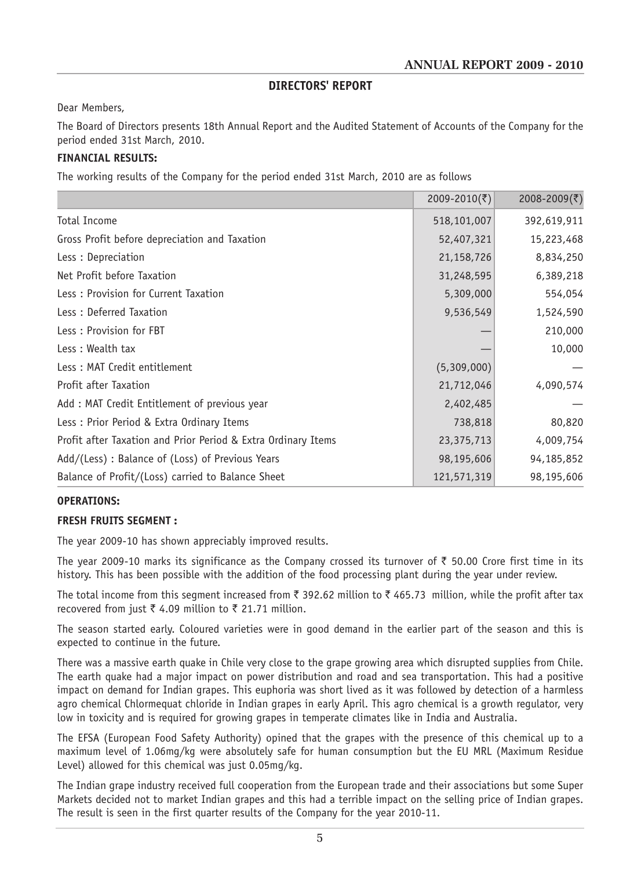#### **DIRECTORS' REPORT**

Dear Members,

The Board of Directors presents 18th Annual Report and the Audited Statement of Accounts of the Company for the period ended 31st March, 2010.

#### **FINANCIAL RESULTS:**

The working results of the Company for the period ended 31st March, 2010 are as follows

|                                                               | 2009-2010(そ) | 2008-2009(₹) |
|---------------------------------------------------------------|--------------|--------------|
| <b>Total Income</b>                                           | 518,101,007  | 392,619,911  |
| Gross Profit before depreciation and Taxation                 | 52,407,321   | 15,223,468   |
| Less: Depreciation                                            | 21, 158, 726 | 8,834,250    |
| Net Profit before Taxation                                    | 31,248,595   | 6,389,218    |
| Less: Provision for Current Taxation                          | 5,309,000    | 554,054      |
| Less: Deferred Taxation                                       | 9,536,549    | 1,524,590    |
| Less: Provision for FBT                                       |              | 210,000      |
| Less: Wealth tax                                              |              | 10,000       |
| Less: MAT Credit entitlement                                  | (5,309,000)  |              |
| <b>Profit after Taxation</b>                                  | 21,712,046   | 4,090,574    |
| Add: MAT Credit Entitlement of previous year                  | 2,402,485    |              |
| Less: Prior Period & Extra Ordinary Items                     | 738,818      | 80,820       |
| Profit after Taxation and Prior Period & Extra Ordinary Items | 23,375,713   | 4,009,754    |
| Add/(Less) : Balance of (Loss) of Previous Years              | 98,195,606   | 94,185,852   |
| Balance of Profit/(Loss) carried to Balance Sheet             | 121,571,319  | 98,195,606   |

#### **OPERATIONS:**

#### **FRESH FRUITS SEGMENT :**

The year 2009-10 has shown appreciably improved results.

The year 2009-10 marks its significance as the Company crossed its turnover of  $\bar{\tau}$  50.00 Crore first time in its history. This has been possible with the addition of the food processing plant during the year under review.

The total income from this segment increased from  $\bar{\tau}$  392.62 million to  $\bar{\tau}$  465.73 million, while the profit after tax recovered from just  $\bar{\tau}$  4.09 million to  $\bar{\tau}$  21.71 million.

The season started early. Coloured varieties were in good demand in the earlier part of the season and this is expected to continue in the future.

There was a massive earth quake in Chile very close to the grape growing area which disrupted supplies from Chile. The earth quake had a major impact on power distribution and road and sea transportation. This had a positive impact on demand for Indian grapes. This euphoria was short lived as it was followed by detection of a harmless agro chemical Chlormequat chloride in Indian grapes in early April. This agro chemical is a growth regulator, very low in toxicity and is required for growing grapes in temperate climates like in India and Australia.

The EFSA (European Food Safety Authority) opined that the grapes with the presence of this chemical up to a maximum level of 1.06mg/kg were absolutely safe for human consumption but the EU MRL (Maximum Residue Level) allowed for this chemical was just 0.05mg/kg.

The Indian grape industry received full cooperation from the European trade and their associations but some Super Markets decided not to market Indian grapes and this had a terrible impact on the selling price of Indian grapes. The result is seen in the first quarter results of the Company for the year 2010-11.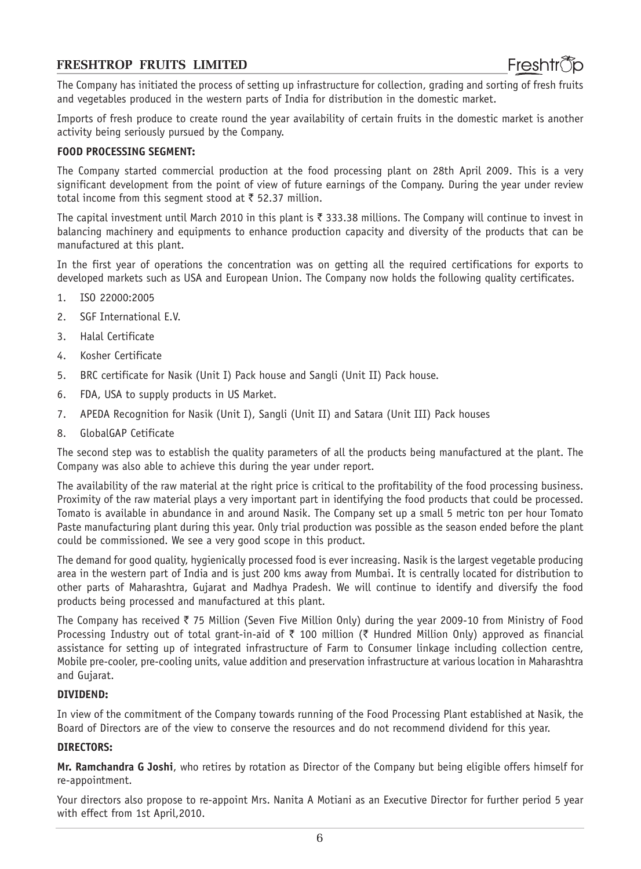The Company has initiated the process of setting up infrastructure for collection, grading and sorting of fresh fruits and vegetables produced in the western parts of India for distribution in the domestic market.

Imports of fresh produce to create round the year availability of certain fruits in the domestic market is another activity being seriously pursued by the Company.

#### **FOOD PROCESSING SEGMENT:**

The Company started commercial production at the food processing plant on 28th April 2009. This is a very significant development from the point of view of future earnings of the Company. During the year under review total income from this segment stood at  $\bar{\tau}$  52.37 million.

The capital investment until March 2010 in this plant is  $\bar{\tau}$  333.38 millions. The Company will continue to invest in balancing machinery and equipments to enhance production capacity and diversity of the products that can be manufactured at this plant.

In the first year of operations the concentration was on getting all the required certifications for exports to developed markets such as USA and European Union. The Company now holds the following quality certificates.

- 1. ISO 22000:2005
- 2. SGF International E.V.
- 3. Halal Certificate
- 4. Kosher Certificate
- 5. BRC certificate for Nasik (Unit I) Pack house and Sangli (Unit II) Pack house.
- 6. FDA, USA to supply products in US Market.
- 7. APEDA Recognition for Nasik (Unit I), Sangli (Unit II) and Satara (Unit III) Pack houses
- 8. GlobalGAP Cetificate

The second step was to establish the quality parameters of all the products being manufactured at the plant. The Company was also able to achieve this during the year under report.

The availability of the raw material at the right price is critical to the profitability of the food processing business. Proximity of the raw material plays a very important part in identifying the food products that could be processed. Tomato is available in abundance in and around Nasik. The Company set up a small 5 metric ton per hour Tomato Paste manufacturing plant during this year. Only trial production was possible as the season ended before the plant could be commissioned. We see a very good scope in this product.

The demand for good quality, hygienically processed food is ever increasing. Nasik is the largest vegetable producing area in the western part of India and is just 200 kms away from Mumbai. It is centrally located for distribution to other parts of Maharashtra, Gujarat and Madhya Pradesh. We will continue to identify and diversify the food products being processed and manufactured at this plant.

The Company has received  $\bar{\tau}$  75 Million (Seven Five Million Only) during the year 2009-10 from Ministry of Food Processing Industry out of total grant-in-aid of  $\bar{\tau}$  100 million ( $\bar{\tau}$  Hundred Million Only) approved as financial assistance for setting up of integrated infrastructure of Farm to Consumer linkage including collection centre, Mobile pre-cooler, pre-cooling units, value addition and preservation infrastructure at various location in Maharashtra and Gujarat.

#### **DIVIDEND:**

In view of the commitment of the Company towards running of the Food Processing Plant established at Nasik, the Board of Directors are of the view to conserve the resources and do not recommend dividend for this year.

#### **DIRECTORS:**

**Mr. Ramchandra G Joshi**, who retires by rotation as Director of the Company but being eligible offers himself for re-appointment.

Your directors also propose to re-appoint Mrs. Nanita A Motiani as an Executive Director for further period 5 year with effect from 1st April,2010.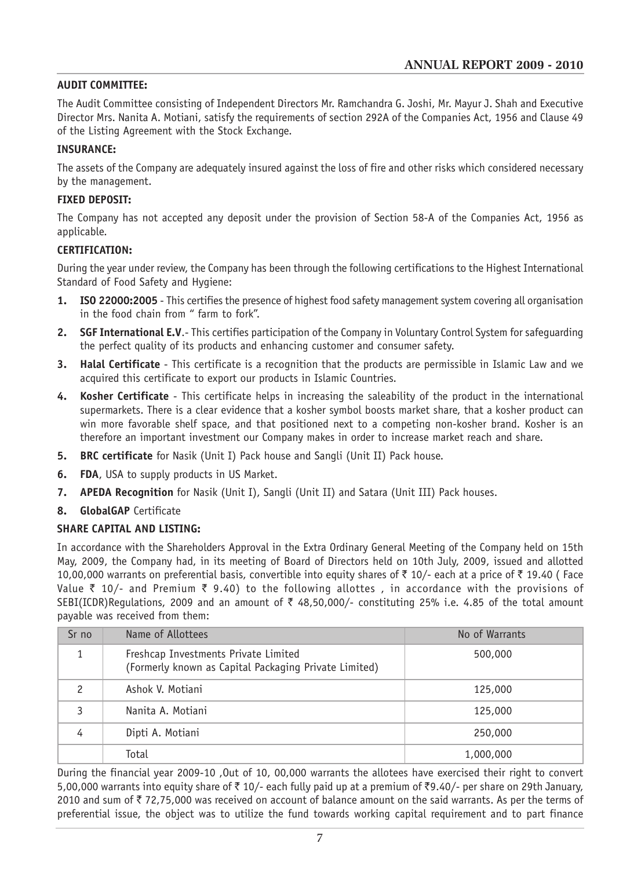#### **AUDIT COMMITTEE:**

The Audit Committee consisting of Independent Directors Mr. Ramchandra G. Joshi, Mr. Mayur J. Shah and Executive Director Mrs. Nanita A. Motiani, satisfy the requirements of section 292A of the Companies Act, 1956 and Clause 49 of the Listing Agreement with the Stock Exchange.

#### **INSURANCE:**

The assets of the Company are adequately insured against the loss of fire and other risks which considered necessary by the management.

#### **FIXED DEPOSIT:**

The Company has not accepted any deposit under the provision of Section 58-A of the Companies Act, 1956 as applicable.

#### **CERTIFICATION:**

During the year under review, the Company has been through the following certifications to the Highest International Standard of Food Safety and Hygiene:

- **1. ISO 22000:2005** This certifies the presence of highest food safety management system covering all organisation in the food chain from " farm to fork".
- **2. SGF International E.V**.- This certifies participation of the Company in Voluntary Control System for safeguarding the perfect quality of its products and enhancing customer and consumer safety.
- **3. Halal Certificate**  This certificate is a recognition that the products are permissible in Islamic Law and we acquired this certificate to export our products in Islamic Countries.
- **4. Kosher Certificate**  This certificate helps in increasing the saleability of the product in the international supermarkets. There is a clear evidence that a kosher symbol boosts market share, that a kosher product can win more favorable shelf space, and that positioned next to a competing non-kosher brand. Kosher is an therefore an important investment our Company makes in order to increase market reach and share.
- **5. BRC certificate** for Nasik (Unit I) Pack house and Sangli (Unit II) Pack house.
- **6. FDA**, USA to supply products in US Market.
- **7. APEDA Recognition** for Nasik (Unit I), Sangli (Unit II) and Satara (Unit III) Pack houses.
- **8. GlobalGAP** Certificate

### **SHARE CAPITAL AND LISTING:**

In accordance with the Shareholders Approval in the Extra Ordinary General Meeting of the Company held on 15th May, 2009, the Company had, in its meeting of Board of Directors held on 10th July, 2009, issued and allotted 10,00,000 warrants on preferential basis, convertible into equity shares of  $\bar{\tau}$  10/- each at a price of  $\bar{\tau}$  19.40 (Face Value  $\bar{\tau}$  10/- and Premium  $\bar{\tau}$  9.40) to the following allottes, in accordance with the provisions of SEBI(ICDR)Regulations, 2009 and an amount of  $\bar{\tau}$  48,50,000/- constituting 25% i.e. 4.85 of the total amount payable was received from them:

| Sr no         | Name of Allottees                                                                             | No of Warrants |
|---------------|-----------------------------------------------------------------------------------------------|----------------|
| 1             | Freshcap Investments Private Limited<br>(Formerly known as Capital Packaging Private Limited) | 500,000        |
| $\mathcal{P}$ | Ashok V. Motiani                                                                              | 125,000        |
| 3             | Nanita A. Motiani                                                                             | 125,000        |
| 4             | Dipti A. Motiani                                                                              | 250,000        |
|               | Total                                                                                         | 1,000,000      |

During the financial year 2009-10 ,Out of 10, 00,000 warrants the allotees have exercised their right to convert 5,00,000 warrants into equity share of  $\bar{\tau}$  10/- each fully paid up at a premium of  $\bar{\tau}$ 9.40/- per share on 29th January, 2010 and sum of  $\bar{z}$  72,75,000 was received on account of balance amount on the said warrants. As per the terms of preferential issue, the object was to utilize the fund towards working capital requirement and to part finance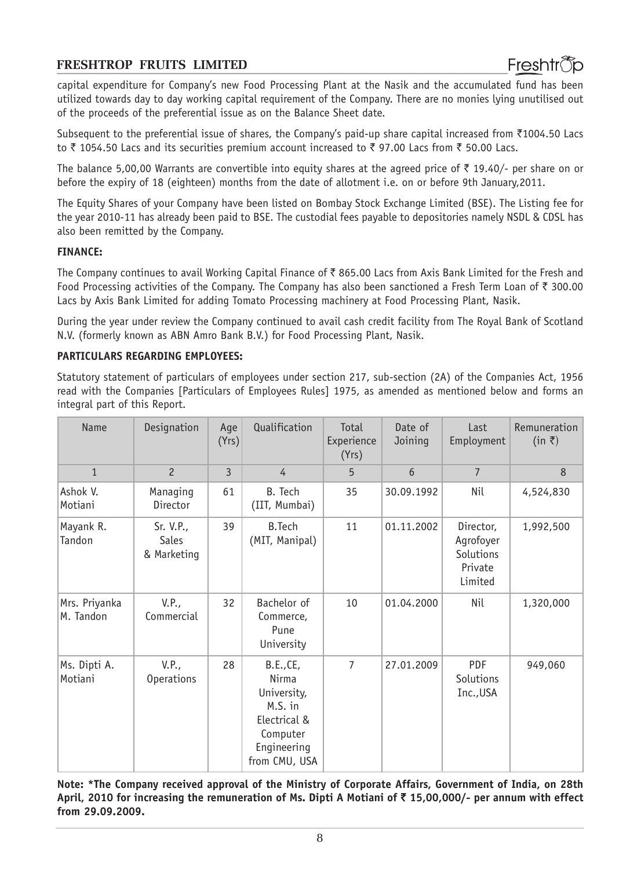capital expenditure for Company's new Food Processing Plant at the Nasik and the accumulated fund has been utilized towards day to day working capital requirement of the Company. There are no monies lying unutilised out of the proceeds of the preferential issue as on the Balance Sheet date.

Subsequent to the preferential issue of shares, the Company's paid-up share capital increased from  $\bar{\tau}$ 1004.50 Lacs to  $\bar{\tau}$  1054.50 Lacs and its securities premium account increased to  $\bar{\tau}$  97.00 Lacs from  $\bar{\tau}$  50.00 Lacs.

The balance 5,00,00 Warrants are convertible into equity shares at the agreed price of  $\bar{\tau}$  19.40/- per share on or before the expiry of 18 (eighteen) months from the date of allotment i.e. on or before 9th January,2011.

The Equity Shares of your Company have been listed on Bombay Stock Exchange Limited (BSE). The Listing fee for the year 2010-11 has already been paid to BSE. The custodial fees payable to depositories namely NSDL & CDSL has also been remitted by the Company.

#### **FINANCE:**

The Company continues to avail Working Capital Finance of  $\bar{\tau}$  865.00 Lacs from Axis Bank Limited for the Fresh and Food Processing activities of the Company. The Company has also been sanctioned a Fresh Term Loan of  $\bar{\tau}$  300.00 Lacs by Axis Bank Limited for adding Tomato Processing machinery at Food Processing Plant, Nasik.

During the year under review the Company continued to avail cash credit facility from The Royal Bank of Scotland N.V. (formerly known as ABN Amro Bank B.V.) for Food Processing Plant, Nasik.

#### **PARTICULARS REGARDING EMPLOYEES:**

Statutory statement of particulars of employees under section 217, sub-section (2A) of the Companies Act, 1956 read with the Companies [Particulars of Employees Rules] 1975, as amended as mentioned below and forms an integral part of this Report.

| <b>Name</b>                | Designation                              | Age<br>(Yrs) | Qualification                                                                                            | Total<br>Experience<br>(Yrs) | Date of<br>Joining | Last<br>Employment                                        | Remuneration<br>$(in \space \bar{\tau})$ |
|----------------------------|------------------------------------------|--------------|----------------------------------------------------------------------------------------------------------|------------------------------|--------------------|-----------------------------------------------------------|------------------------------------------|
| $\mathbf{1}$               | $\overline{c}$                           | 3            | 4                                                                                                        | 5                            | 6                  | $7\overline{ }$                                           | 8                                        |
| Ashok V.<br>Motiani        | Managing<br>Director                     | 61           | B. Tech<br>(IIT, Mumbai)                                                                                 | 35                           | 30.09.1992         | Nil                                                       | 4,524,830                                |
| Mayank R.<br>Tandon        | Sr. V.P.,<br><b>Sales</b><br>& Marketing | 39           | <b>B.Tech</b><br>(MIT, Manipal)                                                                          | 11                           | 01.11.2002         | Director,<br>Agrofoyer<br>Solutions<br>Private<br>Limited | 1,992,500                                |
| Mrs. Priyanka<br>M. Tandon | V.P.,<br>Commercial                      | 32           | Bachelor of<br>Commerce,<br>Pune<br>University                                                           | 10                           | 01.04.2000         | Nil                                                       | 1,320,000                                |
| Ms. Dipti A.<br>Motiani    | V.P.,<br><b>Operations</b>               | 28           | B.E., CE,<br>Nirma<br>University,<br>M.S. in<br>Electrical &<br>Computer<br>Engineering<br>from CMU, USA | $\overline{7}$               | 27.01.2009         | <b>PDF</b><br>Solutions<br>Inc., USA                      | 949,060                                  |

**Note: \*The Company received approval of the Ministry of Corporate Affairs, Government of India, on 28th April, 2010 for increasing the remuneration of Ms. Dipti A Motiani of** ` **15,00,000/- per annum with effect from 29.09.2009.**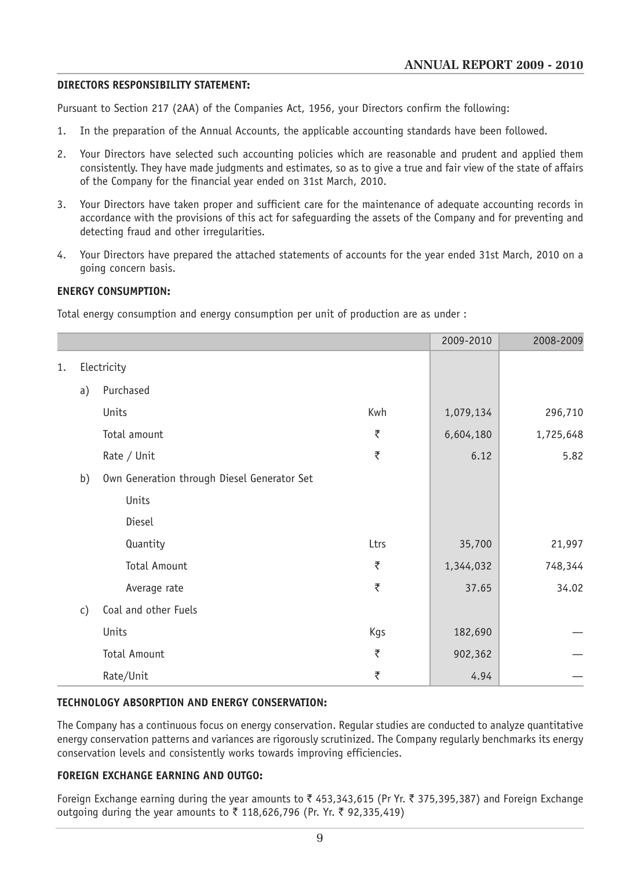#### **DIRECTORS RESPONSIBILITY STATEMENT:**

Pursuant to Section 217 (2AA) of the Companies Act, 1956, your Directors confirm the following:

- 1. In the preparation of the Annual Accounts, the applicable accounting standards have been followed.
- 2. Your Directors have selected such accounting policies which are reasonable and prudent and applied them consistently. They have made judgments and estimates, so as to give a true and fair view of the state of affairs of the Company for the financial year ended on 31st March, 2010.
- 3. Your Directors have taken proper and sufficient care for the maintenance of adequate accounting records in accordance with the provisions of this act for safeguarding the assets of the Company and for preventing and detecting fraud and other irregularities.
- 4. Your Directors have prepared the attached statements of accounts for the year ended 31st March, 2010 on a going concern basis.

#### **ENERGY CONSUMPTION:**

Total energy consumption and energy consumption per unit of production are as under :

|    |    |                                             |      | 2009-2010 | 2008-2009 |
|----|----|---------------------------------------------|------|-----------|-----------|
| 1. |    | Electricity                                 |      |           |           |
|    | a) | Purchased                                   |      |           |           |
|    |    | Units                                       | Kwh  | 1,079,134 | 296,710   |
|    |    | Total amount                                | ₹    | 6,604,180 | 1,725,648 |
|    |    | Rate / Unit                                 | ₹    | 6.12      | 5.82      |
|    | b) | Own Generation through Diesel Generator Set |      |           |           |
|    |    | Units                                       |      |           |           |
|    |    | Diesel                                      |      |           |           |
|    |    | Quantity                                    | Ltrs | 35,700    | 21,997    |
|    |    | <b>Total Amount</b>                         | ₹    | 1,344,032 | 748,344   |
|    |    | Average rate                                | ₹    | 37.65     | 34.02     |
|    | c) | Coal and other Fuels                        |      |           |           |
|    |    | Units                                       | Kgs  | 182,690   |           |
|    |    | <b>Total Amount</b>                         | ₹    | 902,362   |           |
|    |    | Rate/Unit                                   | ₹    | 4.94      |           |

#### **TECHNOLOGY ABSORPTION AND ENERGY CONSERVATION:**

The Company has a continuous focus on energy conservation. Regular studies are conducted to analyze quantitative energy conservation patterns and variances are rigorously scrutinized. The Company regularly benchmarks its energy conservation levels and consistently works towards improving efficiencies.

### **FOREIGN EXCHANGE EARNING AND OUTGO:**

Foreign Exchange earning during the year amounts to  $\bar{\tau}$  453,343,615 (Pr Yr.  $\bar{\tau}$  375,395,387) and Foreign Exchange outgoing during the year amounts to ₹ 118,626,796 (Pr. Yr. ₹ 92,335,419)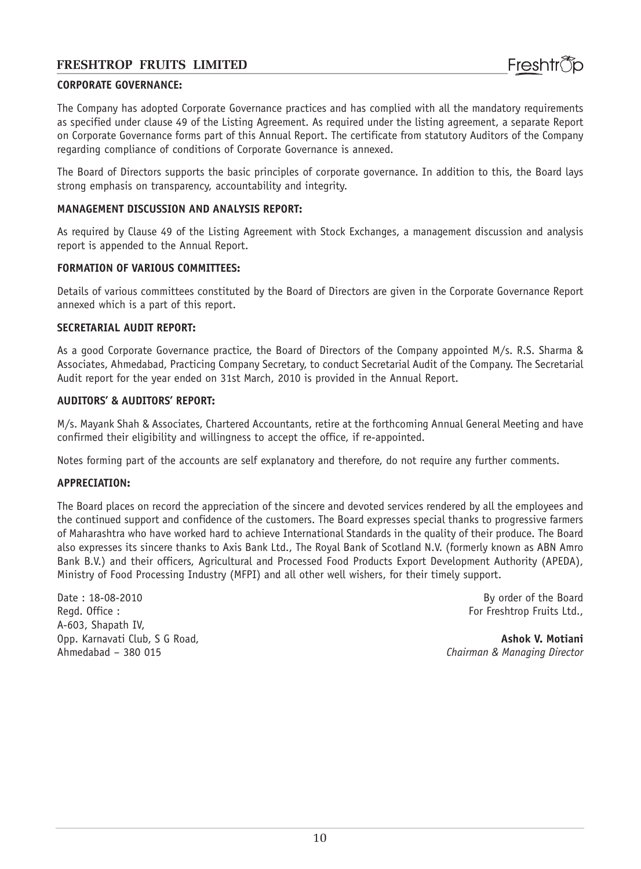#### **CORPORATE GOVERNANCE:**

The Company has adopted Corporate Governance practices and has complied with all the mandatory requirements as specified under clause 49 of the Listing Agreement. As required under the listing agreement, a separate Report on Corporate Governance forms part of this Annual Report. The certificate from statutory Auditors of the Company regarding compliance of conditions of Corporate Governance is annexed.

The Board of Directors supports the basic principles of corporate governance. In addition to this, the Board lays strong emphasis on transparency, accountability and integrity.

#### **MANAGEMENT DISCUSSION AND ANALYSIS REPORT:**

As required by Clause 49 of the Listing Agreement with Stock Exchanges, a management discussion and analysis report is appended to the Annual Report.

#### **FORMATION OF VARIOUS COMMITTEES:**

Details of various committees constituted by the Board of Directors are given in the Corporate Governance Report annexed which is a part of this report.

#### **SECRETARIAL AUDIT REPORT:**

As a good Corporate Governance practice, the Board of Directors of the Company appointed M/s. R.S. Sharma & Associates, Ahmedabad, Practicing Company Secretary, to conduct Secretarial Audit of the Company. The Secretarial Audit report for the year ended on 31st March, 2010 is provided in the Annual Report.

#### **AUDITORS' & AUDITORS' REPORT:**

M/s. Mayank Shah & Associates, Chartered Accountants, retire at the forthcoming Annual General Meeting and have confirmed their eligibility and willingness to accept the office, if re-appointed.

Notes forming part of the accounts are self explanatory and therefore, do not require any further comments.

#### **APPRECIATION:**

The Board places on record the appreciation of the sincere and devoted services rendered by all the employees and the continued support and confidence of the customers. The Board expresses special thanks to progressive farmers of Maharashtra who have worked hard to achieve International Standards in the quality of their produce. The Board also expresses its sincere thanks to Axis Bank Ltd., The Royal Bank of Scotland N.V. (formerly known as ABN Amro Bank B.V.) and their officers, Agricultural and Processed Food Products Export Development Authority (APEDA), Ministry of Food Processing Industry (MFPI) and all other well wishers, for their timely support.

Date : 18-08-2010 By order of the Board Regd. Office : For Freshtrop Fruits Ltd., A-603, Shapath IV, Opp. Karnavati Club, S G Road, **Ashok V. Motiani** Ahmedabad – 380 015 *Chairman & Managing Director*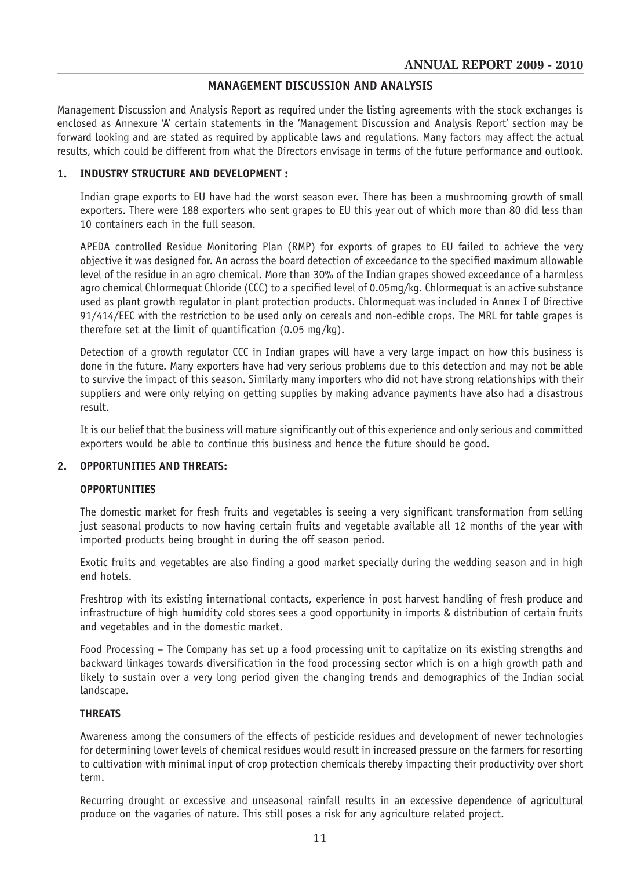#### **MANAGEMENT DISCUSSION AND ANALYSIS**

Management Discussion and Analysis Report as required under the listing agreements with the stock exchanges is enclosed as Annexure 'A' certain statements in the 'Management Discussion and Analysis Report' section may be forward looking and are stated as required by applicable laws and regulations. Many factors may affect the actual results, which could be different from what the Directors envisage in terms of the future performance and outlook.

#### **1. INDUSTRY STRUCTURE AND DEVELOPMENT :**

Indian grape exports to EU have had the worst season ever. There has been a mushrooming growth of small exporters. There were 188 exporters who sent grapes to EU this year out of which more than 80 did less than 10 containers each in the full season.

APEDA controlled Residue Monitoring Plan (RMP) for exports of grapes to EU failed to achieve the very objective it was designed for. An across the board detection of exceedance to the specified maximum allowable level of the residue in an agro chemical. More than 30% of the Indian grapes showed exceedance of a harmless agro chemical Chlormequat Chloride (CCC) to a specified level of 0.05mg/kg. Chlormequat is an active substance used as plant growth regulator in plant protection products. Chlormequat was included in Annex I of Directive 91/414/EEC with the restriction to be used only on cereals and non-edible crops. The MRL for table grapes is therefore set at the limit of quantification (0.05 mg/kg).

Detection of a growth regulator CCC in Indian grapes will have a very large impact on how this business is done in the future. Many exporters have had very serious problems due to this detection and may not be able to survive the impact of this season. Similarly many importers who did not have strong relationships with their suppliers and were only relying on getting supplies by making advance payments have also had a disastrous result.

It is our belief that the business will mature significantly out of this experience and only serious and committed exporters would be able to continue this business and hence the future should be good.

#### **2. OPPORTUNITIES AND THREATS:**

#### **OPPORTUNITIES**

The domestic market for fresh fruits and vegetables is seeing a very significant transformation from selling just seasonal products to now having certain fruits and vegetable available all 12 months of the year with imported products being brought in during the off season period.

Exotic fruits and vegetables are also finding a good market specially during the wedding season and in high end hotels.

Freshtrop with its existing international contacts, experience in post harvest handling of fresh produce and infrastructure of high humidity cold stores sees a good opportunity in imports & distribution of certain fruits and vegetables and in the domestic market.

Food Processing – The Company has set up a food processing unit to capitalize on its existing strengths and backward linkages towards diversification in the food processing sector which is on a high growth path and likely to sustain over a very long period given the changing trends and demographics of the Indian social landscape.

#### **THREATS**

Awareness among the consumers of the effects of pesticide residues and development of newer technologies for determining lower levels of chemical residues would result in increased pressure on the farmers for resorting to cultivation with minimal input of crop protection chemicals thereby impacting their productivity over short term.

Recurring drought or excessive and unseasonal rainfall results in an excessive dependence of agricultural produce on the vagaries of nature. This still poses a risk for any agriculture related project.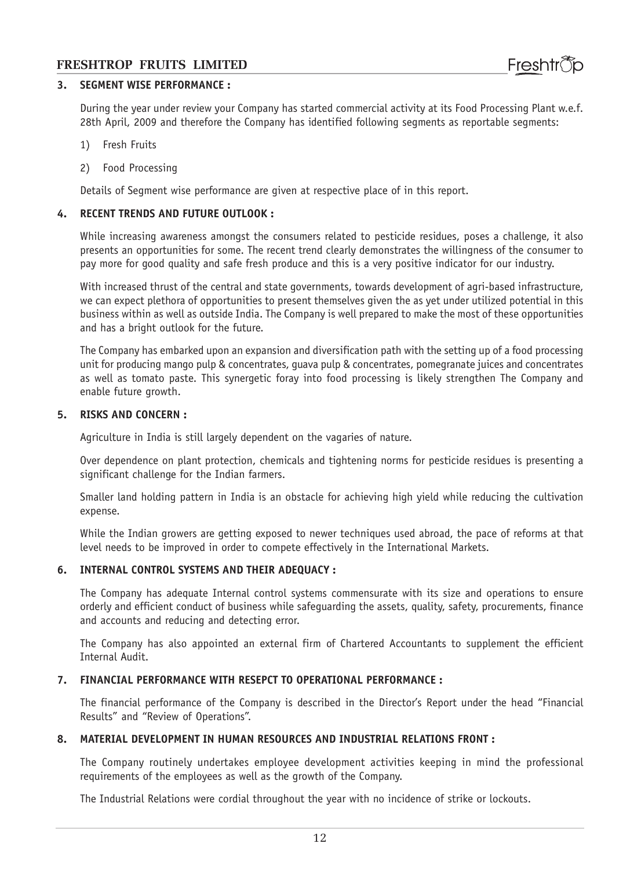#### **3. SEGMENT WISE PERFORMANCE :**

During the year under review your Company has started commercial activity at its Food Processing Plant w.e.f. 28th April, 2009 and therefore the Company has identified following segments as reportable segments:

- 1) Fresh Fruits
- 2) Food Processing

Details of Segment wise performance are given at respective place of in this report.

#### **4. RECENT TRENDS AND FUTURE OUTLOOK :**

While increasing awareness amongst the consumers related to pesticide residues, poses a challenge, it also presents an opportunities for some. The recent trend clearly demonstrates the willingness of the consumer to pay more for good quality and safe fresh produce and this is a very positive indicator for our industry.

With increased thrust of the central and state governments, towards development of agri-based infrastructure, we can expect plethora of opportunities to present themselves given the as yet under utilized potential in this business within as well as outside India. The Company is well prepared to make the most of these opportunities and has a bright outlook for the future.

The Company has embarked upon an expansion and diversification path with the setting up of a food processing unit for producing mango pulp & concentrates, guava pulp & concentrates, pomegranate juices and concentrates as well as tomato paste. This synergetic foray into food processing is likely strengthen The Company and enable future growth.

#### **5. RISKS AND CONCERN :**

Agriculture in India is still largely dependent on the vagaries of nature.

Over dependence on plant protection, chemicals and tightening norms for pesticide residues is presenting a significant challenge for the Indian farmers.

Smaller land holding pattern in India is an obstacle for achieving high yield while reducing the cultivation expense.

While the Indian growers are getting exposed to newer techniques used abroad, the pace of reforms at that level needs to be improved in order to compete effectively in the International Markets.

#### **6. INTERNAL CONTROL SYSTEMS AND THEIR ADEQUACY :**

The Company has adequate Internal control systems commensurate with its size and operations to ensure orderly and efficient conduct of business while safeguarding the assets, quality, safety, procurements, finance and accounts and reducing and detecting error.

The Company has also appointed an external firm of Chartered Accountants to supplement the efficient Internal Audit.

#### **7. FINANCIAL PERFORMANCE WITH RESEPCT TO OPERATIONAL PERFORMANCE :**

The financial performance of the Company is described in the Director's Report under the head "Financial Results" and "Review of Operations".

#### **8. MATERIAL DEVELOPMENT IN HUMAN RESOURCES AND INDUSTRIAL RELATIONS FRONT :**

The Company routinely undertakes employee development activities keeping in mind the professional requirements of the employees as well as the growth of the Company.

The Industrial Relations were cordial throughout the year with no incidence of strike or lockouts.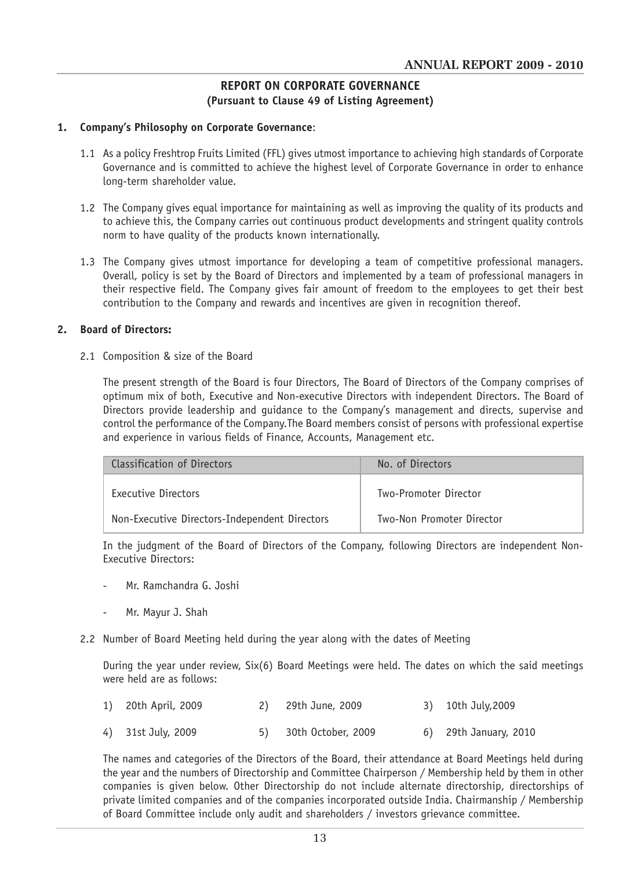#### **REPORT ON CORPORATE GOVERNANCE (Pursuant to Clause 49 of Listing Agreement)**

#### **1. Company's Philosophy on Corporate Governance**:

- 1.1 As a policy Freshtrop Fruits Limited (FFL) gives utmost importance to achieving high standards of Corporate Governance and is committed to achieve the highest level of Corporate Governance in order to enhance long-term shareholder value.
- 1.2 The Company gives equal importance for maintaining as well as improving the quality of its products and to achieve this, the Company carries out continuous product developments and stringent quality controls norm to have quality of the products known internationally.
- 1.3 The Company gives utmost importance for developing a team of competitive professional managers. Overall, policy is set by the Board of Directors and implemented by a team of professional managers in their respective field. The Company gives fair amount of freedom to the employees to get their best contribution to the Company and rewards and incentives are given in recognition thereof.

#### **2. Board of Directors:**

2.1 Composition & size of the Board

The present strength of the Board is four Directors, The Board of Directors of the Company comprises of optimum mix of both, Executive and Non-executive Directors with independent Directors. The Board of Directors provide leadership and guidance to the Company's management and directs, supervise and control the performance of the Company.The Board members consist of persons with professional expertise and experience in various fields of Finance, Accounts, Management etc.

| Classification of Directors                   | No. of Directors          |  |
|-----------------------------------------------|---------------------------|--|
| Executive Directors                           | Two-Promoter Director     |  |
| Non-Executive Directors-Independent Directors | Two-Non Promoter Director |  |

In the judgment of the Board of Directors of the Company, following Directors are independent Non-Executive Directors:

- Mr. Ramchandra G. Joshi
- Mr. Mayur J. Shah
- 2.2 Number of Board Meeting held during the year along with the dates of Meeting

During the year under review, Six(6) Board Meetings were held. The dates on which the said meetings were held are as follows:

| 1) 20th April, 2009 | 29th June, 2009 | 3) 10th July, 2009 |
|---------------------|-----------------|--------------------|
|                     |                 |                    |

4) 31st July, 2009 5) 30th October, 2009 6) 29th January, 2010

The names and categories of the Directors of the Board, their attendance at Board Meetings held during the year and the numbers of Directorship and Committee Chairperson / Membership held by them in other companies is given below. Other Directorship do not include alternate directorship, directorships of private limited companies and of the companies incorporated outside India. Chairmanship / Membership of Board Committee include only audit and shareholders / investors grievance committee.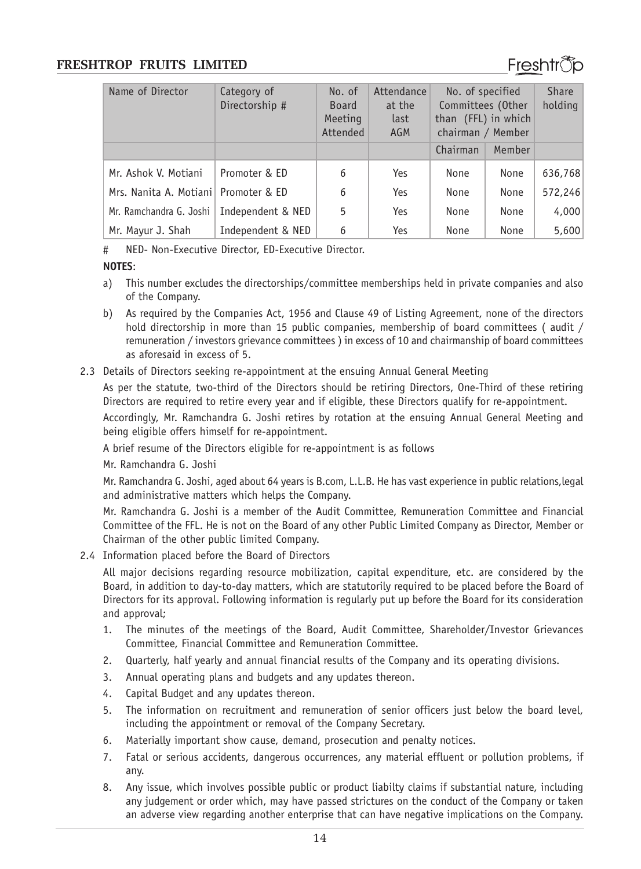

| Name of Director                     | Category of<br>Directorship # | No. of<br><b>Board</b><br>Meeting<br>Attended | Attendance<br>at the<br>last<br><b>AGM</b> | No. of specified<br>Committees (Other<br>than (FFL) in which<br>chairman / Member |        | <b>Share</b><br>holding |
|--------------------------------------|-------------------------------|-----------------------------------------------|--------------------------------------------|-----------------------------------------------------------------------------------|--------|-------------------------|
|                                      |                               |                                               |                                            | Chairman                                                                          | Member |                         |
| Mr. Ashok V. Motiani                 | Promoter & ED                 | 6                                             | Yes                                        | None                                                                              | None   | 636,768                 |
| Mrs. Nanita A. Motiani Promoter & ED |                               | 6                                             | Yes                                        | None                                                                              | None   | 572,246                 |
| Mr. Ramchandra G. Joshi              | Independent & NED             | 5                                             | Yes                                        | None                                                                              | None   | 4,000                   |
| Mr. Mayur J. Shah                    | Independent & NED             | 6                                             | Yes                                        | None                                                                              | None   | 5,600                   |

# NED- Non-Executive Director, ED-Executive Director.

#### **NOTES**:

- a) This number excludes the directorships/committee memberships held in private companies and also of the Company.
- b) As required by the Companies Act, 1956 and Clause 49 of Listing Agreement, none of the directors hold directorship in more than 15 public companies, membership of board committees (audit / remuneration / investors grievance committees ) in excess of 10 and chairmanship of board committees as aforesaid in excess of 5.
- 2.3 Details of Directors seeking re-appointment at the ensuing Annual General Meeting

As per the statute, two-third of the Directors should be retiring Directors, One-Third of these retiring Directors are required to retire every year and if eligible, these Directors qualify for re-appointment.

Accordingly, Mr. Ramchandra G. Joshi retires by rotation at the ensuing Annual General Meeting and being eligible offers himself for re-appointment.

A brief resume of the Directors eligible for re-appointment is as follows

Mr. Ramchandra G. Joshi

Mr. Ramchandra G. Joshi, aged about 64 years is B.com, L.L.B. He has vast experience in public relations,legal and administrative matters which helps the Company.

Mr. Ramchandra G. Joshi is a member of the Audit Committee, Remuneration Committee and Financial Committee of the FFL. He is not on the Board of any other Public Limited Company as Director, Member or Chairman of the other public limited Company.

2.4 Information placed before the Board of Directors

All major decisions regarding resource mobilization, capital expenditure, etc. are considered by the Board, in addition to day-to-day matters, which are statutorily required to be placed before the Board of Directors for its approval. Following information is regularly put up before the Board for its consideration and approval;

- 1. The minutes of the meetings of the Board, Audit Committee, Shareholder/Investor Grievances Committee, Financial Committee and Remuneration Committee.
- 2. Quarterly, half yearly and annual financial results of the Company and its operating divisions.
- 3. Annual operating plans and budgets and any updates thereon.
- 4. Capital Budget and any updates thereon.
- 5. The information on recruitment and remuneration of senior officers just below the board level, including the appointment or removal of the Company Secretary.
- 6. Materially important show cause, demand, prosecution and penalty notices.
- 7. Fatal or serious accidents, dangerous occurrences, any material effluent or pollution problems, if any.
- 8. Any issue, which involves possible public or product liabilty claims if substantial nature, including any judgement or order which, may have passed strictures on the conduct of the Company or taken an adverse view regarding another enterprise that can have negative implications on the Company.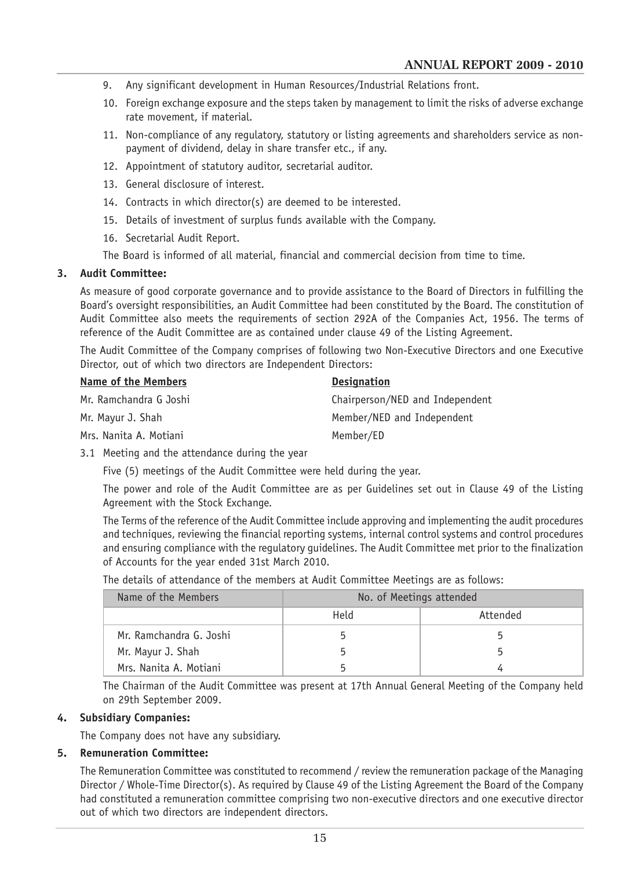- 9. Any significant development in Human Resources/Industrial Relations front.
- 10. Foreign exchange exposure and the steps taken by management to limit the risks of adverse exchange rate movement, if material.
- 11. Non-compliance of any regulatory, statutory or listing agreements and shareholders service as nonpayment of dividend, delay in share transfer etc., if any.
- 12. Appointment of statutory auditor, secretarial auditor.
- 13. General disclosure of interest.
- 14. Contracts in which director(s) are deemed to be interested.
- 15. Details of investment of surplus funds available with the Company.
- 16. Secretarial Audit Report.

The Board is informed of all material, financial and commercial decision from time to time.

#### **3. Audit Committee:**

As measure of good corporate governance and to provide assistance to the Board of Directors in fulfilling the Board's oversight responsibilities, an Audit Committee had been constituted by the Board. The constitution of Audit Committee also meets the requirements of section 292A of the Companies Act, 1956. The terms of reference of the Audit Committee are as contained under clause 49 of the Listing Agreement.

The Audit Committee of the Company comprises of following two Non-Executive Directors and one Executive Director, out of which two directors are Independent Directors:

| Name of the Members    | <b>Designation</b>              |
|------------------------|---------------------------------|
| Mr. Ramchandra G Joshi | Chairperson/NED and Independent |
| Mr. Mayur J. Shah      | Member/NED and Independent      |
| Mrs. Nanita A. Motiani | Member/ED                       |

3.1 Meeting and the attendance during the year

Five (5) meetings of the Audit Committee were held during the year.

The power and role of the Audit Committee are as per Guidelines set out in Clause 49 of the Listing Agreement with the Stock Exchange.

The Terms of the reference of the Audit Committee include approving and implementing the audit procedures and techniques, reviewing the financial reporting systems, internal control systems and control procedures and ensuring compliance with the regulatory guidelines. The Audit Committee met prior to the finalization of Accounts for the year ended 31st March 2010.

The details of attendance of the members at Audit Committee Meetings are as follows:

| Name of the Members     | No. of Meetings attended |          |  |  |
|-------------------------|--------------------------|----------|--|--|
|                         | Held                     | Attended |  |  |
| Mr. Ramchandra G. Joshi |                          |          |  |  |
| Mr. Mayur J. Shah       |                          |          |  |  |
| Mrs. Nanita A. Motiani  |                          |          |  |  |

The Chairman of the Audit Committee was present at 17th Annual General Meeting of the Company held on 29th September 2009.

#### **4. Subsidiary Companies:**

The Company does not have any subsidiary.

#### **5. Remuneration Committee:**

The Remuneration Committee was constituted to recommend / review the remuneration package of the Managing Director / Whole-Time Director(s). As required by Clause 49 of the Listing Agreement the Board of the Company had constituted a remuneration committee comprising two non-executive directors and one executive director out of which two directors are independent directors.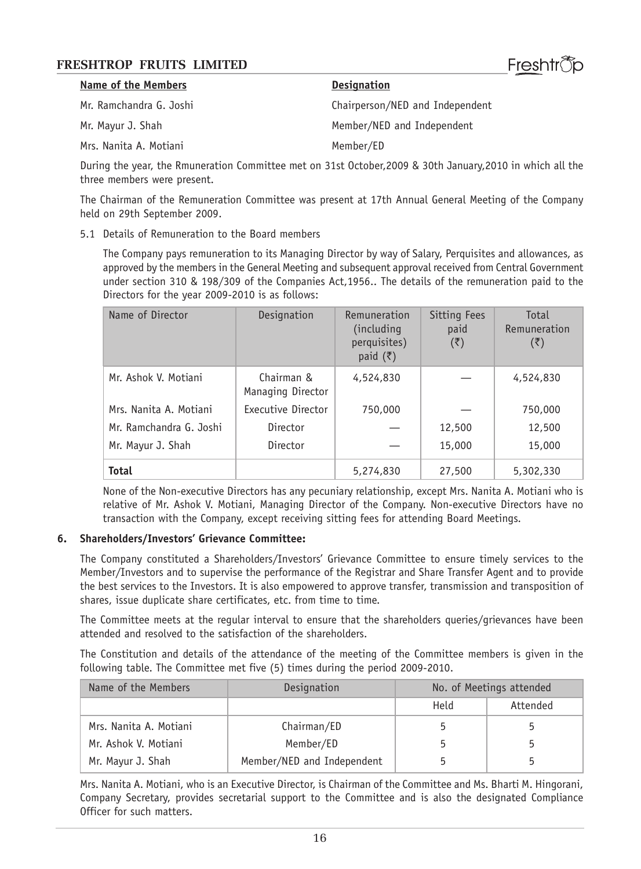| Name of the Members     | <b>Designation</b>              |
|-------------------------|---------------------------------|
| Mr. Ramchandra G. Joshi | Chairperson/NED and Independent |
| Mr. Mayur J. Shah       | Member/NED and Independent      |
| Mrs. Nanita A. Motiani  | Member/ED                       |

During the year, the Rmuneration Committee met on 31st October,2009 & 30th January,2010 in which all the three members were present.

Freshtrීio

The Chairman of the Remuneration Committee was present at 17th Annual General Meeting of the Company held on 29th September 2009.

5.1 Details of Remuneration to the Board members

The Company pays remuneration to its Managing Director by way of Salary, Perquisites and allowances, as approved by the members in the General Meeting and subsequent approval received from Central Government under section 310 & 198/309 of the Companies Act,1956.. The details of the remuneration paid to the Directors for the year 2009-2010 is as follows:

| Name of Director        | Designation                     | Remuneration<br>(including)<br>perquisites)<br>paid $(\overline{\tau})$ | Sitting Fees<br>paid<br>(₹) | Total<br>Remuneration<br>(₹) |
|-------------------------|---------------------------------|-------------------------------------------------------------------------|-----------------------------|------------------------------|
| Mr. Ashok V. Motiani    | Chairman &<br>Managing Director | 4,524,830                                                               |                             | 4,524,830                    |
| Mrs. Nanita A. Motiani  | Executive Director              | 750,000                                                                 |                             | 750,000                      |
| Mr. Ramchandra G. Joshi | Director                        |                                                                         | 12,500                      | 12,500                       |
| Mr. Mayur J. Shah       | Director                        |                                                                         | 15,000                      | 15,000                       |
| <b>Total</b>            |                                 | 5,274,830                                                               | 27,500                      | 5,302,330                    |

None of the Non-executive Directors has any pecuniary relationship, except Mrs. Nanita A. Motiani who is relative of Mr. Ashok V. Motiani, Managing Director of the Company. Non-executive Directors have no transaction with the Company, except receiving sitting fees for attending Board Meetings.

#### **6. Shareholders/Investors' Grievance Committee:**

The Company constituted a Shareholders/Investors' Grievance Committee to ensure timely services to the Member/Investors and to supervise the performance of the Registrar and Share Transfer Agent and to provide the best services to the Investors. It is also empowered to approve transfer, transmission and transposition of shares, issue duplicate share certificates, etc. from time to time.

The Committee meets at the regular interval to ensure that the shareholders queries/grievances have been attended and resolved to the satisfaction of the shareholders.

The Constitution and details of the attendance of the meeting of the Committee members is given in the following table. The Committee met five (5) times during the period 2009-2010.

| Name of the Members    | Designation                | No. of Meetings attended |          |
|------------------------|----------------------------|--------------------------|----------|
|                        |                            | Held                     | Attended |
| Mrs. Nanita A. Motiani | Chairman/ED                | 5                        |          |
| Mr. Ashok V. Motiani   | Member/ED                  | 5                        |          |
| Mr. Mayur J. Shah      | Member/NED and Independent | 5                        |          |

Mrs. Nanita A. Motiani, who is an Executive Director, is Chairman of the Committee and Ms. Bharti M. Hingorani, Company Secretary, provides secretarial support to the Committee and is also the designated Compliance Officer for such matters.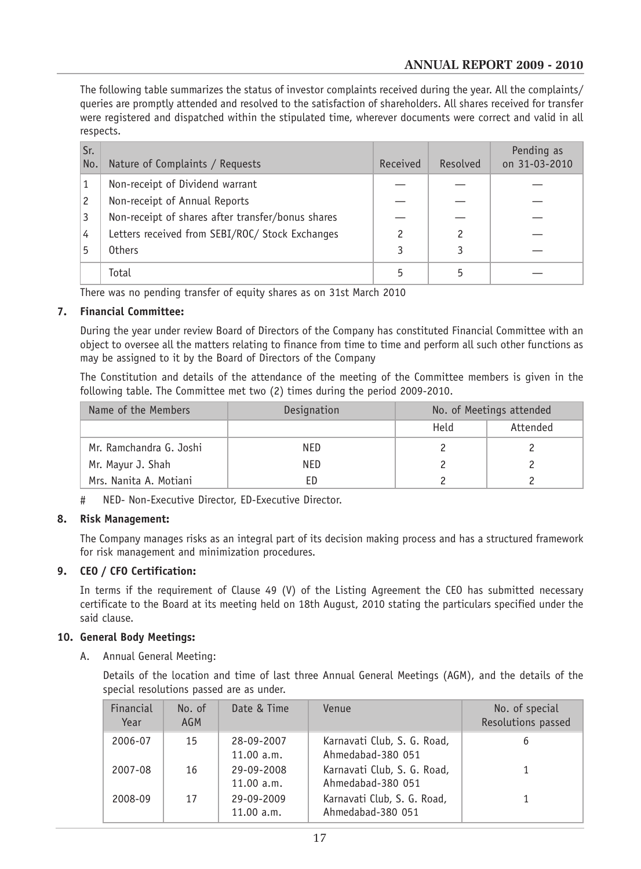The following table summarizes the status of investor complaints received during the year. All the complaints/ queries are promptly attended and resolved to the satisfaction of shareholders. All shares received for transfer were registered and dispatched within the stipulated time, wherever documents were correct and valid in all respects.

| Sr.<br>No. | Nature of Complaints / Requests                   | Received | Resolved | Pending as<br>on 31-03-2010 |
|------------|---------------------------------------------------|----------|----------|-----------------------------|
|            | Non-receipt of Dividend warrant                   |          |          |                             |
| 2          | Non-receipt of Annual Reports                     |          |          |                             |
| 3          | Non-receipt of shares after transfer/bonus shares |          |          |                             |
| 4          | Letters received from SEBI/ROC/ Stock Exchanges   |          | 2        |                             |
|            | <b>Others</b>                                     |          | 3        |                             |
|            | Total                                             |          | 5        |                             |

There was no pending transfer of equity shares as on 31st March 2010

#### **7. Financial Committee:**

During the year under review Board of Directors of the Company has constituted Financial Committee with an object to oversee all the matters relating to finance from time to time and perform all such other functions as may be assigned to it by the Board of Directors of the Company

The Constitution and details of the attendance of the meeting of the Committee members is given in the following table. The Committee met two (2) times during the period 2009-2010.

| Name of the Members     | Designation | No. of Meetings attended |          |
|-------------------------|-------------|--------------------------|----------|
|                         |             | Held                     | Attended |
| Mr. Ramchandra G. Joshi | NED         |                          |          |
| Mr. Mayur J. Shah       | NED         |                          |          |
| Mrs. Nanita A. Motiani  | FD          |                          |          |

# NED- Non-Executive Director, ED-Executive Director.

#### **8. Risk Management:**

The Company manages risks as an integral part of its decision making process and has a structured framework for risk management and minimization procedures.

### **9. CEO / CFO Certification:**

In terms if the requirement of Clause 49 (V) of the Listing Agreement the CEO has submitted necessary certificate to the Board at its meeting held on 18th August, 2010 stating the particulars specified under the said clause.

#### **10. General Body Meetings:**

A. Annual General Meeting:

Details of the location and time of last three Annual General Meetings (AGM), and the details of the special resolutions passed are as under.

| Financial<br>Year | No. of<br><b>AGM</b> | Date & Time              | Venue                                            | No. of special<br>Resolutions passed |
|-------------------|----------------------|--------------------------|--------------------------------------------------|--------------------------------------|
| 2006-07           | 15                   | 28-09-2007<br>11.00 a.m. | Karnavati Club, S. G. Road,<br>Ahmedabad-380 051 | 6                                    |
| 2007-08           | 16                   | 29-09-2008<br>11.00 a.m. | Karnavati Club, S. G. Road,<br>Ahmedabad-380 051 |                                      |
| 2008-09           | 17                   | 29-09-2009<br>11.00 a.m. | Karnavati Club, S. G. Road,<br>Ahmedabad-380 051 |                                      |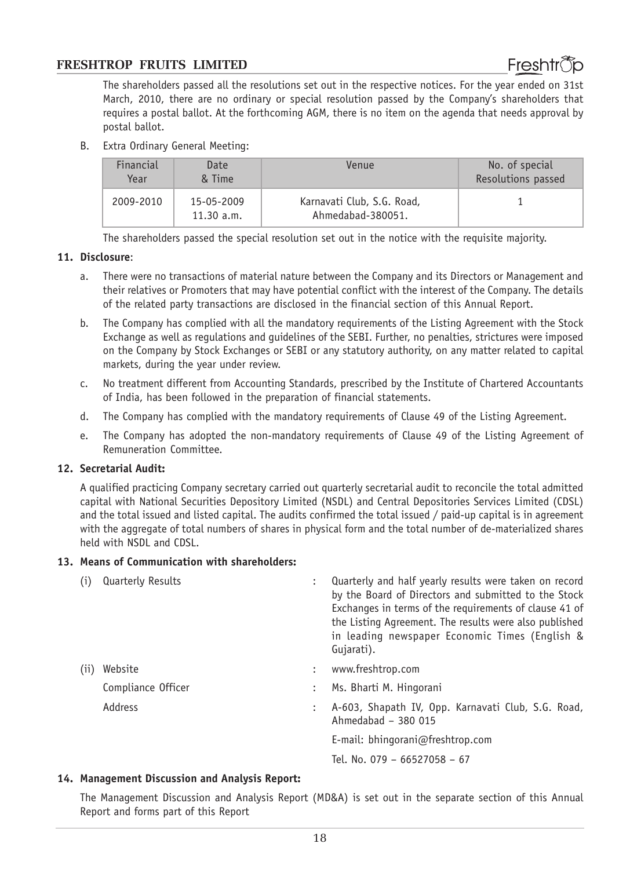

The shareholders passed all the resolutions set out in the respective notices. For the year ended on 31st March, 2010, there are no ordinary or special resolution passed by the Company's shareholders that requires a postal ballot. At the forthcoming AGM, there is no item on the agenda that needs approval by postal ballot.

B. Extra Ordinary General Meeting:

| Financial | Date                     | Venue                                           | No. of special     |
|-----------|--------------------------|-------------------------------------------------|--------------------|
| Year      | & Time                   |                                                 | Resolutions passed |
| 2009-2010 | 15-05-2009<br>11.30 a.m. | Karnavati Club, S.G. Road,<br>Ahmedabad-380051. |                    |

The shareholders passed the special resolution set out in the notice with the requisite majority.

#### **11. Disclosure**:

- a. There were no transactions of material nature between the Company and its Directors or Management and their relatives or Promoters that may have potential conflict with the interest of the Company. The details of the related party transactions are disclosed in the financial section of this Annual Report.
- b. The Company has complied with all the mandatory requirements of the Listing Agreement with the Stock Exchange as well as regulations and guidelines of the SEBI. Further, no penalties, strictures were imposed on the Company by Stock Exchanges or SEBI or any statutory authority, on any matter related to capital markets, during the year under review.
- c. No treatment different from Accounting Standards, prescribed by the Institute of Chartered Accountants of India, has been followed in the preparation of financial statements.
- d. The Company has complied with the mandatory requirements of Clause 49 of the Listing Agreement.
- e. The Company has adopted the non-mandatory requirements of Clause 49 of the Listing Agreement of Remuneration Committee.

#### **12. Secretarial Audit:**

A qualified practicing Company secretary carried out quarterly secretarial audit to reconcile the total admitted capital with National Securities Depository Limited (NSDL) and Central Depositories Services Limited (CDSL) and the total issued and listed capital. The audits confirmed the total issued / paid-up capital is in agreement with the aggregate of total numbers of shares in physical form and the total number of de-materialized shares held with NSDL and CDSL.

#### **13. Means of Communication with shareholders:**

| (i)  | <b>Quarterly Results</b> |              | Quarterly and half yearly results were taken on record<br>by the Board of Directors and submitted to the Stock<br>Exchanges in terms of the requirements of clause 41 of<br>the Listing Agreement. The results were also published<br>in leading newspaper Economic Times (English &<br>Gujarati). |
|------|--------------------------|--------------|----------------------------------------------------------------------------------------------------------------------------------------------------------------------------------------------------------------------------------------------------------------------------------------------------|
| (11) | Website                  | $\mathbb{Z}$ | www.freshtrop.com                                                                                                                                                                                                                                                                                  |
|      | Compliance Officer       |              | Ms. Bharti M. Hingorani                                                                                                                                                                                                                                                                            |
|      | Address                  |              | A-603, Shapath IV, Opp. Karnavati Club, S.G. Road,<br>Ahmedabad - 380 015                                                                                                                                                                                                                          |
|      |                          |              | E-mail: bhingorani@freshtrop.com                                                                                                                                                                                                                                                                   |
|      |                          |              | Tel. No. 079 - 66527058 - 67                                                                                                                                                                                                                                                                       |

#### **14. Management Discussion and Analysis Report:**

The Management Discussion and Analysis Report (MD&A) is set out in the separate section of this Annual Report and forms part of this Report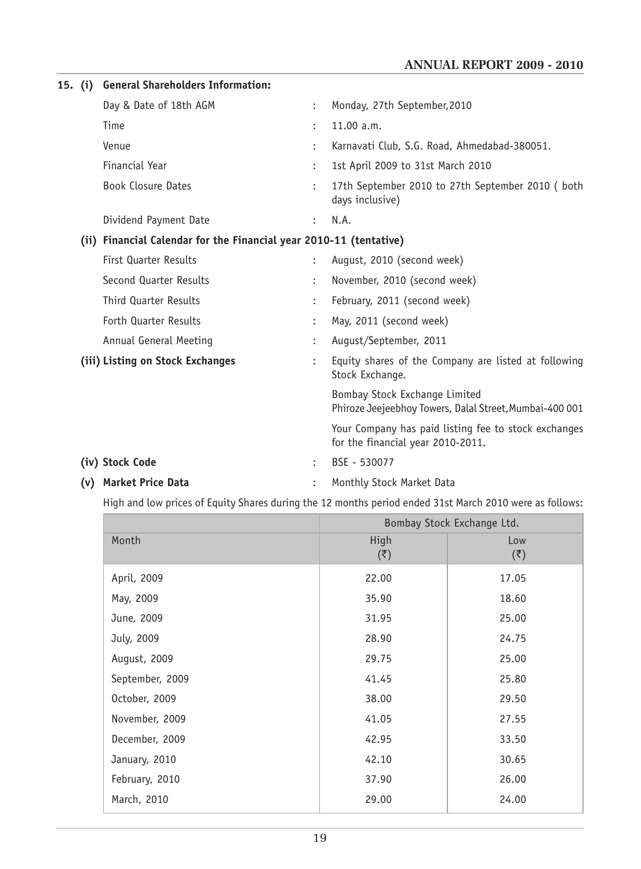| 15. (i) | <b>General Shareholders Information:</b>                           |                      |                                                                                           |
|---------|--------------------------------------------------------------------|----------------------|-------------------------------------------------------------------------------------------|
|         | Day & Date of 18th AGM                                             | $\ddot{\phantom{a}}$ | Monday, 27th September, 2010                                                              |
|         | Time                                                               |                      | 11.00 a.m.                                                                                |
|         | Venue                                                              |                      | Karnavati Club, S.G. Road, Ahmedabad-380051.                                              |
|         | Financial Year                                                     | $\ddot{\cdot}$       | 1st April 2009 to 31st March 2010                                                         |
|         | <b>Book Closure Dates</b>                                          |                      | 17th September 2010 to 27th September 2010 (both<br>days inclusive)                       |
|         | Dividend Payment Date                                              | $\ddot{\phantom{0}}$ | N.A.                                                                                      |
|         | (ii) Financial Calendar for the Financial year 2010-11 (tentative) |                      |                                                                                           |
|         | <b>First Quarter Results</b>                                       |                      | August, 2010 (second week)                                                                |
|         | Second Quarter Results                                             | $\ddot{\cdot}$       | November, 2010 (second week)                                                              |
|         | <b>Third Quarter Results</b>                                       |                      | February, 2011 (second week)                                                              |
|         | Forth Quarter Results                                              |                      | May, 2011 (second week)                                                                   |
|         | Annual General Meeting                                             |                      | August/September, 2011                                                                    |
|         | (iii) Listing on Stock Exchanges                                   |                      | Equity shares of the Company are listed at following<br>Stock Exchange.                   |
|         |                                                                    |                      | Bombay Stock Exchange Limited<br>Phiroze Jeejeebhoy Towers, Dalal Street, Mumbai-400 001  |
|         |                                                                    |                      | Your Company has paid listing fee to stock exchanges<br>for the financial year 2010-2011. |
|         | (iv) Stock Code                                                    |                      | BSE - 530077                                                                              |
|         | (v) Market Price Data                                              |                      | Monthly Stock Market Data                                                                 |

High and low prices of Equity Shares during the 12 months period ended 31st March 2010 were as follows:

|                 | Bombay Stock Exchange Ltd. |                      |  |
|-----------------|----------------------------|----------------------|--|
| Month           | High                       | Low                  |  |
|                 | $(\overline{\zeta})$       | $(\overline{\zeta})$ |  |
| April, 2009     | 22.00                      | 17.05                |  |
| May, 2009       | 35.90                      | 18.60                |  |
| June, 2009      | 31.95                      | 25.00                |  |
| July, 2009      | 28.90                      | 24.75                |  |
| August, 2009    | 29.75                      | 25.00                |  |
| September, 2009 | 41.45                      | 25.80                |  |
| October, 2009   | 38.00                      | 29.50                |  |
| November, 2009  | 41.05                      | 27.55                |  |
| December, 2009  | 42.95                      | 33.50                |  |
| January, 2010   | 42.10                      | 30.65                |  |
| February, 2010  | 37.90                      | 26.00                |  |
| March, 2010     | 29.00                      | 24.00                |  |
|                 |                            |                      |  |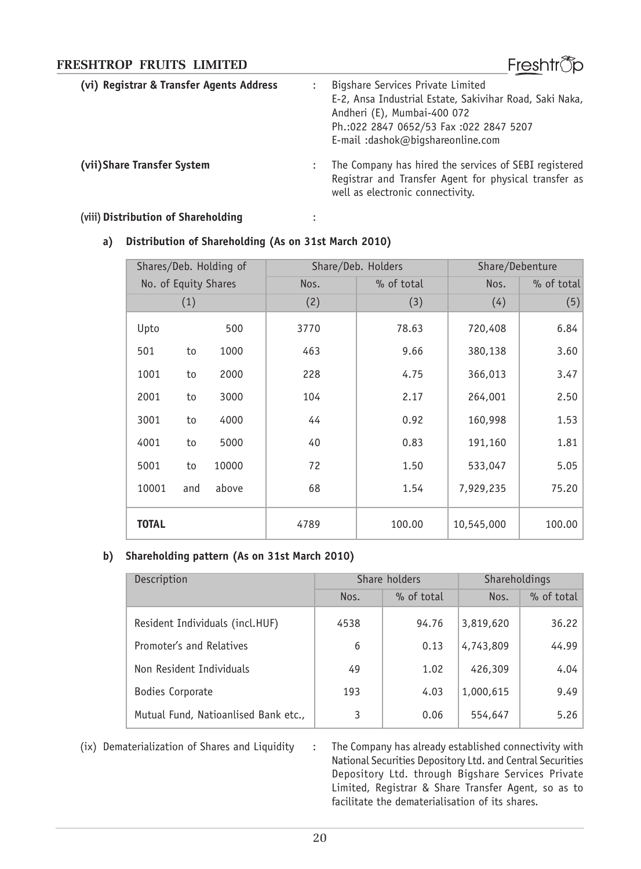| FRESHTROP FRUITS LIMITED                 | Freshtrop                                                                                                                                                                                                   |
|------------------------------------------|-------------------------------------------------------------------------------------------------------------------------------------------------------------------------------------------------------------|
| (vi) Registrar & Transfer Agents Address | Bigshare Services Private Limited<br>E-2, Ansa Industrial Estate, Sakivihar Road, Saki Naka,<br>Andheri (E), Mumbai-400 072<br>Ph.:022 2847 0652/53 Fax :022 2847 5207<br>E-mail: dashok@bigshareonline.com |
| (vii) Share Transfer System              | The Company has hired the services of SEBI registered<br>Registrar and Transfer Agent for physical transfer as<br>well as electronic connectivity.                                                          |

#### **(viii)Distribution of Shareholding** :

#### **a) Distribution of Shareholding (As on 31st March 2010)**

|                      |     | Shares/Deb. Holding of | Share/Deb. Holders |        | Share/Debenture |        |
|----------------------|-----|------------------------|--------------------|--------|-----------------|--------|
| No. of Equity Shares |     | Nos.                   | % of total         | Nos.   | % of total      |        |
|                      | (1) |                        | (2)                | (3)    | (4)             | (5)    |
| Upto                 |     | 500                    | 3770               | 78.63  | 720,408         | 6.84   |
| 501                  | to  | 1000                   | 463                | 9.66   | 380,138         | 3.60   |
| 1001                 | to  | 2000                   | 228                | 4.75   | 366,013         | 3.47   |
| 2001                 | to  | 3000                   | 104                | 2.17   | 264,001         | 2.50   |
| 3001                 | to  | 4000                   | 44                 | 0.92   | 160,998         | 1.53   |
| 4001                 | to  | 5000                   | 40                 | 0.83   | 191,160         | 1.81   |
| 5001                 | to  | 10000                  | 72                 | 1.50   | 533,047         | 5.05   |
| 10001                | and | above                  | 68                 | 1.54   | 7,929,235       | 75.20  |
| <b>TOTAL</b>         |     |                        | 4789               | 100.00 | 10,545,000      | 100.00 |

### **b) Shareholding pattern (As on 31st March 2010)**

| Description                          |      | Share holders |           | Shareholdings |  |  |
|--------------------------------------|------|---------------|-----------|---------------|--|--|
|                                      | Nos. | % of total    | Nos.      | % of total    |  |  |
| Resident Individuals (incl.HUF)      | 4538 | 94.76         | 3,819,620 | 36.22         |  |  |
| Promoter's and Relatives             | 6    | 0.13          | 4,743,809 | 44.99         |  |  |
| Non Resident Individuals             | 49   | 1.02          | 426,309   | 4.04          |  |  |
| Bodies Corporate                     | 193  | 4.03          | 1,000,615 | 9.49          |  |  |
| Mutual Fund, Natioanlised Bank etc., | 3    | 0.06          | 554,647   | 5.26          |  |  |

(ix) Dematerialization of Shares and Liquidity : The Company has already established connectivity with National Securities Depository Ltd. and Central Securities Depository Ltd. through Bigshare Services Private Limited, Registrar & Share Transfer Agent, so as to facilitate the dematerialisation of its shares.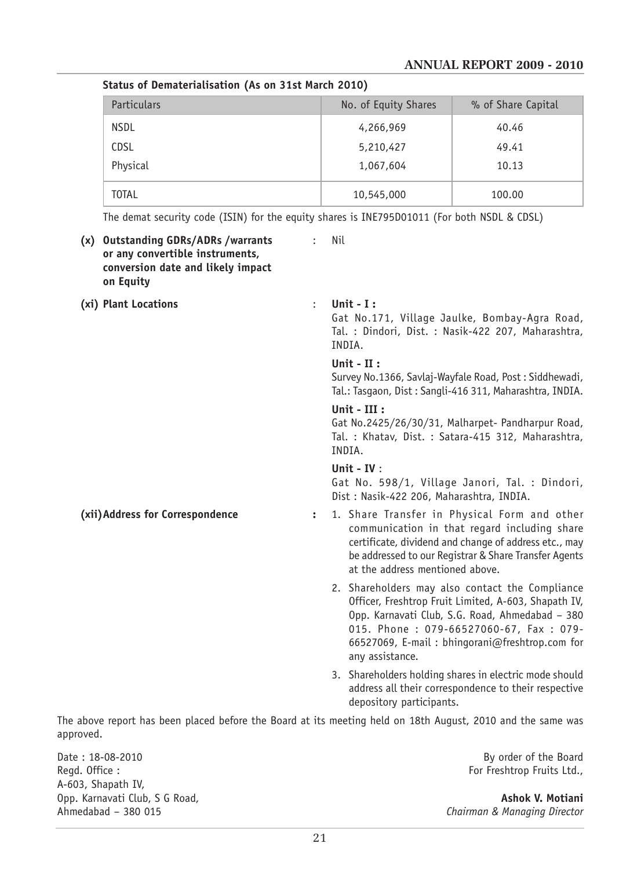#### **ANNUAL REPORT 2009 - 2010**

| Particulars  | No. of Equity Shares | % of Share Capital |  |  |  |  |
|--------------|----------------------|--------------------|--|--|--|--|
| <b>NSDL</b>  | 4,266,969            | 40.46              |  |  |  |  |
| <b>CDSL</b>  | 5,210,427            | 49.41              |  |  |  |  |
| Physical     | 1,067,604            | 10.13              |  |  |  |  |
| <b>TOTAL</b> | 10,545,000           | 100.00             |  |  |  |  |

The demat security code (ISIN) for the equity shares is INE795D01011 (For both NSDL & CDSL)

**Status of Dematerialisation (As on 31st March 2010)**

| (x) Outstanding GDRs/ADRs / warrants<br>or any convertible instruments,<br>conversion date and likely impact<br>on Equity |                      | Nil                                                                                                                                                                                                                                                                       |  |  |  |
|---------------------------------------------------------------------------------------------------------------------------|----------------------|---------------------------------------------------------------------------------------------------------------------------------------------------------------------------------------------------------------------------------------------------------------------------|--|--|--|
| (xi) Plant Locations                                                                                                      | $\ddot{\phantom{a}}$ | Unit - $I:$<br>Gat No.171, Village Jaulke, Bombay-Agra Road,<br>Tal. : Dindori, Dist. : Nasik-422 207, Maharashtra,<br>INDIA.                                                                                                                                             |  |  |  |
|                                                                                                                           |                      | Unit - $II:$<br>Survey No.1366, Savlaj-Wayfale Road, Post: Siddhewadi,<br>Tal.: Tasgaon, Dist: Sangli-416 311, Maharashtra, INDIA.<br>Unit - $III:$<br>Gat No.2425/26/30/31, Malharpet- Pandharpur Road,<br>Tal. : Khatav, Dist. : Satara-415 312, Maharashtra,<br>INDIA. |  |  |  |
|                                                                                                                           |                      |                                                                                                                                                                                                                                                                           |  |  |  |
|                                                                                                                           |                      | Unit - $IV:$<br>Gat No. 598/1, Village Janori, Tal. : Dindori,<br>Dist: Nasik-422 206, Maharashtra, INDIA.                                                                                                                                                                |  |  |  |
| (xii) Address for Correspondence                                                                                          | $\ddot{\phantom{a}}$ | 1. Share Transfer in Physical Form and other<br>communication in that regard including share<br>certificate, dividend and change of address etc., may<br>be addressed to our Registrar & Share Transfer Agents<br>at the address mentioned above.                         |  |  |  |
|                                                                                                                           |                      | 2. Shareholders may also contact the Compliance<br>Officer, Freshtrop Fruit Limited, A-603, Shapath IV,<br>Opp. Karnavati Club, S.G. Road, Ahmedabad - 380<br>015. Phone: 079-66527060-67, Fax: 079-<br>66527069, E-mail: bhingorani@freshtrop.com for<br>any assistance. |  |  |  |
|                                                                                                                           |                      | 3. Shareholders holding shares in electric mode should<br>address all their correspondence to their respective<br>depository participants.                                                                                                                                |  |  |  |

The above report has been placed before the Board at its meeting held on 18th August, 2010 and the same was approved.

Date : 18-08-2010 By order of the Board A-603, Shapath IV, Opp. Karnavati Club, S G Road, **Ashok V. Motiani** Ahmedabad – 380 015<br>Ahmedabad – 380 015

For Freshtrop Fruits Ltd.,

Ahmedabad – 380 015 *Chairman & Managing Director*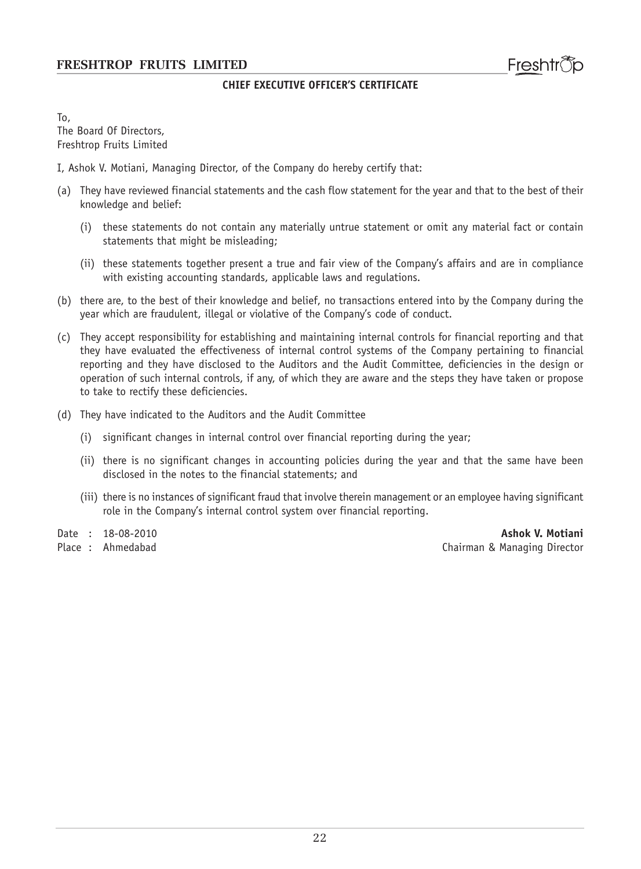#### **CHIEF EXECUTIVE OFFICER'S CERTIFICATE**

To, The Board Of Directors, Freshtrop Fruits Limited

- I, Ashok V. Motiani, Managing Director, of the Company do hereby certify that:
- (a) They have reviewed financial statements and the cash flow statement for the year and that to the best of their knowledge and belief:
	- (i) these statements do not contain any materially untrue statement or omit any material fact or contain statements that might be misleading;
	- (ii) these statements together present a true and fair view of the Company's affairs and are in compliance with existing accounting standards, applicable laws and regulations.
- (b) there are, to the best of their knowledge and belief, no transactions entered into by the Company during the year which are fraudulent, illegal or violative of the Company's code of conduct.
- (c) They accept responsibility for establishing and maintaining internal controls for financial reporting and that they have evaluated the effectiveness of internal control systems of the Company pertaining to financial reporting and they have disclosed to the Auditors and the Audit Committee, deficiencies in the design or operation of such internal controls, if any, of which they are aware and the steps they have taken or propose to take to rectify these deficiencies.
- (d) They have indicated to the Auditors and the Audit Committee
	- (i) significant changes in internal control over financial reporting during the year;
	- (ii) there is no significant changes in accounting policies during the year and that the same have been disclosed in the notes to the financial statements; and
	- (iii) there is no instances of significant fraud that involve therein management or an employee having significant role in the Company's internal control system over financial reporting.

Date : 18-08-2010 **Ashok V. Motiani** Chairman & Managing Director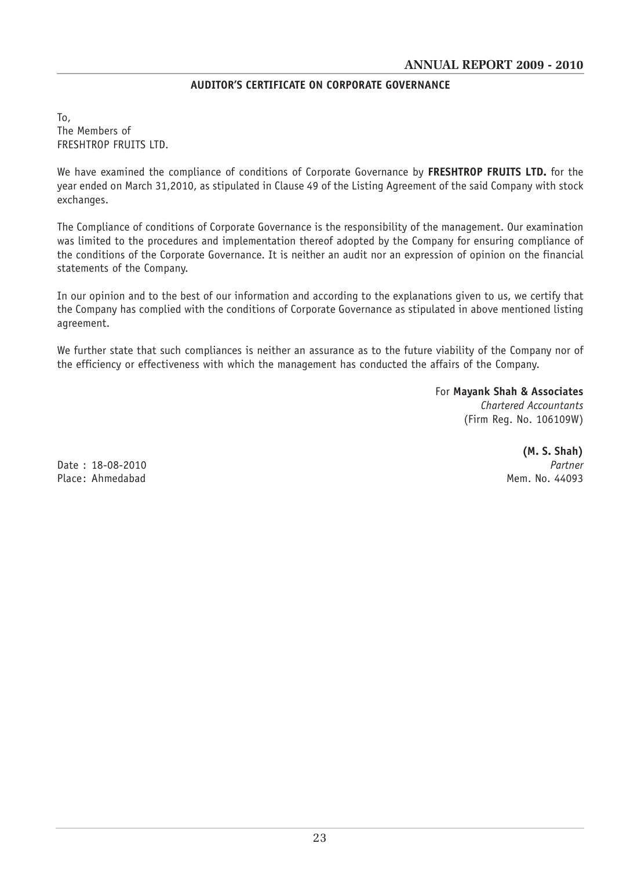#### **AUDITOR'S CERTIFICATE ON CORPORATE GOVERNANCE**

To, The Members of FRESHTROP FRUITS LTD.

We have examined the compliance of conditions of Corporate Governance by **FRESHTROP FRUITS LTD.** for the year ended on March 31,2010, as stipulated in Clause 49 of the Listing Agreement of the said Company with stock exchanges.

The Compliance of conditions of Corporate Governance is the responsibility of the management. Our examination was limited to the procedures and implementation thereof adopted by the Company for ensuring compliance of the conditions of the Corporate Governance. It is neither an audit nor an expression of opinion on the financial statements of the Company.

In our opinion and to the best of our information and according to the explanations given to us, we certify that the Company has complied with the conditions of Corporate Governance as stipulated in above mentioned listing agreement.

We further state that such compliances is neither an assurance as to the future viability of the Company nor of the efficiency or effectiveness with which the management has conducted the affairs of the Company.

> For **Mayank Shah & Associates** *Chartered Accountants* (Firm Reg. No. 106109W)

Date : 18-08-2010 *Partner* Place: Ahmedabad Mem. No. 44093

**(M. S. Shah)**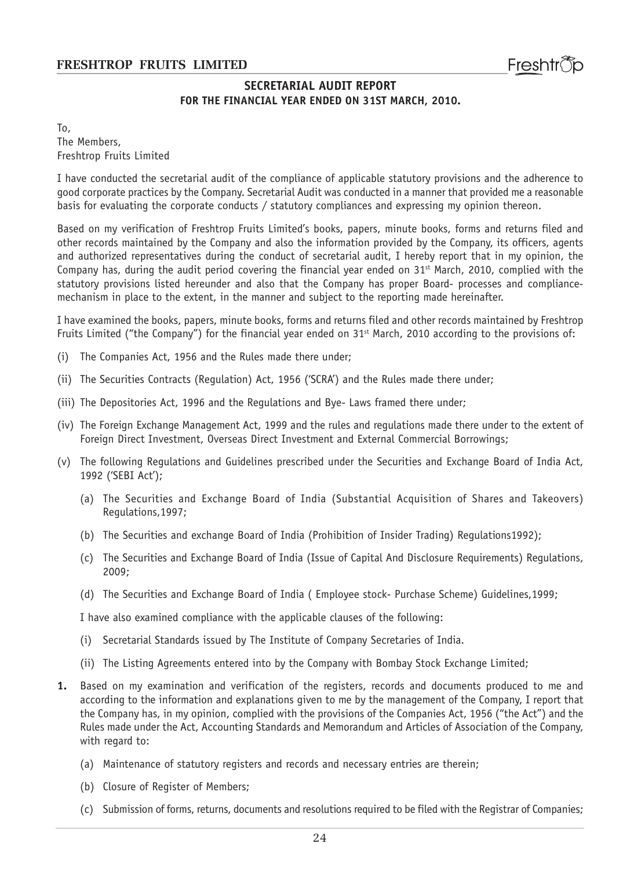#### **SECRETARIAL AUDIT REPORT FOR THE FINANCIAL YEAR ENDED ON 31ST MARCH, 2010.**

To, The Members, Freshtrop Fruits Limited

I have conducted the secretarial audit of the compliance of applicable statutory provisions and the adherence to good corporate practices by the Company. Secretarial Audit was conducted in a manner that provided me a reasonable basis for evaluating the corporate conducts / statutory compliances and expressing my opinion thereon.

Based on my verification of Freshtrop Fruits Limited's books, papers, minute books, forms and returns filed and other records maintained by the Company and also the information provided by the Company, its officers, agents and authorized representatives during the conduct of secretarial audit, I hereby report that in my opinion, the Company has, during the audit period covering the financial year ended on  $31<sup>st</sup>$  March, 2010, complied with the statutory provisions listed hereunder and also that the Company has proper Board- processes and compliancemechanism in place to the extent, in the manner and subject to the reporting made hereinafter.

I have examined the books, papers, minute books, forms and returns filed and other records maintained by Freshtrop Fruits Limited ("the Company") for the financial year ended on  $31<sup>st</sup>$  March, 2010 according to the provisions of:

- (i) The Companies Act, 1956 and the Rules made there under;
- (ii) The Securities Contracts (Regulation) Act, 1956 ('SCRA') and the Rules made there under;
- (iii) The Depositories Act, 1996 and the Regulations and Bye- Laws framed there under;
- (iv) The Foreign Exchange Management Act, 1999 and the rules and regulations made there under to the extent of Foreign Direct Investment, Overseas Direct Investment and External Commercial Borrowings;
- (v) The following Regulations and Guidelines prescribed under the Securities and Exchange Board of India Act, 1992 ('SEBI Act');
	- (a) The Securities and Exchange Board of India (Substantial Acquisition of Shares and Takeovers) Regulations,1997;
	- (b) The Securities and exchange Board of India (Prohibition of Insider Trading) Regulations1992);
	- (c) The Securities and Exchange Board of India (Issue of Capital And Disclosure Requirements) Regulations, 2009;
	- (d) The Securities and Exchange Board of India ( Employee stock- Purchase Scheme) Guidelines,1999;

I have also examined compliance with the applicable clauses of the following:

- (i) Secretarial Standards issued by The Institute of Company Secretaries of India.
- (ii) The Listing Agreements entered into by the Company with Bombay Stock Exchange Limited;
- **1.** Based on my examination and verification of the registers, records and documents produced to me and according to the information and explanations given to me by the management of the Company, I report that the Company has, in my opinion, complied with the provisions of the Companies Act, 1956 ("the Act") and the Rules made under the Act, Accounting Standards and Memorandum and Articles of Association of the Company, with regard to:
	- (a) Maintenance of statutory registers and records and necessary entries are therein;
	- (b) Closure of Register of Members;
	- (c) Submission of forms, returns, documents and resolutions required to be filed with the Registrar of Companies;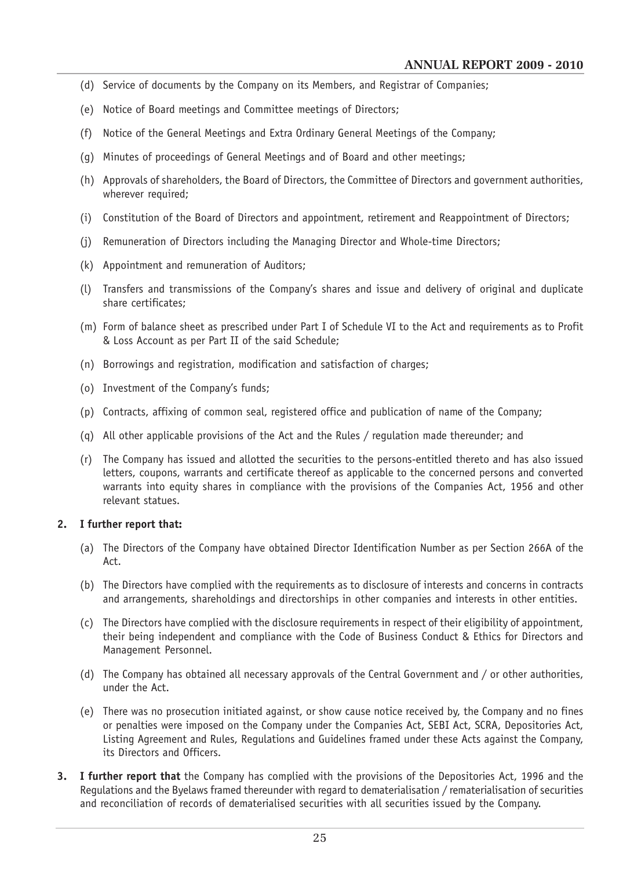- (d) Service of documents by the Company on its Members, and Registrar of Companies;
- (e) Notice of Board meetings and Committee meetings of Directors;
- (f) Notice of the General Meetings and Extra Ordinary General Meetings of the Company;
- (g) Minutes of proceedings of General Meetings and of Board and other meetings;
- (h) Approvals of shareholders, the Board of Directors, the Committee of Directors and government authorities, wherever required;
- (i) Constitution of the Board of Directors and appointment, retirement and Reappointment of Directors;
- (j) Remuneration of Directors including the Managing Director and Whole-time Directors;
- (k) Appointment and remuneration of Auditors;
- (l) Transfers and transmissions of the Company's shares and issue and delivery of original and duplicate share certificates;
- (m) Form of balance sheet as prescribed under Part I of Schedule VI to the Act and requirements as to Profit & Loss Account as per Part II of the said Schedule;
- (n) Borrowings and registration, modification and satisfaction of charges;
- (o) Investment of the Company's funds;
- (p) Contracts, affixing of common seal, registered office and publication of name of the Company;
- (q) All other applicable provisions of the Act and the Rules / regulation made thereunder; and
- (r) The Company has issued and allotted the securities to the persons-entitled thereto and has also issued letters, coupons, warrants and certificate thereof as applicable to the concerned persons and converted warrants into equity shares in compliance with the provisions of the Companies Act, 1956 and other relevant statues.

#### **2. I further report that:**

- (a) The Directors of the Company have obtained Director Identification Number as per Section 266A of the Act.
- (b) The Directors have complied with the requirements as to disclosure of interests and concerns in contracts and arrangements, shareholdings and directorships in other companies and interests in other entities.
- (c) The Directors have complied with the disclosure requirements in respect of their eligibility of appointment, their being independent and compliance with the Code of Business Conduct & Ethics for Directors and Management Personnel.
- (d) The Company has obtained all necessary approvals of the Central Government and / or other authorities, under the Act.
- (e) There was no prosecution initiated against, or show cause notice received by, the Company and no fines or penalties were imposed on the Company under the Companies Act, SEBI Act, SCRA, Depositories Act, Listing Agreement and Rules, Regulations and Guidelines framed under these Acts against the Company, its Directors and Officers.
- **3. I further report that** the Company has complied with the provisions of the Depositories Act, 1996 and the Regulations and the Byelaws framed thereunder with regard to dematerialisation / rematerialisation of securities and reconciliation of records of dematerialised securities with all securities issued by the Company.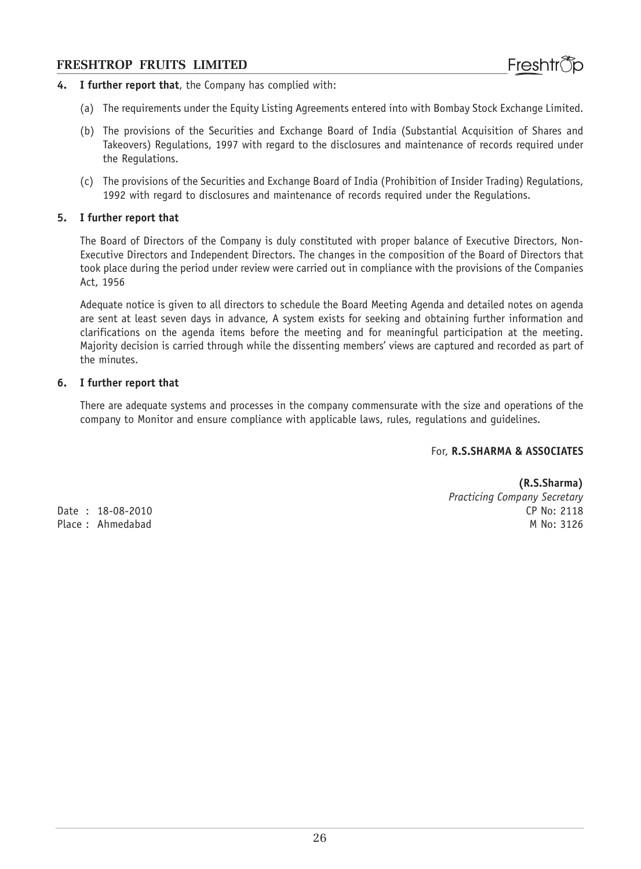- **4. I further report that**, the Company has complied with:
	- (a) The requirements under the Equity Listing Agreements entered into with Bombay Stock Exchange Limited.
	- (b) The provisions of the Securities and Exchange Board of India (Substantial Acquisition of Shares and Takeovers) Regulations, 1997 with regard to the disclosures and maintenance of records required under the Regulations.
	- (c) The provisions of the Securities and Exchange Board of India (Prohibition of Insider Trading) Regulations, 1992 with regard to disclosures and maintenance of records required under the Regulations.

#### **5. I further report that**

The Board of Directors of the Company is duly constituted with proper balance of Executive Directors, Non-Executive Directors and Independent Directors. The changes in the composition of the Board of Directors that took place during the period under review were carried out in compliance with the provisions of the Companies Act, 1956

Adequate notice is given to all directors to schedule the Board Meeting Agenda and detailed notes on agenda are sent at least seven days in advance, A system exists for seeking and obtaining further information and clarifications on the agenda items before the meeting and for meaningful participation at the meeting. Majority decision is carried through while the dissenting members' views are captured and recorded as part of the minutes.

#### **6. I further report that**

There are adequate systems and processes in the company commensurate with the size and operations of the company to Monitor and ensure compliance with applicable laws, rules, regulations and guidelines.

#### For, **R.S.SHARMA & ASSOCIATES**

Place: Ahmedabad

**(R.S.Sharma)** *Practicing Company Secretary* Date : 18-08-2010 CP No: 2118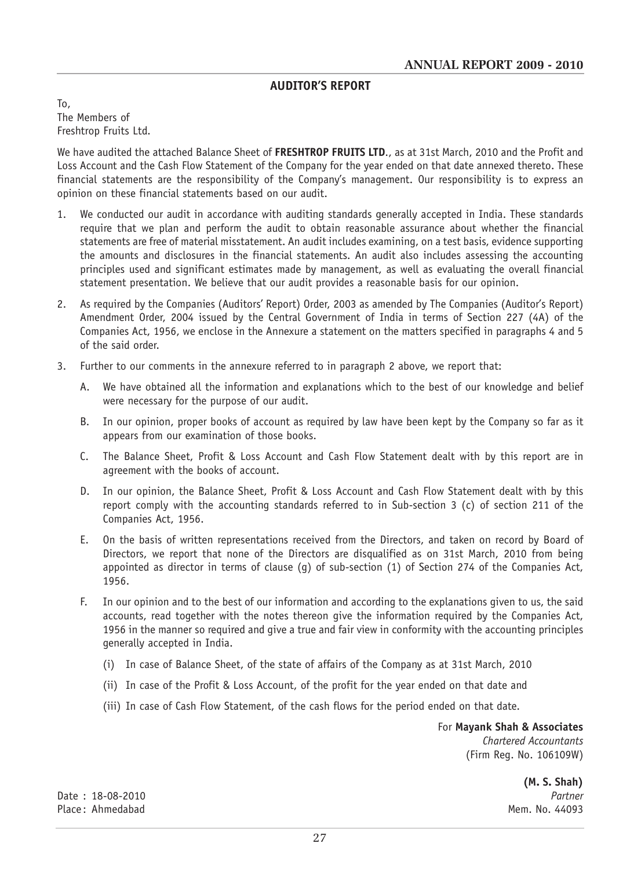# **AUDITOR'S REPORT**

To, The Members of Freshtrop Fruits Ltd.

We have audited the attached Balance Sheet of **FRESHTROP FRUITS LTD**., as at 31st March, 2010 and the Profit and Loss Account and the Cash Flow Statement of the Company for the year ended on that date annexed thereto. These financial statements are the responsibility of the Company's management. Our responsibility is to express an opinion on these financial statements based on our audit.

- 1. We conducted our audit in accordance with auditing standards generally accepted in India. These standards require that we plan and perform the audit to obtain reasonable assurance about whether the financial statements are free of material misstatement. An audit includes examining, on a test basis, evidence supporting the amounts and disclosures in the financial statements. An audit also includes assessing the accounting principles used and significant estimates made by management, as well as evaluating the overall financial statement presentation. We believe that our audit provides a reasonable basis for our opinion.
- 2. As required by the Companies (Auditors' Report) Order, 2003 as amended by The Companies (Auditor's Report) Amendment Order, 2004 issued by the Central Government of India in terms of Section 227 (4A) of the Companies Act, 1956, we enclose in the Annexure a statement on the matters specified in paragraphs 4 and 5 of the said order.
- 3. Further to our comments in the annexure referred to in paragraph 2 above, we report that:
	- A. We have obtained all the information and explanations which to the best of our knowledge and belief were necessary for the purpose of our audit.
	- B. In our opinion, proper books of account as required by law have been kept by the Company so far as it appears from our examination of those books.
	- C. The Balance Sheet, Profit & Loss Account and Cash Flow Statement dealt with by this report are in agreement with the books of account.
	- D. In our opinion, the Balance Sheet, Profit & Loss Account and Cash Flow Statement dealt with by this report comply with the accounting standards referred to in Sub-section 3 (c) of section 211 of the Companies Act, 1956.
	- E. On the basis of written representations received from the Directors, and taken on record by Board of Directors, we report that none of the Directors are disqualified as on 31st March, 2010 from being appointed as director in terms of clause (g) of sub-section (1) of Section 274 of the Companies Act, 1956.
	- F. In our opinion and to the best of our information and according to the explanations given to us, the said accounts, read together with the notes thereon give the information required by the Companies Act, 1956 in the manner so required and give a true and fair view in conformity with the accounting principles generally accepted in India.
		- (i) In case of Balance Sheet, of the state of affairs of the Company as at 31st March, 2010
		- (ii) In case of the Profit & Loss Account, of the profit for the year ended on that date and
		- (iii) In case of Cash Flow Statement, of the cash flows for the period ended on that date.

For **Mayank Shah & Associates** *Chartered Accountants* (Firm Reg. No. 106109W)

**(M. S. Shah)**

Date : 18-08-2010 *Partner* Place: Ahmedabad Mem. No. 44093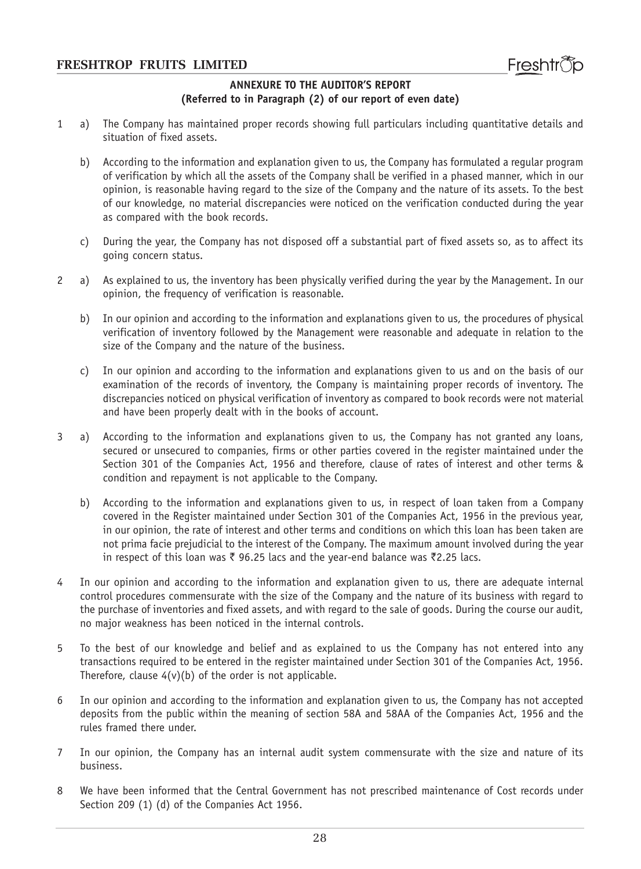#### **ANNEXURE TO THE AUDITOR'S REPORT (Referred to in Paragraph (2) of our report of even date)**

- 1 a) The Company has maintained proper records showing full particulars including quantitative details and situation of fixed assets.
	- b) According to the information and explanation given to us, the Company has formulated a regular program of verification by which all the assets of the Company shall be verified in a phased manner, which in our opinion, is reasonable having regard to the size of the Company and the nature of its assets. To the best of our knowledge, no material discrepancies were noticed on the verification conducted during the year as compared with the book records.
	- c) During the year, the Company has not disposed off a substantial part of fixed assets so, as to affect its going concern status.
- 2 a) As explained to us, the inventory has been physically verified during the year by the Management. In our opinion, the frequency of verification is reasonable.
	- b) In our opinion and according to the information and explanations given to us, the procedures of physical verification of inventory followed by the Management were reasonable and adequate in relation to the size of the Company and the nature of the business.
	- c) In our opinion and according to the information and explanations given to us and on the basis of our examination of the records of inventory, the Company is maintaining proper records of inventory. The discrepancies noticed on physical verification of inventory as compared to book records were not material and have been properly dealt with in the books of account.
- 3 a) According to the information and explanations given to us, the Company has not granted any loans, secured or unsecured to companies, firms or other parties covered in the register maintained under the Section 301 of the Companies Act, 1956 and therefore, clause of rates of interest and other terms & condition and repayment is not applicable to the Company.
	- b) According to the information and explanations given to us, in respect of loan taken from a Company covered in the Register maintained under Section 301 of the Companies Act, 1956 in the previous year, in our opinion, the rate of interest and other terms and conditions on which this loan has been taken are not prima facie prejudicial to the interest of the Company. The maximum amount involved during the year in respect of this loan was  $\bar{\tau}$  96.25 lacs and the year-end balance was  $\bar{\tau}$ 2.25 lacs.
- 4 In our opinion and according to the information and explanation given to us, there are adequate internal control procedures commensurate with the size of the Company and the nature of its business with regard to the purchase of inventories and fixed assets, and with regard to the sale of goods. During the course our audit, no major weakness has been noticed in the internal controls.
- 5 To the best of our knowledge and belief and as explained to us the Company has not entered into any transactions required to be entered in the register maintained under Section 301 of the Companies Act, 1956. Therefore, clause  $4(v)(b)$  of the order is not applicable.
- 6 In our opinion and according to the information and explanation given to us, the Company has not accepted deposits from the public within the meaning of section 58A and 58AA of the Companies Act, 1956 and the rules framed there under.
- 7 In our opinion, the Company has an internal audit system commensurate with the size and nature of its business.
- 8 We have been informed that the Central Government has not prescribed maintenance of Cost records under Section 209 (1) (d) of the Companies Act 1956.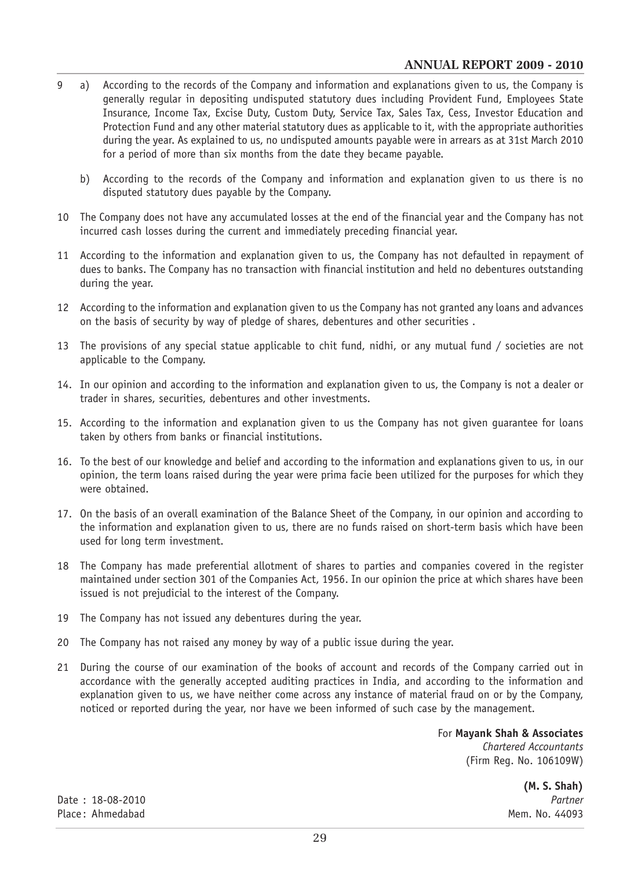- 9 a) According to the records of the Company and information and explanations given to us, the Company is generally regular in depositing undisputed statutory dues including Provident Fund, Employees State Insurance, Income Tax, Excise Duty, Custom Duty, Service Tax, Sales Tax, Cess, Investor Education and Protection Fund and any other material statutory dues as applicable to it, with the appropriate authorities during the year. As explained to us, no undisputed amounts payable were in arrears as at 31st March 2010 for a period of more than six months from the date they became payable.
	- b) According to the records of the Company and information and explanation given to us there is no disputed statutory dues payable by the Company.
- 10 The Company does not have any accumulated losses at the end of the financial year and the Company has not incurred cash losses during the current and immediately preceding financial year.
- 11 According to the information and explanation given to us, the Company has not defaulted in repayment of dues to banks. The Company has no transaction with financial institution and held no debentures outstanding during the year.
- 12 According to the information and explanation given to us the Company has not granted any loans and advances on the basis of security by way of pledge of shares, debentures and other securities .
- 13 The provisions of any special statue applicable to chit fund, nidhi, or any mutual fund / societies are not applicable to the Company.
- 14. In our opinion and according to the information and explanation given to us, the Company is not a dealer or trader in shares, securities, debentures and other investments.
- 15. According to the information and explanation given to us the Company has not given guarantee for loans taken by others from banks or financial institutions.
- 16. To the best of our knowledge and belief and according to the information and explanations given to us, in our opinion, the term loans raised during the year were prima facie been utilized for the purposes for which they were obtained.
- 17. On the basis of an overall examination of the Balance Sheet of the Company, in our opinion and according to the information and explanation given to us, there are no funds raised on short-term basis which have been used for long term investment.
- 18 The Company has made preferential allotment of shares to parties and companies covered in the register maintained under section 301 of the Companies Act, 1956. In our opinion the price at which shares have been issued is not prejudicial to the interest of the Company.
- 19 The Company has not issued any debentures during the year.
- 20 The Company has not raised any money by way of a public issue during the year.
- 21 During the course of our examination of the books of account and records of the Company carried out in accordance with the generally accepted auditing practices in India, and according to the information and explanation given to us, we have neither come across any instance of material fraud on or by the Company, noticed or reported during the year, nor have we been informed of such case by the management.

For **Mayank Shah & Associates**

*Chartered Accountants* (Firm Reg. No. 106109W)

**(M. S. Shah)**

Date : 18-08-2010 *Partner* Place: Ahmedabad Mem. No. 44093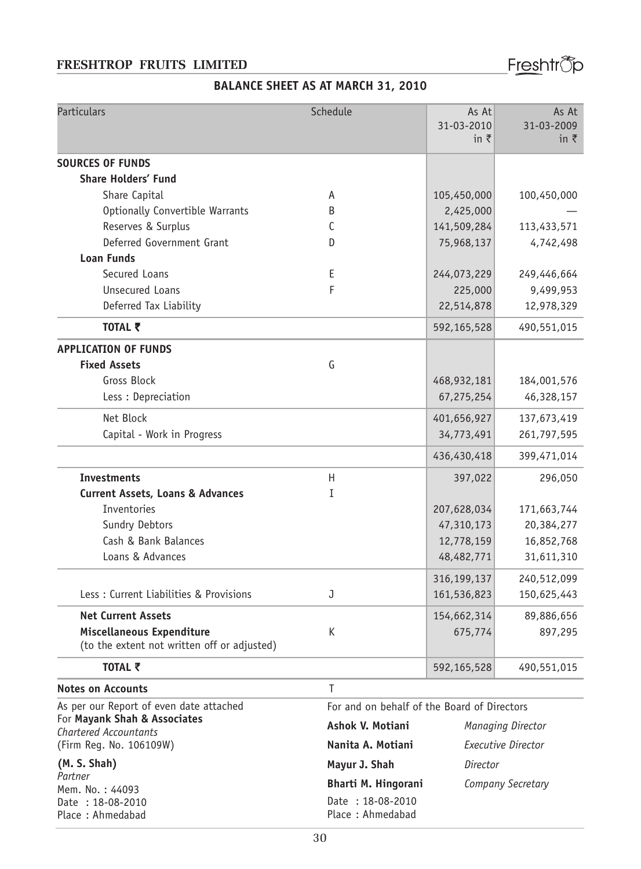Freshtr<sup>®</sup>p

# **BALANCE SHEET AS AT MARCH 31, 2010**

| Particulars                                                  | Schedule            | As At<br>31-03-2010<br>in $\bar{z}$         | As At<br>31-03-2009<br>in $\bar{\tau}$ |  |
|--------------------------------------------------------------|---------------------|---------------------------------------------|----------------------------------------|--|
| <b>SOURCES OF FUNDS</b>                                      |                     |                                             |                                        |  |
| <b>Share Holders' Fund</b>                                   |                     |                                             |                                        |  |
| Share Capital                                                | A                   | 105,450,000                                 | 100,450,000                            |  |
| Optionally Convertible Warrants                              | B                   | 2,425,000                                   |                                        |  |
| Reserves & Surplus                                           | C                   | 141,509,284                                 | 113,433,571                            |  |
| Deferred Government Grant                                    | D                   | 75,968,137                                  | 4,742,498                              |  |
| <b>Loan Funds</b>                                            |                     |                                             |                                        |  |
| Secured Loans                                                | Ε                   | 244,073,229                                 | 249,446,664                            |  |
| <b>Unsecured Loans</b>                                       | F                   | 225,000                                     | 9,499,953                              |  |
| Deferred Tax Liability                                       |                     | 22,514,878                                  | 12,978,329                             |  |
| TOTAL そ                                                      |                     | 592,165,528                                 | 490,551,015                            |  |
| <b>APPLICATION OF FUNDS</b>                                  |                     |                                             |                                        |  |
| <b>Fixed Assets</b>                                          | G                   |                                             |                                        |  |
| <b>Gross Block</b>                                           |                     | 468,932,181                                 | 184,001,576                            |  |
| Less : Depreciation                                          |                     | 67,275,254                                  | 46,328,157                             |  |
| Net Block                                                    |                     | 401,656,927                                 | 137,673,419                            |  |
| Capital - Work in Progress                                   |                     | 34,773,491                                  | 261,797,595                            |  |
|                                                              |                     | 436,430,418                                 | 399,471,014                            |  |
| <b>Investments</b>                                           | H                   | 397,022                                     | 296,050                                |  |
| <b>Current Assets, Loans &amp; Advances</b>                  | I                   |                                             |                                        |  |
| Inventories                                                  |                     | 207,628,034                                 | 171,663,744                            |  |
| Sundry Debtors                                               |                     | 47,310,173                                  | 20,384,277                             |  |
| Cash & Bank Balances                                         |                     | 12,778,159                                  | 16,852,768                             |  |
| Loans & Advances                                             |                     | 48,482,771                                  | 31,611,310                             |  |
|                                                              |                     | 316,199,137                                 | 240,512,099                            |  |
| Less : Current Liabilities & Provisions                      | J                   | 161,536,823                                 | 150,625,443                            |  |
| <b>Net Current Assets</b>                                    |                     | 154,662,314                                 | 89,886,656                             |  |
| Miscellaneous Expenditure                                    | K                   | 675,774                                     | 897,295                                |  |
| (to the extent not written off or adjusted)                  |                     |                                             |                                        |  |
| TOTAL そ                                                      |                     | 592,165,528                                 | 490,551,015                            |  |
| <b>Notes on Accounts</b>                                     | Τ                   |                                             |                                        |  |
| As per our Report of even date attached                      |                     | For and on behalf of the Board of Directors |                                        |  |
| For Mayank Shah & Associates<br><b>Chartered Accountants</b> | Ashok V. Motiani    | Managing Director                           |                                        |  |
| (Firm Reg. No. 106109W)                                      | Nanita A. Motiani   | <b>Executive Director</b>                   |                                        |  |
| (M. S. Shah)                                                 | Mayur J. Shah       | Director                                    |                                        |  |
| Partner                                                      | Bharti M. Hingorani | Company Secretary                           |                                        |  |
| Mem. No.: 44093<br>Date: 18-08-2010                          | Date: 18-08-2010    |                                             |                                        |  |
| Place: Ahmedabad                                             | Place: Ahmedabad    |                                             |                                        |  |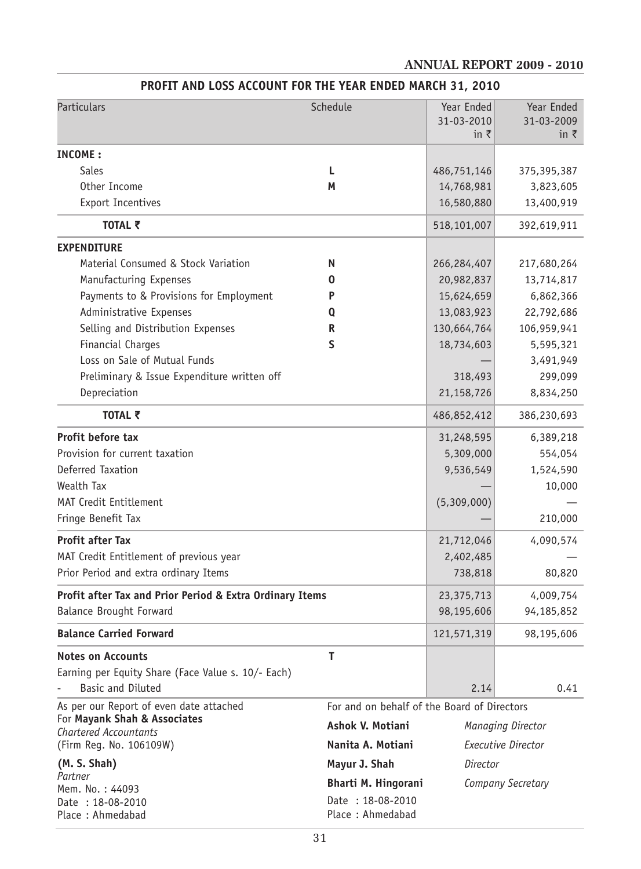# **ANNUAL REPORT 2009 - 2010**

| <b>Particulars</b>                                       | Schedule                                    | Year Ended<br>31-03-2010<br>in $\bar{z}$ | Year Ended<br>31-03-2009<br>in $\bar{\tau}$ |
|----------------------------------------------------------|---------------------------------------------|------------------------------------------|---------------------------------------------|
| INCOME:                                                  |                                             |                                          |                                             |
| Sales                                                    | L.                                          | 486,751,146                              | 375,395,387                                 |
| Other Income                                             | М                                           | 14,768,981                               | 3,823,605                                   |
| <b>Export Incentives</b>                                 |                                             | 16,580,880                               | 13,400,919                                  |
| TOTAL ₹                                                  |                                             | 518,101,007                              | 392,619,911                                 |
| <b>EXPENDITURE</b>                                       |                                             |                                          |                                             |
| Material Consumed & Stock Variation                      | N                                           | 266,284,407                              | 217,680,264                                 |
| Manufacturing Expenses                                   | 0                                           | 20,982,837                               | 13,714,817                                  |
| Payments to & Provisions for Employment                  | P                                           | 15,624,659                               | 6,862,366                                   |
| Administrative Expenses                                  | Q                                           | 13,083,923                               | 22,792,686                                  |
| Selling and Distribution Expenses                        | R                                           | 130,664,764                              | 106,959,941                                 |
| Financial Charges                                        | S                                           | 18,734,603                               | 5,595,321                                   |
| Loss on Sale of Mutual Funds                             |                                             |                                          | 3,491,949                                   |
| Preliminary & Issue Expenditure written off              |                                             | 318,493                                  | 299,099                                     |
| Depreciation                                             |                                             | 21,158,726                               | 8,834,250                                   |
| TOTAL ₹                                                  |                                             | 486,852,412                              | 386,230,693                                 |
| Profit before tax                                        |                                             | 31,248,595                               | 6,389,218                                   |
| Provision for current taxation                           |                                             | 5,309,000                                | 554,054                                     |
| Deferred Taxation                                        |                                             | 9,536,549                                | 1,524,590                                   |
| Wealth Tax                                               |                                             |                                          | 10,000                                      |
| <b>MAT Credit Entitlement</b>                            |                                             | (5,309,000)                              |                                             |
| Fringe Benefit Tax                                       |                                             |                                          | 210,000                                     |
| <b>Profit after Tax</b>                                  |                                             | 21,712,046                               | 4,090,574                                   |
| MAT Credit Entitlement of previous year                  |                                             | 2,402,485                                |                                             |
| Prior Period and extra ordinary Items                    |                                             | 738,818                                  | 80,820                                      |
| Profit after Tax and Prior Period & Extra Ordinary Items |                                             | 23, 375, 713                             | 4,009,754                                   |
| <b>Balance Brought Forward</b>                           |                                             | 98,195,606                               | 94,185,852                                  |
| <b>Balance Carried Forward</b>                           |                                             | 121,571,319                              | 98,195,606                                  |
| <b>Notes on Accounts</b>                                 | T                                           |                                          |                                             |
| Earning per Equity Share (Face Value s. 10/- Each)       |                                             |                                          |                                             |
| Basic and Diluted                                        |                                             | 2.14                                     | 0.41                                        |
| As per our Report of even date attached                  | For and on behalf of the Board of Directors |                                          |                                             |
| For Mayank Shah & Associates<br>Chartered Accountants    | Ashok V. Motiani                            |                                          | Managing Director                           |
| (Firm Reg. No. 106109W)                                  | Nanita A. Motiani                           |                                          | Executive Director                          |
| (M. S. Shah)                                             | Mayur J. Shah                               | Director                                 |                                             |
| Partner                                                  | <b>Bharti M. Hingorani</b>                  |                                          | Company Secretary                           |
| Mem. No.: 44093<br>Date: 18-08-2010                      | Date: 18-08-2010                            |                                          |                                             |
| Place: Ahmedabad                                         | Place: Ahmedabad                            |                                          |                                             |

# **PROFIT AND LOSS ACCOUNT FOR THE YEAR ENDED MARCH 31, 2010**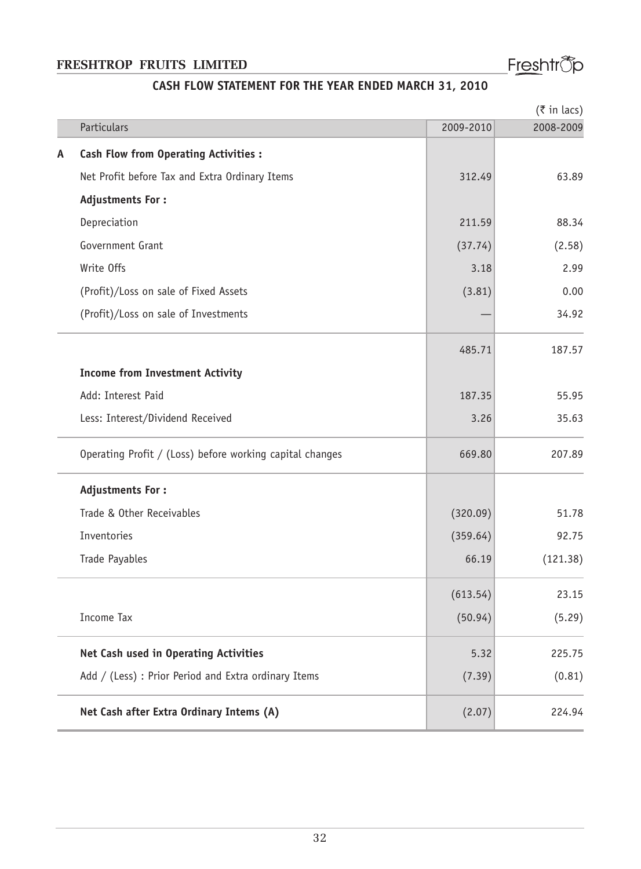# Freshtr<sup>®</sup>p

# **CASH FLOW STATEMENT FOR THE YEAR ENDED MARCH 31, 2010**

|   |                                                          | $(5 \in \mathbb{R})$ |           |  |
|---|----------------------------------------------------------|----------------------|-----------|--|
|   | Particulars                                              | 2009-2010            | 2008-2009 |  |
| A | <b>Cash Flow from Operating Activities:</b>              |                      |           |  |
|   | Net Profit before Tax and Extra Ordinary Items           | 312.49               | 63.89     |  |
|   | <b>Adjustments For:</b>                                  |                      |           |  |
|   | Depreciation                                             | 211.59               | 88.34     |  |
|   | Government Grant                                         | (37.74)              | (2.58)    |  |
|   | Write Offs                                               | 3.18                 | 2.99      |  |
|   | (Profit)/Loss on sale of Fixed Assets                    | (3.81)               | 0.00      |  |
|   | (Profit)/Loss on sale of Investments                     |                      | 34.92     |  |
|   |                                                          | 485.71               | 187.57    |  |
|   | <b>Income from Investment Activity</b>                   |                      |           |  |
|   | Add: Interest Paid                                       | 187.35               | 55.95     |  |
|   | Less: Interest/Dividend Received                         | 3.26                 | 35.63     |  |
|   | Operating Profit / (Loss) before working capital changes | 669.80               | 207.89    |  |
|   | <b>Adjustments For:</b>                                  |                      |           |  |
|   | Trade & Other Receivables                                | (320.09)             | 51.78     |  |
|   | Inventories                                              | (359.64)             | 92.75     |  |
|   | Trade Payables                                           | 66.19                | (121.38)  |  |
|   |                                                          | (613.54)             | 23.15     |  |
|   | <b>Income Tax</b>                                        | (50.94)              | (5.29)    |  |
|   | Net Cash used in Operating Activities                    | 5.32                 | 225.75    |  |
|   | Add / (Less) : Prior Period and Extra ordinary Items     | (7.39)               | (0.81)    |  |
|   | Net Cash after Extra Ordinary Intems (A)                 | (2.07)               | 224.94    |  |
|   |                                                          |                      |           |  |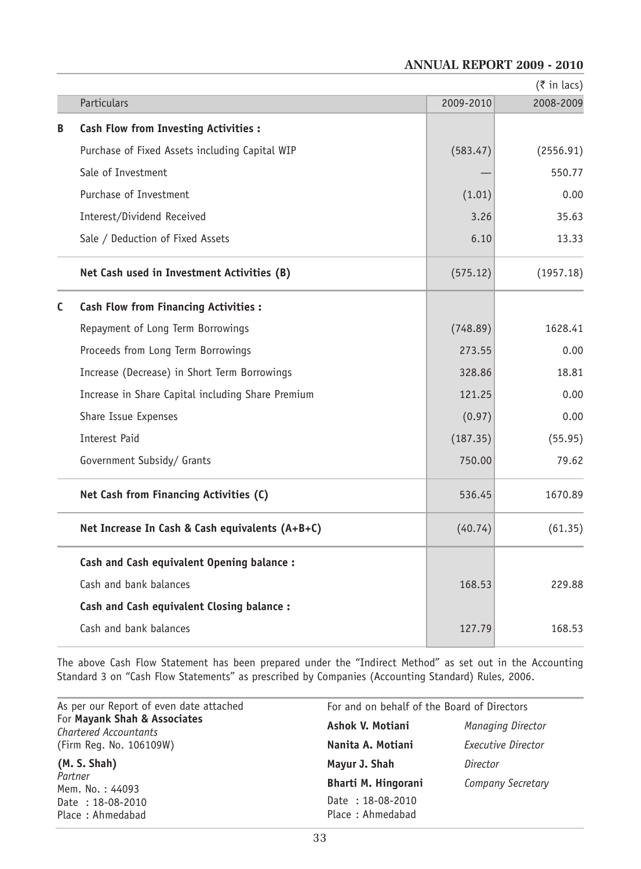#### **ANNUAL REPORT 2009 - 2010**

|   |                                                   |           | $(3\overline{5})$ in lacs) |
|---|---------------------------------------------------|-----------|----------------------------|
|   | Particulars                                       | 2009-2010 | 2008-2009                  |
| B | <b>Cash Flow from Investing Activities:</b>       |           |                            |
|   | Purchase of Fixed Assets including Capital WIP    | (583.47)  | (2556.91)                  |
|   | Sale of Investment                                |           | 550.77                     |
|   | Purchase of Investment                            | (1.01)    | 0.00                       |
|   | Interest/Dividend Received                        | 3.26      | 35.63                      |
|   | Sale / Deduction of Fixed Assets                  | 6.10      | 13.33                      |
|   | Net Cash used in Investment Activities (B)        | (575.12)  | (1957.18)                  |
| C | <b>Cash Flow from Financing Activities:</b>       |           |                            |
|   | Repayment of Long Term Borrowings                 | (748.89)  | 1628.41                    |
|   | Proceeds from Long Term Borrowings                | 273.55    | 0.00                       |
|   | Increase (Decrease) in Short Term Borrowings      | 328.86    | 18.81                      |
|   | Increase in Share Capital including Share Premium | 121.25    | 0.00                       |
|   | Share Issue Expenses                              | (0.97)    | 0.00                       |
|   | Interest Paid                                     | (187.35)  | (55.95)                    |
|   | Government Subsidy/ Grants                        | 750.00    | 79.62                      |
|   | Net Cash from Financing Activities (C)            | 536.45    | 1670.89                    |
|   | Net Increase In Cash & Cash equivalents (A+B+C)   | (40.74)   | (61.35)                    |
|   | Cash and Cash equivalent Opening balance :        |           |                            |
|   | Cash and bank balances                            | 168.53    | 229.88                     |
|   | Cash and Cash equivalent Closing balance :        |           |                            |
|   | Cash and bank balances                            | 127.79    | 168.53                     |
|   |                                                   |           |                            |

The above Cash Flow Statement has been prepared under the "Indirect Method" as set out in the Accounting Standard 3 on "Cash Flow Statements" as prescribed by Companies (Accounting Standard) Rules, 2006.

| As per our Report of even date attached                      | For and on behalf of the Board of Directors |                          |  |  |
|--------------------------------------------------------------|---------------------------------------------|--------------------------|--|--|
| For Mayank Shah & Associates<br><b>Chartered Accountants</b> | Ashok V. Motiani                            | <b>Managing Director</b> |  |  |
| (Firm Req. No. 106109W)                                      | Nanita A. Motiani                           | Executive Director       |  |  |
| (M. S. Shah)                                                 | Mayur J. Shah                               | Director                 |  |  |
| Partner<br>Mem. No.: 44093                                   | Bharti M. Hingorani                         | Company Secretary        |  |  |
| Date: 18-08-2010<br>Place: Ahmedabad                         | Date: 18-08-2010<br>Place: Ahmedabad        |                          |  |  |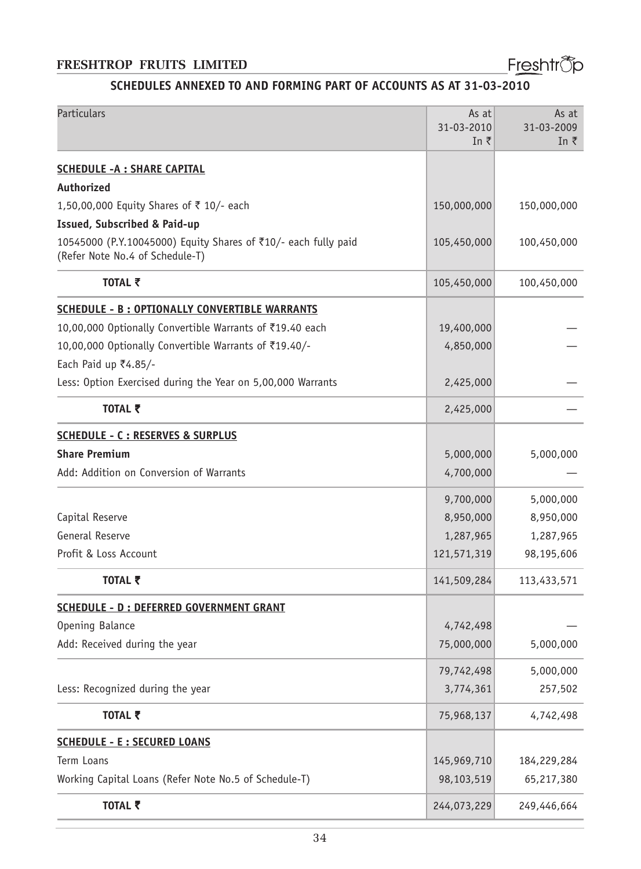Freshtrop

# **SCHEDULES ANNEXED TO AND FORMING PART OF ACCOUNTS AS AT 31-03-2010**

| Particulars                                                                                       | As at<br>31-03-2010<br>In ₹ | As at<br>31-03-2009<br>In ₹ |
|---------------------------------------------------------------------------------------------------|-----------------------------|-----------------------------|
| <b>SCHEDULE -A : SHARE CAPITAL</b>                                                                |                             |                             |
| Authorized                                                                                        |                             |                             |
| 1,50,00,000 Equity Shares of ₹ 10/- each                                                          | 150,000,000                 | 150,000,000                 |
| <b>Issued, Subscribed &amp; Paid-up</b>                                                           |                             |                             |
| 10545000 (P.Y.10045000) Equity Shares of ₹10/- each fully paid<br>(Refer Note No.4 of Schedule-T) | 105,450,000                 | 100,450,000                 |
| TOTAL そ                                                                                           | 105,450,000                 | 100,450,000                 |
| <b>SCHEDULE - B: OPTIONALLY CONVERTIBLE WARRANTS</b>                                              |                             |                             |
| 10,00,000 Optionally Convertible Warrants of ₹19.40 each                                          | 19,400,000                  |                             |
| 10,00,000 Optionally Convertible Warrants of ₹19.40/-                                             | 4,850,000                   |                             |
| Each Paid up ₹4.85/-                                                                              |                             |                             |
| Less: Option Exercised during the Year on 5,00,000 Warrants                                       | 2,425,000                   |                             |
| TOTAL そ                                                                                           | 2,425,000                   |                             |
| <b>SCHEDULE - C : RESERVES &amp; SURPLUS</b>                                                      |                             |                             |
| <b>Share Premium</b>                                                                              | 5,000,000                   | 5,000,000                   |
| Add: Addition on Conversion of Warrants                                                           | 4,700,000                   |                             |
|                                                                                                   | 9,700,000                   | 5,000,000                   |
| Capital Reserve                                                                                   | 8,950,000                   | 8,950,000                   |
| General Reserve                                                                                   | 1,287,965                   | 1,287,965                   |
| Profit & Loss Account                                                                             | 121,571,319                 | 98,195,606                  |
| TOTAL ₹                                                                                           | 141,509,284                 | 113,433,571                 |
| <b>SCHEDULE - D : DEFERRED GOVERNMENT GRANT</b>                                                   |                             |                             |
| Opening Balance                                                                                   | 4,742,498                   |                             |
| Add: Received during the year                                                                     | 75,000,000                  | 5,000,000                   |
|                                                                                                   | 79,742,498                  | 5,000,000                   |
| Less: Recognized during the year                                                                  | 3,774,361                   | 257,502                     |
| TOTAL ₹                                                                                           | 75,968,137                  | 4,742,498                   |
| <b>SCHEDULE - E : SECURED LOANS</b>                                                               |                             |                             |
| Term Loans                                                                                        | 145,969,710                 | 184,229,284                 |
| Working Capital Loans (Refer Note No.5 of Schedule-T)                                             | 98,103,519                  | 65,217,380                  |
| TOTAL ₹                                                                                           | 244,073,229                 | 249,446,664                 |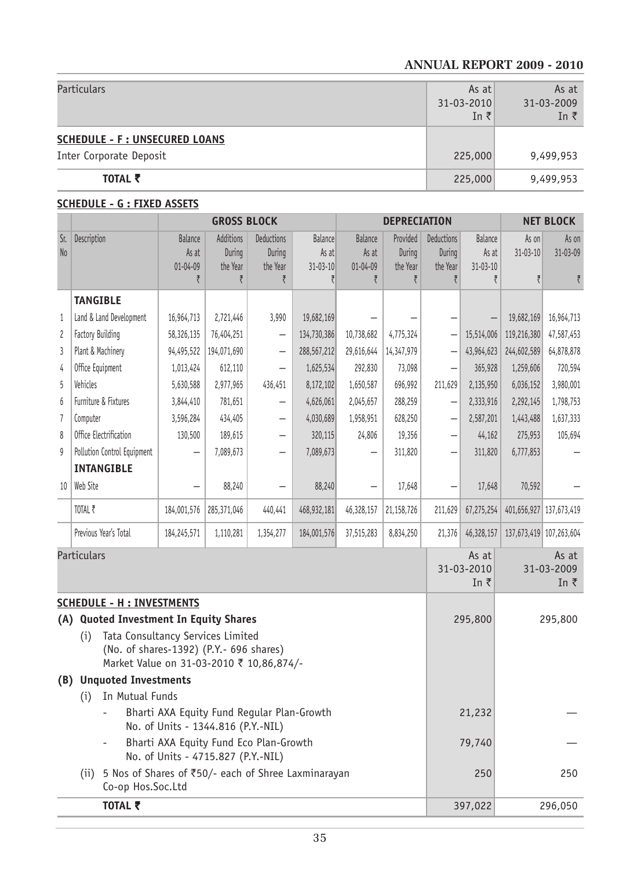#### **ANNUAL REPORT 2009 - 2010**

| TOTAL ₹                                                         | 225,000                                      | 9,499,953                           |
|-----------------------------------------------------------------|----------------------------------------------|-------------------------------------|
| <b>SCHEDULE - F: UNSECURED LOANS</b><br>Inter Corporate Deposit | 225,000                                      | 9,499,953                           |
| Particulars                                                     | As at<br>$31 - 03 - 2010$<br>In $\bar{\tau}$ | As at<br>31-03-2009<br>In $\bar{z}$ |

#### **SCHEDULE - G : FIXED ASSETS**

|                                                                                                                                 |                                        |                                                                                  | <b>GROSS BLOCK</b>              |                                  |                                           | <b>DEPRECIATION</b>                       |                                |                                  | <b>NET BLOCK</b>                          |                                     |                         |
|---------------------------------------------------------------------------------------------------------------------------------|----------------------------------------|----------------------------------------------------------------------------------|---------------------------------|----------------------------------|-------------------------------------------|-------------------------------------------|--------------------------------|----------------------------------|-------------------------------------------|-------------------------------------|-------------------------|
| Sr.<br>No                                                                                                                       | Description                            | <b>Balance</b><br>As at<br>$01 - 04 - 09$                                        | Additions<br>During<br>the Year | Deductions<br>During<br>the Year | <b>Balance</b><br>As at<br>$31 - 03 - 10$ | <b>Balance</b><br>As at<br>$01 - 04 - 09$ | Provided<br>During<br>the Year | Deductions<br>During<br>the Year | <b>Balance</b><br>As at<br>$31 - 03 - 10$ | As on<br>$31 - 03 - 10$             | As on<br>31-03-09       |
|                                                                                                                                 |                                        | ₹                                                                                | ₹                               | ₹                                | ₹                                         | ₹                                         | ₹                              | ₹                                | ₹                                         | ₹                                   | ₹                       |
|                                                                                                                                 | <b>TANGIBLE</b>                        |                                                                                  |                                 |                                  |                                           |                                           |                                |                                  |                                           |                                     |                         |
| 1                                                                                                                               | Land & Land Development                | 16,964,713                                                                       | 2,721,446                       | 3,990                            | 19,682,169                                |                                           |                                |                                  |                                           | 19,682,169                          | 16,964,713              |
| 2                                                                                                                               | Factory Building                       | 58,326,135                                                                       | 76,404,251                      | $\overline{\phantom{0}}$         | 134,730,386                               | 10,738,682                                | 4,775,324                      | $\overline{\phantom{0}}$         | 15,514,006                                | 119,216,380                         | 47,587,453              |
| 3                                                                                                                               | Plant & Machinery                      | 94,495,522                                                                       | 194,071,690                     | $\overline{\phantom{0}}$         | 288,567,212                               | 29,616,644                                | 14,347,979                     |                                  | 43,964,623                                | 244,602,589                         | 64,878,878              |
| 4                                                                                                                               | Office Equipment                       | 1,013,424                                                                        | 612,110                         |                                  | 1,625,534                                 | 292,830                                   | 73,098                         | —                                | 365,928                                   | 1,259,606                           | 720,594                 |
| 5                                                                                                                               | Vehicles                               | 5,630,588                                                                        | 2,977,965                       | 436,451                          | 8,172,102                                 | 1,650,587                                 | 696,992                        | 211,629                          | 2,135,950                                 | 6,036,152                           | 3,980,001               |
| 6                                                                                                                               | Furniture & Fixtures                   | 3,844,410                                                                        | 781,651                         | $\overline{\phantom{0}}$         | 4,626,061                                 | 2,045,657                                 | 288,259                        | $\overline{\phantom{0}}$         | 2,333,916                                 | 2,292,145                           | 1,798,753               |
| $\overline{1}$                                                                                                                  | Computer                               | 3,596,284                                                                        | 434,405                         | $\overline{\phantom{0}}$         | 4,030,689                                 | 1,958,951                                 | 628,250                        | $\overline{\phantom{0}}$         | 2,587,201                                 | 1,443,488                           | 1,637,333               |
| 8                                                                                                                               | Office Electrification                 | 130,500                                                                          | 189,615                         | -                                | 320,115                                   | 24,806                                    | 19,356                         | $\overline{\phantom{0}}$         | 44,162                                    | 275,953                             | 105,694                 |
| 9                                                                                                                               | Pollution Control Equipment            |                                                                                  | 7,089,673                       | $\overline{\phantom{0}}$         | 7,089,673                                 |                                           | 311,820                        | —                                | 311,820                                   | 6,777,853                           |                         |
|                                                                                                                                 | <b>INTANGIBLE</b>                      |                                                                                  |                                 |                                  |                                           |                                           |                                |                                  |                                           |                                     |                         |
| 10                                                                                                                              | Web Site                               |                                                                                  | 88,240                          |                                  | 88,240                                    |                                           | 17,648                         |                                  | 17,648                                    | 70,592                              |                         |
|                                                                                                                                 | TOTAL ₹                                | 184,001,576                                                                      | 285,371,046                     | 440,441                          | 468,932,181                               | 46,328,157                                | 21,158,726                     | 211,629                          | 67,275,254                                |                                     | 401,656,927 137,673,419 |
|                                                                                                                                 | Previous Year's Total                  | 184,245,571                                                                      | 1,110,281                       | 1,354,277                        | 184,001,576                               | 37,515,283                                | 8,834,250                      | 21,376                           | 46,328,157                                |                                     | 137,673,419 107,263,604 |
| Particulars                                                                                                                     |                                        |                                                                                  |                                 |                                  |                                           |                                           |                                | As at<br>31-03-2010<br>In ₹      |                                           | As at<br>31-03-2009<br>In $\bar{z}$ |                         |
|                                                                                                                                 | <b>SCHEDULE - H : INVESTMENTS</b>      |                                                                                  |                                 |                                  |                                           |                                           |                                |                                  |                                           |                                     |                         |
|                                                                                                                                 | (A) Quoted Investment In Equity Shares |                                                                                  |                                 |                                  |                                           |                                           |                                |                                  | 295,800                                   |                                     | 295,800                 |
| Tata Consultancy Services Limited<br>(i)<br>(No. of shares-1392) (P.Y.- 696 shares)<br>Market Value on 31-03-2010 ₹ 10,86,874/- |                                        |                                                                                  |                                 |                                  |                                           |                                           |                                |                                  |                                           |                                     |                         |
| (B)                                                                                                                             | <b>Unquoted Investments</b>            |                                                                                  |                                 |                                  |                                           |                                           |                                |                                  |                                           |                                     |                         |
|                                                                                                                                 | In Mutual Funds<br>(i)                 |                                                                                  |                                 |                                  |                                           |                                           |                                |                                  |                                           |                                     |                         |
|                                                                                                                                 |                                        | Bharti AXA Equity Fund Regular Plan-Growth<br>No. of Units - 1344.816 (P.Y.-NIL) |                                 |                                  |                                           |                                           |                                |                                  | 21,232                                    |                                     |                         |
|                                                                                                                                 |                                        | Bharti AXA Equity Fund Eco Plan-Growth                                           |                                 |                                  |                                           |                                           |                                |                                  | 79,740                                    |                                     |                         |
| No. of Units - 4715.827 (P.Y.-NIL)<br>5 Nos of Shares of ₹50/- each of Shree Laxminarayan<br>(ii)<br>Co-op Hos.Soc.Ltd          |                                        |                                                                                  |                                 |                                  |                                           | 250                                       |                                | 250                              |                                           |                                     |                         |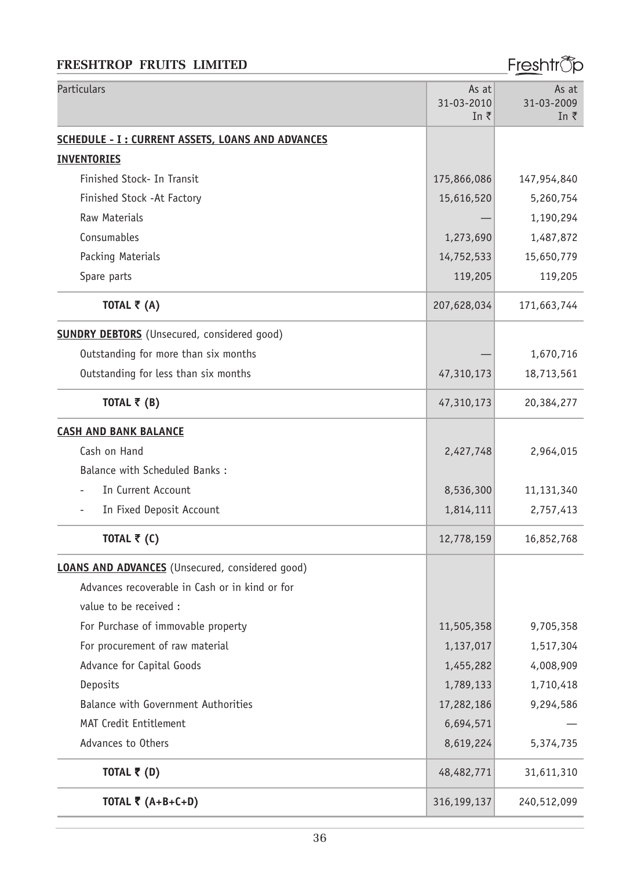# Freshtr<sup>®</sup>p

| <b>Particulars</b>                                       | As at<br>31-03-2010<br>In ₹ | As at<br>31-03-2009<br>In $\bar{z}$ |
|----------------------------------------------------------|-----------------------------|-------------------------------------|
| <b>SCHEDULE - I : CURRENT ASSETS, LOANS AND ADVANCES</b> |                             |                                     |
| <b>INVENTORIES</b>                                       |                             |                                     |
| Finished Stock- In Transit                               | 175,866,086                 | 147,954,840                         |
| Finished Stock - At Factory                              | 15,616,520                  | 5,260,754                           |
| <b>Raw Materials</b>                                     |                             | 1,190,294                           |
| Consumables                                              | 1,273,690                   | 1,487,872                           |
| Packing Materials                                        | 14,752,533                  | 15,650,779                          |
| Spare parts                                              | 119,205                     | 119,205                             |
| TOTAL $\bar{\tau}$ (A)                                   | 207,628,034                 | 171,663,744                         |
| <b>SUNDRY DEBTORS</b> (Unsecured, considered good)       |                             |                                     |
| Outstanding for more than six months                     |                             | 1,670,716                           |
| Outstanding for less than six months                     | 47,310,173                  | 18,713,561                          |
| TOTAL $\bar{\bar{\zeta}}$ (B)                            | 47,310,173                  | 20,384,277                          |
| <b>CASH AND BANK BALANCE</b>                             |                             |                                     |
| Cash on Hand                                             | 2,427,748                   | 2,964,015                           |
| Balance with Scheduled Banks:                            |                             |                                     |
| In Current Account                                       | 8,536,300                   | 11,131,340                          |
| In Fixed Deposit Account                                 | 1,814,111                   | 2,757,413                           |
| TOTAL ₹ $(C)$                                            | 12,778,159                  | 16,852,768                          |
| <b>LOANS AND ADVANCES</b> (Unsecured, considered good)   |                             |                                     |
| Advances recoverable in Cash or in kind or for           |                             |                                     |
| value to be received :                                   |                             |                                     |
| For Purchase of immovable property                       | 11,505,358                  | 9,705,358                           |
| For procurement of raw material                          | 1,137,017                   | 1,517,304                           |
| Advance for Capital Goods                                | 1,455,282                   | 4,008,909                           |
| Deposits                                                 | 1,789,133                   | 1,710,418                           |
| Balance with Government Authorities                      | 17,282,186                  | 9,294,586                           |
| MAT Credit Entitlement                                   | 6,694,571                   |                                     |
| Advances to Others                                       | 8,619,224                   | 5,374,735                           |
| TOTAL $\bar{\tau}$ (D)                                   | 48,482,771                  | 31,611,310                          |
| TOTAL ₹ $(A+B+C+D)$                                      | 316,199,137                 | 240,512,099                         |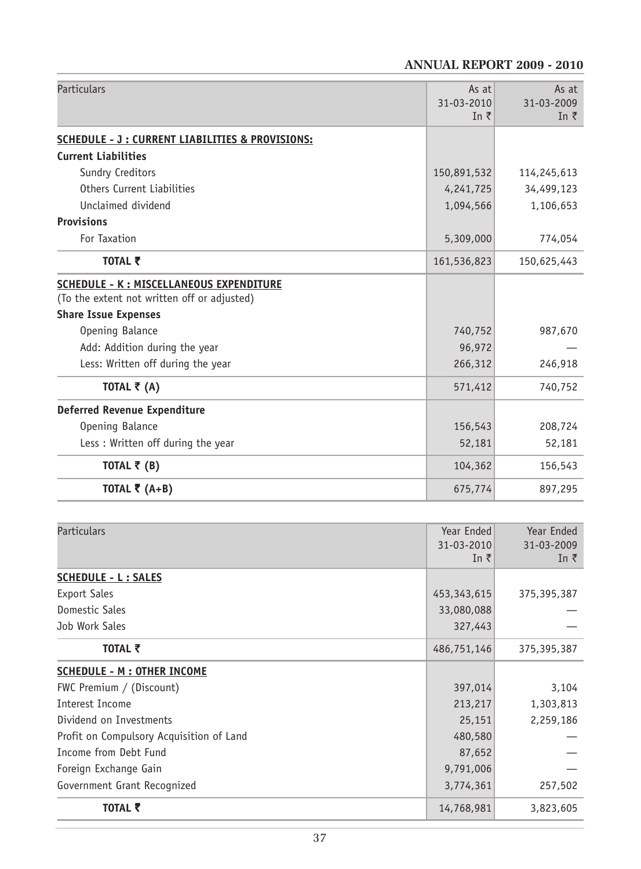# **ANNUAL REPORT 2009 - 2010**

| <b>Particulars</b>                              | As at<br>31-03-2010 | As at<br>31-03-2009 |
|-------------------------------------------------|---------------------|---------------------|
|                                                 | In ₹                | In $\bar{z}$        |
| SCHEDULE - J: CURRENT LIABILITIES & PROVISIONS: |                     |                     |
| <b>Current Liabilities</b>                      |                     |                     |
| Sundry Creditors                                | 150,891,532         | 114,245,613         |
| Others Current Liabilities                      | 4,241,725           | 34,499,123          |
| Unclaimed dividend                              | 1,094,566           | 1,106,653           |
| <b>Provisions</b>                               |                     |                     |
| For Taxation                                    | 5,309,000           | 774,054             |
| TOTAL そ                                         | 161,536,823         | 150,625,443         |
| <b>SCHEDULE - K: MISCELLANEOUS EXPENDITURE</b>  |                     |                     |
| (To the extent not written off or adjusted)     |                     |                     |
| <b>Share Issue Expenses</b>                     |                     |                     |
| Opening Balance                                 | 740,752             | 987,670             |
| Add: Addition during the year                   | 96,972              |                     |
| Less: Written off during the year               | 266,312             | 246,918             |
| TOTAL $\bar{\bar{\zeta}}$ (A)                   | 571,412             | 740,752             |
| <b>Deferred Revenue Expenditure</b>             |                     |                     |
| Opening Balance                                 | 156,543             | 208,724             |
| Less: Written off during the year               | 52,181              | 52,181              |
| TOTAL $\bar{\bar{\zeta}}$ (B)                   | 104,362             | 156,543             |
| TOTAL ₹ $(A+B)$                                 | 675,774             | 897,295             |

| Particulars                              | Year Ended<br>31-03-2010<br>In $\bar{z}$ | Year Ended<br>31-03-2009<br>In ₹ |
|------------------------------------------|------------------------------------------|----------------------------------|
| <b>SCHEDULE - L: SALES</b>               |                                          |                                  |
| <b>Export Sales</b>                      | 453, 343, 615                            | 375,395,387                      |
| Domestic Sales                           | 33,080,088                               |                                  |
| Job Work Sales                           | 327,443                                  |                                  |
| TOTAL そ                                  | 486,751,146                              | 375,395,387                      |
| <b>SCHEDULE - M : OTHER INCOME</b>       |                                          |                                  |
| FWC Premium / (Discount)                 | 397,014                                  | 3,104                            |
| Interest Income                          | 213,217                                  | 1,303,813                        |
| Dividend on Investments                  | 25,151                                   | 2,259,186                        |
| Profit on Compulsory Acquisition of Land | 480,580                                  |                                  |
| Income from Debt Fund                    | 87,652                                   |                                  |
| Foreign Exchange Gain                    | 9,791,006                                |                                  |
| Government Grant Recognized              | 3,774,361                                | 257,502                          |
| TOTAL ₹                                  | 14,768,981                               | 3,823,605                        |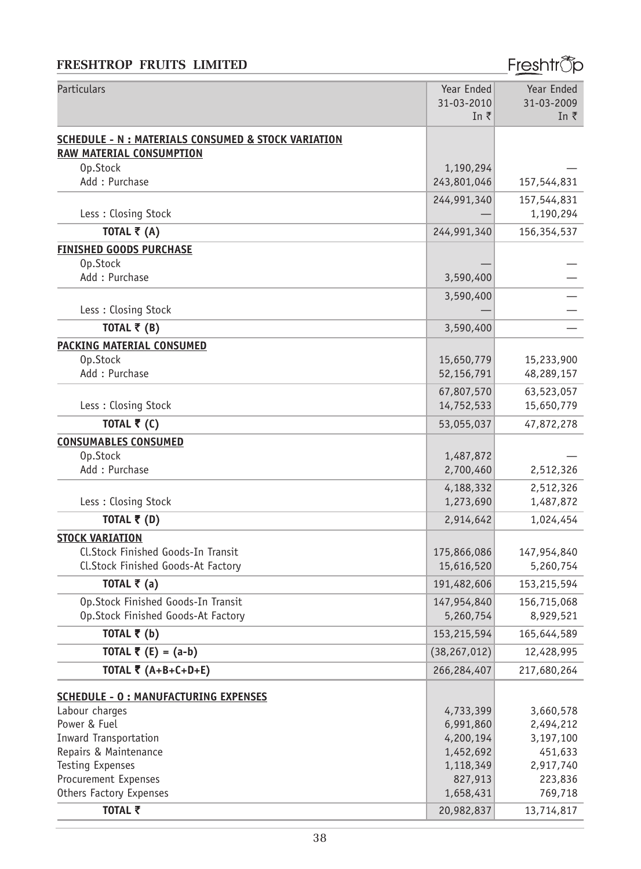# Freshtr<sup>®</sup>p

| Particulars                                                    | Year Ended               | Year Ended               |
|----------------------------------------------------------------|--------------------------|--------------------------|
|                                                                | 31-03-2010               | 31-03-2009               |
|                                                                | In ₹                     | In $\bar{z}$             |
| <b>SCHEDULE - N : MATERIALS CONSUMED &amp; STOCK VARIATION</b> |                          |                          |
| <b>RAW MATERIAL CONSUMPTION</b>                                |                          |                          |
| Op.Stock                                                       | 1,190,294                |                          |
| Add: Purchase                                                  | 243,801,046              | 157,544,831              |
|                                                                | 244,991,340              | 157,544,831              |
| Less: Closing Stock                                            |                          | 1,190,294                |
| TOTAL ₹ (A)                                                    | 244,991,340              | 156,354,537              |
| <b>FINISHED GOODS PURCHASE</b>                                 |                          |                          |
| Op.Stock                                                       |                          |                          |
| Add: Purchase                                                  | 3,590,400                |                          |
|                                                                | 3,590,400                |                          |
| Less: Closing Stock                                            |                          |                          |
| TOTAL $\bar{\tau}$ (B)                                         | 3,590,400                |                          |
|                                                                |                          |                          |
| <b>PACKING MATERIAL CONSUMED</b><br>Op.Stock                   |                          |                          |
| Add: Purchase                                                  | 15,650,779<br>52,156,791 | 15,233,900<br>48,289,157 |
|                                                                |                          |                          |
|                                                                | 67,807,570               | 63,523,057               |
| Less: Closing Stock                                            | 14,752,533               | 15,650,779               |
| TOTAL ₹ (C)                                                    | 53,055,037               | 47,872,278               |
| <b>CONSUMABLES CONSUMED</b>                                    |                          |                          |
| Op.Stock                                                       | 1,487,872                |                          |
| Add: Purchase                                                  | 2,700,460                | 2,512,326                |
|                                                                | 4,188,332                | 2,512,326                |
| Less: Closing Stock                                            | 1,273,690                | 1,487,872                |
| TOTAL ₹ (D)                                                    | 2,914,642                | 1,024,454                |
| <b>STOCK VARIATION</b>                                         |                          |                          |
| Cl.Stock Finished Goods-In Transit                             | 175,866,086              | 147,954,840              |
| Cl.Stock Finished Goods-At Factory                             | 15,616,520               | 5,260,754                |
| TOTAL $\bar{\bar{\xi}}$ (a)                                    | 191,482,606              | 153,215,594              |
| Op.Stock Finished Goods-In Transit                             | 147,954,840              | 156,715,068              |
| Op.Stock Finished Goods-At Factory                             | 5,260,754                | 8,929,521                |
| TOTAL ₹ (b)                                                    | 153,215,594              | 165,644,589              |
| TOTAL $\bar{\tau}$ (E) = (a-b)                                 | (38, 267, 012)           | 12,428,995               |
| TOTAL ₹ $(A+B+C+D+E)$                                          | 266,284,407              | 217,680,264              |
|                                                                |                          |                          |
| <b>SCHEDULE - 0 : MANUFACTURING EXPENSES</b>                   |                          |                          |
| Labour charges                                                 | 4,733,399                | 3,660,578                |
| Power & Fuel                                                   | 6,991,860                | 2,494,212                |
| Inward Transportation                                          | 4,200,194                | 3,197,100                |
| Repairs & Maintenance                                          | 1,452,692                | 451,633                  |
| Testing Expenses<br>Procurement Expenses                       | 1,118,349<br>827,913     | 2,917,740<br>223,836     |
| Others Factory Expenses                                        | 1,658,431                | 769,718                  |
| TOTAL ₹                                                        | 20,982,837               |                          |
|                                                                |                          | 13,714,817               |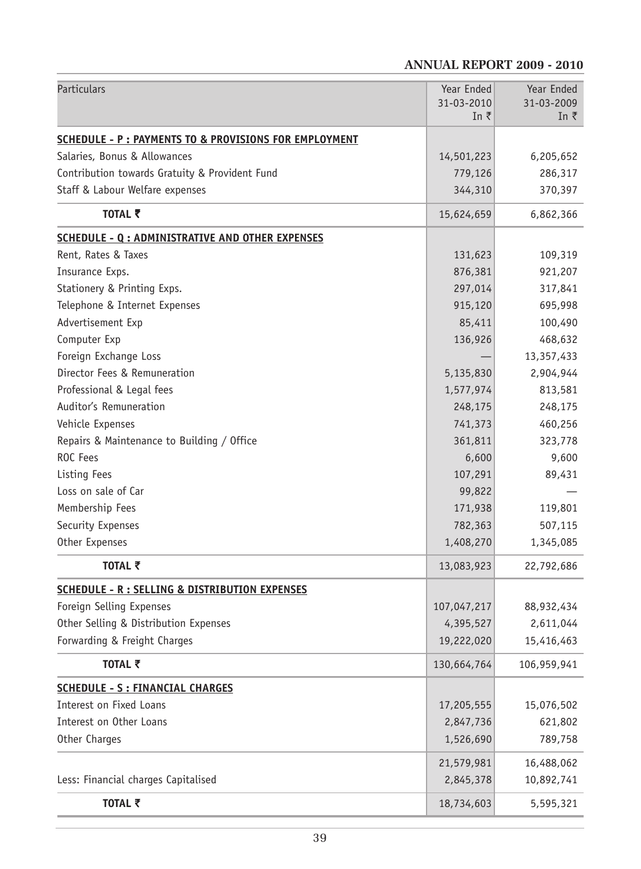# **ANNUAL REPORT 2009 - 2010**

| Particulars                                               | Year Ended<br>31-03-2010 | Year Ended<br>31-03-2009 |
|-----------------------------------------------------------|--------------------------|--------------------------|
|                                                           | In ₹                     | In $\bar{z}$             |
| SCHEDULE - P : PAYMENTS TO & PROVISIONS FOR EMPLOYMENT    |                          |                          |
| Salaries, Bonus & Allowances                              | 14,501,223               | 6,205,652                |
| Contribution towards Gratuity & Provident Fund            | 779,126                  | 286,317                  |
| Staff & Labour Welfare expenses                           | 344,310                  | 370,397                  |
| TOTAL そ                                                   | 15,624,659               | 6,862,366                |
| <b>SCHEDULE - Q : ADMINISTRATIVE AND OTHER EXPENSES</b>   |                          |                          |
| Rent, Rates & Taxes                                       | 131,623                  | 109,319                  |
| Insurance Exps.                                           | 876,381                  | 921,207                  |
| Stationery & Printing Exps.                               | 297,014                  | 317,841                  |
| Telephone & Internet Expenses                             | 915,120                  | 695,998                  |
| Advertisement Exp                                         | 85,411                   | 100,490                  |
| Computer Exp                                              | 136,926                  | 468,632                  |
| Foreign Exchange Loss                                     |                          | 13,357,433               |
| Director Fees & Remuneration                              | 5,135,830                | 2,904,944                |
| Professional & Legal fees                                 | 1,577,974                | 813,581                  |
| Auditor's Remuneration                                    | 248,175                  | 248,175                  |
| Vehicle Expenses                                          | 741,373                  | 460,256                  |
| Repairs & Maintenance to Building / Office                | 361,811                  | 323,778                  |
| ROC Fees                                                  | 6,600                    | 9,600                    |
| Listing Fees                                              | 107,291                  | 89,431                   |
| Loss on sale of Car                                       | 99,822                   |                          |
| Membership Fees                                           | 171,938                  | 119,801                  |
| Security Expenses                                         | 782,363                  | 507,115                  |
| Other Expenses                                            | 1,408,270                | 1,345,085                |
| TOTAL ₹                                                   | 13,083,923               | 22,792,686               |
| <b>SCHEDULE - R : SELLING &amp; DISTRIBUTION EXPENSES</b> |                          |                          |
| Foreign Selling Expenses                                  | 107,047,217              | 88,932,434               |
| Other Selling & Distribution Expenses                     | 4,395,527                | 2,611,044                |
| Forwarding & Freight Charges                              | 19,222,020               | 15,416,463               |
| TOTAL ₹                                                   | 130,664,764              | 106,959,941              |
| <b>SCHEDULE - S : FINANCIAL CHARGES</b>                   |                          |                          |
| Interest on Fixed Loans                                   | 17,205,555               | 15,076,502               |
| Interest on Other Loans                                   | 2,847,736                | 621,802                  |
| Other Charges                                             | 1,526,690                | 789,758                  |
|                                                           | 21,579,981               | 16,488,062               |
| Less: Financial charges Capitalised                       | 2,845,378                | 10,892,741               |
| TOTAL ₹                                                   | 18,734,603               | 5,595,321                |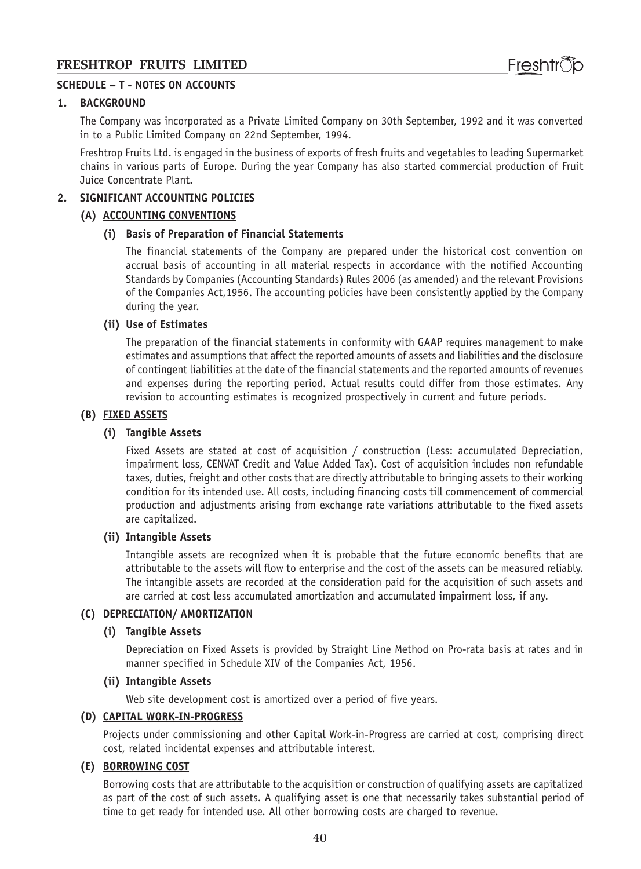#### **SCHEDULE – T - NOTES ON ACCOUNTS**

#### **1. BACKGROUND**

The Company was incorporated as a Private Limited Company on 30th September, 1992 and it was converted in to a Public Limited Company on 22nd September, 1994.

Freshtrop Fruits Ltd. is engaged in the business of exports of fresh fruits and vegetables to leading Supermarket chains in various parts of Europe. During the year Company has also started commercial production of Fruit Juice Concentrate Plant.

#### **2. SIGNIFICANT ACCOUNTING POLICIES**

#### **(A) ACCOUNTING CONVENTIONS**

#### **(i) Basis of Preparation of Financial Statements**

The financial statements of the Company are prepared under the historical cost convention on accrual basis of accounting in all material respects in accordance with the notified Accounting Standards by Companies (Accounting Standards) Rules 2006 (as amended) and the relevant Provisions of the Companies Act,1956. The accounting policies have been consistently applied by the Company during the year.

#### **(ii) Use of Estimates**

The preparation of the financial statements in conformity with GAAP requires management to make estimates and assumptions that affect the reported amounts of assets and liabilities and the disclosure of contingent liabilities at the date of the financial statements and the reported amounts of revenues and expenses during the reporting period. Actual results could differ from those estimates. Any revision to accounting estimates is recognized prospectively in current and future periods.

#### **(B) FIXED ASSETS**

#### **(i) Tangible Assets**

Fixed Assets are stated at cost of acquisition / construction (Less: accumulated Depreciation, impairment loss, CENVAT Credit and Value Added Tax). Cost of acquisition includes non refundable taxes, duties, freight and other costs that are directly attributable to bringing assets to their working condition for its intended use. All costs, including financing costs till commencement of commercial production and adjustments arising from exchange rate variations attributable to the fixed assets are capitalized.

#### **(ii) Intangible Assets**

Intangible assets are recognized when it is probable that the future economic benefits that are attributable to the assets will flow to enterprise and the cost of the assets can be measured reliably. The intangible assets are recorded at the consideration paid for the acquisition of such assets and are carried at cost less accumulated amortization and accumulated impairment loss, if any.

#### **(C) DEPRECIATION/ AMORTIZATION**

#### **(i) Tangible Assets**

Depreciation on Fixed Assets is provided by Straight Line Method on Pro-rata basis at rates and in manner specified in Schedule XIV of the Companies Act, 1956.

#### **(ii) Intangible Assets**

Web site development cost is amortized over a period of five years.

#### **(D) CAPITAL WORK-IN-PROGRESS**

Projects under commissioning and other Capital Work-in-Progress are carried at cost, comprising direct cost, related incidental expenses and attributable interest.

#### **(E) BORROWING COST**

Borrowing costs that are attributable to the acquisition or construction of qualifying assets are capitalized as part of the cost of such assets. A qualifying asset is one that necessarily takes substantial period of time to get ready for intended use. All other borrowing costs are charged to revenue.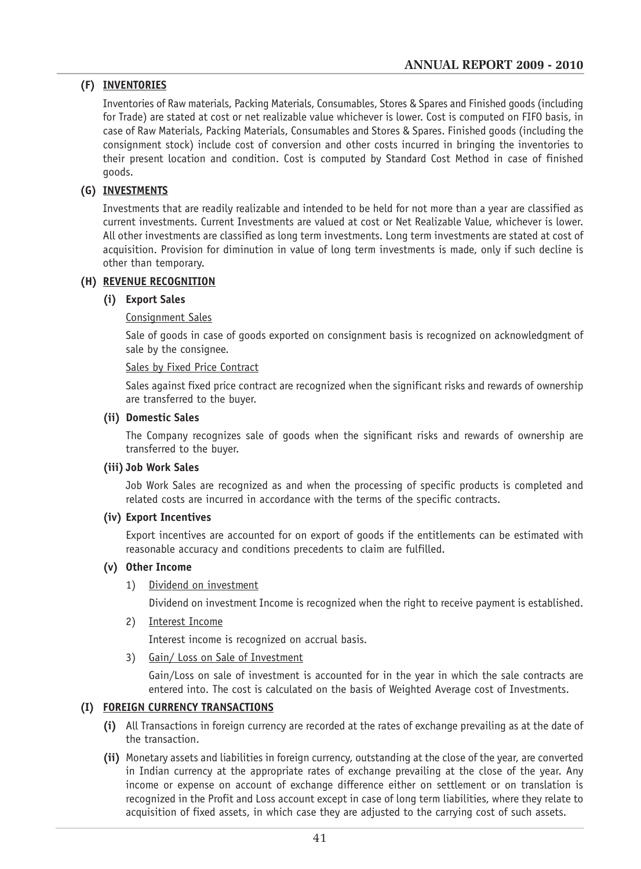### **(F) INVENTORIES**

Inventories of Raw materials, Packing Materials, Consumables, Stores & Spares and Finished goods (including for Trade) are stated at cost or net realizable value whichever is lower. Cost is computed on FIFO basis, in case of Raw Materials, Packing Materials, Consumables and Stores & Spares. Finished goods (including the consignment stock) include cost of conversion and other costs incurred in bringing the inventories to their present location and condition. Cost is computed by Standard Cost Method in case of finished goods.

## **(G) INVESTMENTS**

Investments that are readily realizable and intended to be held for not more than a year are classified as current investments. Current Investments are valued at cost or Net Realizable Value, whichever is lower. All other investments are classified as long term investments. Long term investments are stated at cost of acquisition. Provision for diminution in value of long term investments is made, only if such decline is other than temporary.

#### **(H) REVENUE RECOGNITION**

#### **(i) Export Sales**

#### Consignment Sales

Sale of goods in case of goods exported on consignment basis is recognized on acknowledgment of sale by the consignee.

#### Sales by Fixed Price Contract

Sales against fixed price contract are recognized when the significant risks and rewards of ownership are transferred to the buyer.

#### **(ii) Domestic Sales**

The Company recognizes sale of goods when the significant risks and rewards of ownership are transferred to the buyer.

#### **(iii) Job Work Sales**

Job Work Sales are recognized as and when the processing of specific products is completed and related costs are incurred in accordance with the terms of the specific contracts.

#### **(iv) Export Incentives**

Export incentives are accounted for on export of goods if the entitlements can be estimated with reasonable accuracy and conditions precedents to claim are fulfilled.

#### **(v) Other Income**

1) Dividend on investment

Dividend on investment Income is recognized when the right to receive payment is established.

2) Interest Income

Interest income is recognized on accrual basis.

3) Gain/ Loss on Sale of Investment

Gain/Loss on sale of investment is accounted for in the year in which the sale contracts are entered into. The cost is calculated on the basis of Weighted Average cost of Investments.

### **(I) FOREIGN CURRENCY TRANSACTIONS**

- **(i)** All Transactions in foreign currency are recorded at the rates of exchange prevailing as at the date of the transaction.
- **(ii)** Monetary assets and liabilities in foreign currency, outstanding at the close of the year, are converted in Indian currency at the appropriate rates of exchange prevailing at the close of the year. Any income or expense on account of exchange difference either on settlement or on translation is recognized in the Profit and Loss account except in case of long term liabilities, where they relate to acquisition of fixed assets, in which case they are adjusted to the carrying cost of such assets.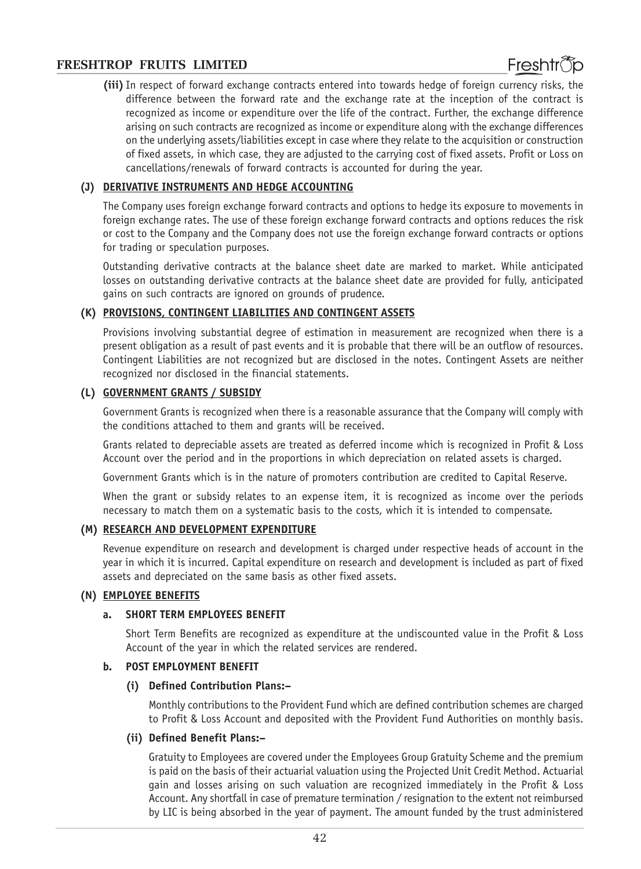**(iii)** In respect of forward exchange contracts entered into towards hedge of foreign currency risks, the difference between the forward rate and the exchange rate at the inception of the contract is recognized as income or expenditure over the life of the contract. Further, the exchange difference arising on such contracts are recognized as income or expenditure along with the exchange differences on the underlying assets/liabilities except in case where they relate to the acquisition or construction of fixed assets, in which case, they are adjusted to the carrying cost of fixed assets. Profit or Loss on cancellations/renewals of forward contracts is accounted for during the year.

#### **(J) DERIVATIVE INSTRUMENTS AND HEDGE ACCOUNTING**

The Company uses foreign exchange forward contracts and options to hedge its exposure to movements in foreign exchange rates. The use of these foreign exchange forward contracts and options reduces the risk or cost to the Company and the Company does not use the foreign exchange forward contracts or options for trading or speculation purposes.

Outstanding derivative contracts at the balance sheet date are marked to market. While anticipated losses on outstanding derivative contracts at the balance sheet date are provided for fully, anticipated gains on such contracts are ignored on grounds of prudence.

#### **(K) PROVISIONS, CONTINGENT LIABILITIES AND CONTINGENT ASSETS**

Provisions involving substantial degree of estimation in measurement are recognized when there is a present obligation as a result of past events and it is probable that there will be an outflow of resources. Contingent Liabilities are not recognized but are disclosed in the notes. Contingent Assets are neither recognized nor disclosed in the financial statements.

#### **(L) GOVERNMENT GRANTS / SUBSIDY**

Government Grants is recognized when there is a reasonable assurance that the Company will comply with the conditions attached to them and grants will be received.

Grants related to depreciable assets are treated as deferred income which is recognized in Profit & Loss Account over the period and in the proportions in which depreciation on related assets is charged.

Government Grants which is in the nature of promoters contribution are credited to Capital Reserve.

When the grant or subsidy relates to an expense item, it is recognized as income over the periods necessary to match them on a systematic basis to the costs, which it is intended to compensate.

#### **(M) RESEARCH AND DEVELOPMENT EXPENDITURE**

Revenue expenditure on research and development is charged under respective heads of account in the year in which it is incurred. Capital expenditure on research and development is included as part of fixed assets and depreciated on the same basis as other fixed assets.

#### **(N) EMPLOYEE BENEFITS**

#### **a. SHORT TERM EMPLOYEES BENEFIT**

Short Term Benefits are recognized as expenditure at the undiscounted value in the Profit & Loss Account of the year in which the related services are rendered.

#### **b. POST EMPLOYMENT BENEFIT**

#### **(i) Defined Contribution Plans:–**

Monthly contributions to the Provident Fund which are defined contribution schemes are charged to Profit & Loss Account and deposited with the Provident Fund Authorities on monthly basis.

#### **(ii) Defined Benefit Plans:–**

Gratuity to Employees are covered under the Employees Group Gratuity Scheme and the premium is paid on the basis of their actuarial valuation using the Projected Unit Credit Method. Actuarial gain and losses arising on such valuation are recognized immediately in the Profit & Loss Account. Any shortfall in case of premature termination / resignation to the extent not reimbursed by LIC is being absorbed in the year of payment. The amount funded by the trust administered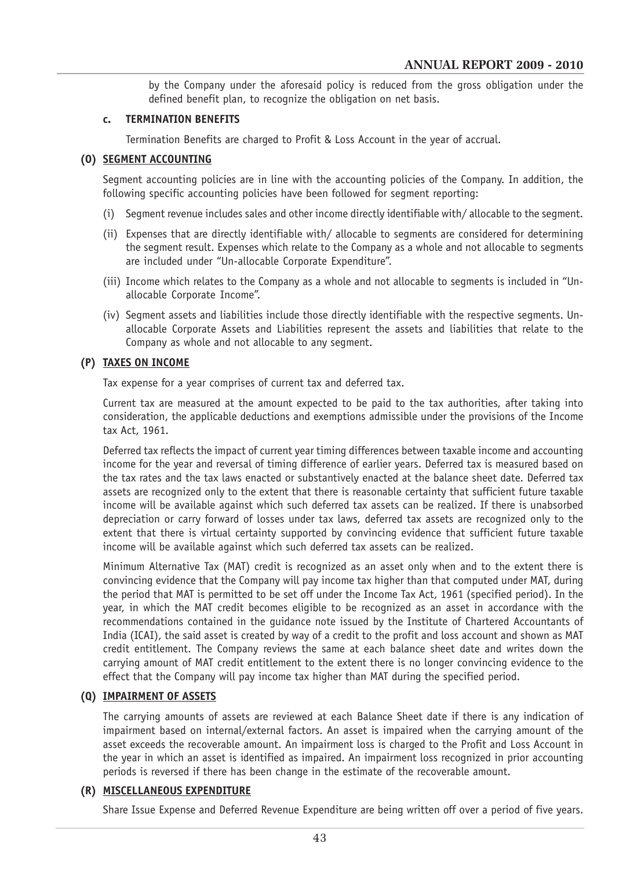by the Company under the aforesaid policy is reduced from the gross obligation under the defined benefit plan, to recognize the obligation on net basis.

#### **c. TERMINATION BENEFITS**

Termination Benefits are charged to Profit & Loss Account in the year of accrual.

### **(O) SEGMENT ACCOUNTING**

Segment accounting policies are in line with the accounting policies of the Company. In addition, the following specific accounting policies have been followed for segment reporting:

- (i) Segment revenue includes sales and other income directly identifiable with/ allocable to the segment.
- (ii) Expenses that are directly identifiable with/ allocable to segments are considered for determining the segment result. Expenses which relate to the Company as a whole and not allocable to segments are included under "Un-allocable Corporate Expenditure".
- (iii) Income which relates to the Company as a whole and not allocable to segments is included in "Unallocable Corporate Income".
- (iv) Segment assets and liabilities include those directly identifiable with the respective segments. Unallocable Corporate Assets and Liabilities represent the assets and liabilities that relate to the Company as whole and not allocable to any segment.

### **(P) TAXES ON INCOME**

Tax expense for a year comprises of current tax and deferred tax.

Current tax are measured at the amount expected to be paid to the tax authorities, after taking into consideration, the applicable deductions and exemptions admissible under the provisions of the Income tax Act, 1961.

Deferred tax reflects the impact of current year timing differences between taxable income and accounting income for the year and reversal of timing difference of earlier years. Deferred tax is measured based on the tax rates and the tax laws enacted or substantively enacted at the balance sheet date. Deferred tax assets are recognized only to the extent that there is reasonable certainty that sufficient future taxable income will be available against which such deferred tax assets can be realized. If there is unabsorbed depreciation or carry forward of losses under tax laws, deferred tax assets are recognized only to the extent that there is virtual certainty supported by convincing evidence that sufficient future taxable income will be available against which such deferred tax assets can be realized.

Minimum Alternative Tax (MAT) credit is recognized as an asset only when and to the extent there is convincing evidence that the Company will pay income tax higher than that computed under MAT, during the period that MAT is permitted to be set off under the Income Tax Act, 1961 (specified period). In the year, in which the MAT credit becomes eligible to be recognized as an asset in accordance with the recommendations contained in the guidance note issued by the Institute of Chartered Accountants of India (ICAI), the said asset is created by way of a credit to the profit and loss account and shown as MAT credit entitlement. The Company reviews the same at each balance sheet date and writes down the carrying amount of MAT credit entitlement to the extent there is no longer convincing evidence to the effect that the Company will pay income tax higher than MAT during the specified period.

### **(Q) IMPAIRMENT OF ASSETS**

The carrying amounts of assets are reviewed at each Balance Sheet date if there is any indication of impairment based on internal/external factors. An asset is impaired when the carrying amount of the asset exceeds the recoverable amount. An impairment loss is charged to the Profit and Loss Account in the year in which an asset is identified as impaired. An impairment loss recognized in prior accounting periods is reversed if there has been change in the estimate of the recoverable amount.

### **(R) MISCELLANEOUS EXPENDITURE**

Share Issue Expense and Deferred Revenue Expenditure are being written off over a period of five years.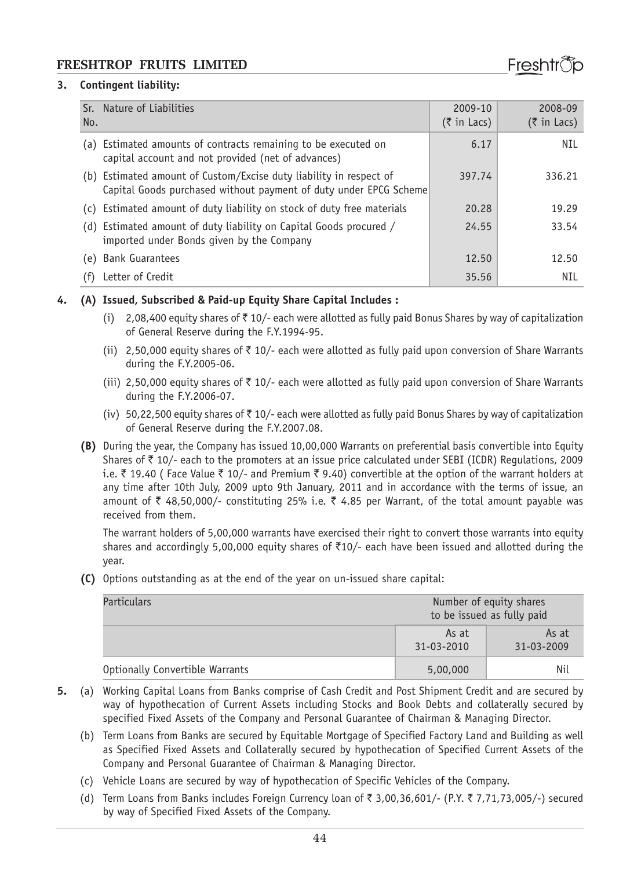#### **3. Contingent liability:**

| Sr.<br>No. | Nature of Liabilities                                                                                                               | 2009-10<br>$(5 \in \mathsf{In}$ Lacs) | 2008-09<br>$(5$ in Lacs) |
|------------|-------------------------------------------------------------------------------------------------------------------------------------|---------------------------------------|--------------------------|
|            | (a) Estimated amounts of contracts remaining to be executed on<br>capital account and not provided (net of advances)                | 6.17                                  | NIL                      |
| (b)        | Estimated amount of Custom/Excise duty liability in respect of<br>Capital Goods purchased without payment of duty under EPCG Scheme | 397.74                                | 336.21                   |
| (C)        | Estimated amount of duty liability on stock of duty free materials                                                                  | 20.28                                 | 19.29                    |
| (d)        | Estimated amount of duty liability on Capital Goods procured /<br>imported under Bonds given by the Company                         | 24.55                                 | 33.54                    |
| (e)        | <b>Bank Guarantees</b>                                                                                                              | 12.50                                 | 12.50                    |
| (f)        | Letter of Credit                                                                                                                    | 35.56                                 | NIL                      |

#### **4. (A) Issued, Subscribed & Paid-up Equity Share Capital Includes :**

- (i) 2,08,400 equity shares of  $\bar{z}$  10/- each were allotted as fully paid Bonus Shares by way of capitalization of General Reserve during the F.Y.1994-95.
- (ii) 2,50,000 equity shares of  $\bar{\tau}$  10/- each were allotted as fully paid upon conversion of Share Warrants during the F.Y.2005-06.
- (iii) 2,50,000 equity shares of  $\bar{\tau}$  10/- each were allotted as fully paid upon conversion of Share Warrants during the F.Y.2006-07.
- (iv) 50,22,500 equity shares of  $\bar{\tau}$  10/- each were allotted as fully paid Bonus Shares by way of capitalization of General Reserve during the F.Y.2007.08.
- **(B)** During the year, the Company has issued 10,00,000 Warrants on preferential basis convertible into Equity Shares of  $\bar{\tau}$  10/- each to the promoters at an issue price calculated under SEBI (ICDR) Regulations, 2009 i.e.  $\bar{\tau}$  19.40 ( Face Value  $\bar{\tau}$  10/- and Premium  $\bar{\tau}$  9.40) convertible at the option of the warrant holders at any time after 10th July, 2009 upto 9th January, 2011 and in accordance with the terms of issue, an amount of  $\bar{\tau}$  48,50,000/- constituting 25% i.e.  $\bar{\tau}$  4.85 per Warrant, of the total amount payable was received from them.

The warrant holders of 5,00,000 warrants have exercised their right to convert those warrants into equity shares and accordingly 5,00,000 equity shares of  $\overline{210}$  each have been issued and allotted during the year.

**(C)** Options outstanding as at the end of the year on un-issued share capital:

| Particulars                     | Number of equity shares<br>to be issued as fully paid |
|---------------------------------|-------------------------------------------------------|
|                                 | As at<br>As at<br>31-03-2009<br>31-03-2010            |
| Optionally Convertible Warrants | Nil<br>5,00,000                                       |

- **5.** (a) Working Capital Loans from Banks comprise of Cash Credit and Post Shipment Credit and are secured by way of hypothecation of Current Assets including Stocks and Book Debts and collaterally secured by specified Fixed Assets of the Company and Personal Guarantee of Chairman & Managing Director.
	- (b) Term Loans from Banks are secured by Equitable Mortgage of Specified Factory Land and Building as well as Specified Fixed Assets and Collaterally secured by hypothecation of Specified Current Assets of the Company and Personal Guarantee of Chairman & Managing Director.
	- (c) Vehicle Loans are secured by way of hypothecation of Specific Vehicles of the Company.
	- (d) Term Loans from Banks includes Foreign Currency loan of  $\bar{\tau}$  3,00,36,601/- (P.Y.  $\bar{\tau}$  7,71,73,005/-) secured by way of Specified Fixed Assets of the Company.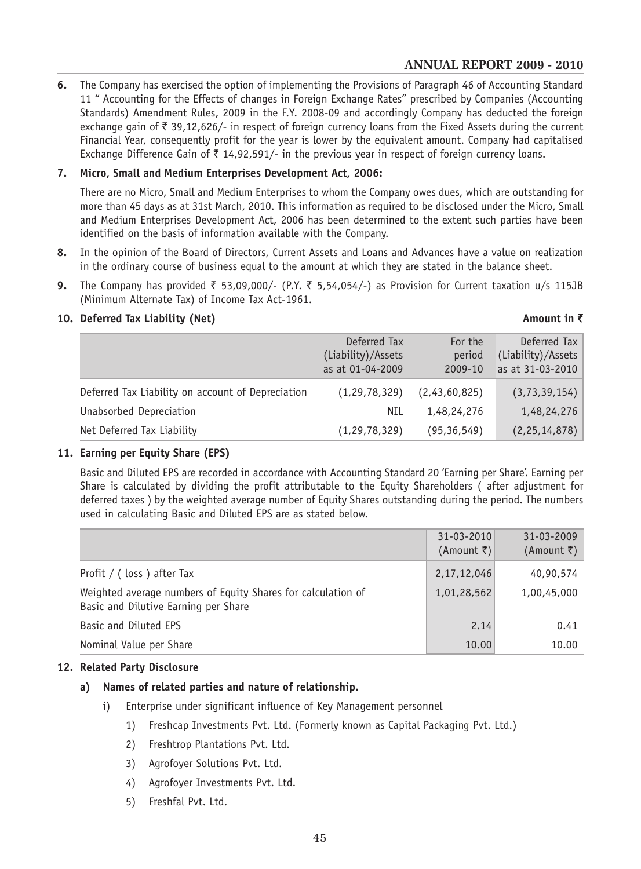### **ANNUAL REPORT 2009 - 2010**

**6.** The Company has exercised the option of implementing the Provisions of Paragraph 46 of Accounting Standard 11 " Accounting for the Effects of changes in Foreign Exchange Rates" prescribed by Companies (Accounting Standards) Amendment Rules, 2009 in the F.Y. 2008-09 and accordingly Company has deducted the foreign exchange gain of  $\bar{\tau}$  39,12,626/- in respect of foreign currency loans from the Fixed Assets during the current Financial Year, consequently profit for the year is lower by the equivalent amount. Company had capitalised Exchange Difference Gain of  $\bar{\tau}$  14,92,591/- in the previous year in respect of foreign currency loans.

#### **7. Micro, Small and Medium Enterprises Development Act, 2006:**

There are no Micro, Small and Medium Enterprises to whom the Company owes dues, which are outstanding for more than 45 days as at 31st March, 2010. This information as required to be disclosed under the Micro, Small and Medium Enterprises Development Act, 2006 has been determined to the extent such parties have been identified on the basis of information available with the Company.

- **8.** In the opinion of the Board of Directors, Current Assets and Loans and Advances have a value on realization in the ordinary course of business equal to the amount at which they are stated in the balance sheet.
- **9.** The Company has provided ₹ 53,09,000/- (P.Y. ₹ 5,54,054/-) as Provision for Current taxation u/s 115JB (Minimum Alternate Tax) of Income Tax Act-1961.

#### **10. Deferred Tax Liability (Net) Amount in** `

# Deferred Tax For the Deferred Tax (Liability)/Assets period (Liability)/Assets as at 01-04-2009 2009-10 as at 31-03-2010 Deferred Tax Liability on account of Depreciation (1,29,78,329) (2,43,60,825) (3,73,39,154) Unabsorbed Depreciation  $NIL \t1,48,24,276 \t1,48,24,276$ Net Deferred Tax Liability (1,29,78,329) (95,36,549) (2,25,14,878)

#### **11. Earning per Equity Share (EPS)**

Basic and Diluted EPS are recorded in accordance with Accounting Standard 20 'Earning per Share'. Earning per Share is calculated by dividing the profit attributable to the Equity Shareholders ( after adjustment for deferred taxes ) by the weighted average number of Equity Shares outstanding during the period. The numbers used in calculating Basic and Diluted EPS are as stated below.

|                                                                                                      | 31-03-2010<br>(Amount ₹) | 31-03-2009<br>(Amount ₹) |
|------------------------------------------------------------------------------------------------------|--------------------------|--------------------------|
| Profit / (loss) after Tax                                                                            | 2,17,12,046              | 40,90,574                |
| Weighted average numbers of Equity Shares for calculation of<br>Basic and Dilutive Earning per Share | 1,01,28,562              | 1,00,45,000              |
| Basic and Diluted EPS                                                                                | 2.14                     | 0.41                     |
| Nominal Value per Share                                                                              | 10.00                    | 10.00                    |

#### **12. Related Party Disclosure**

#### **a) Names of related parties and nature of relationship.**

- i) Enterprise under significant influence of Key Management personnel
	- 1) Freshcap Investments Pvt. Ltd. (Formerly known as Capital Packaging Pvt. Ltd.)
	- 2) Freshtrop Plantations Pvt. Ltd.
	- 3) Agrofoyer Solutions Pvt. Ltd.
	- 4) Agrofoyer Investments Pvt. Ltd.
	- 5) Freshfal Pvt. Ltd.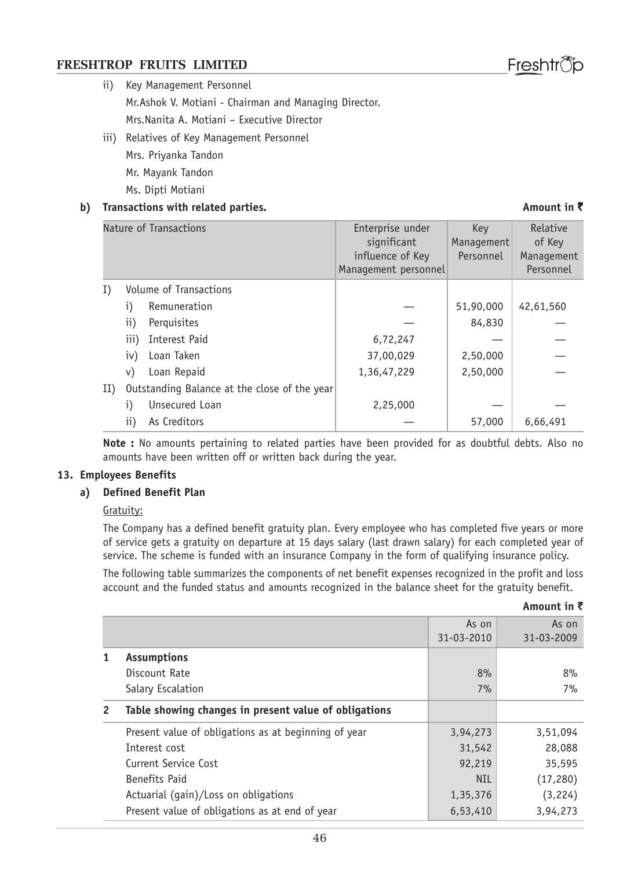# ii) Key Management Personnel

Mr.Ashok V. Motiani - Chairman and Managing Director. Mrs.Nanita A. Motiani – Executive Director

iii) Relatives of Key Management Personnel Mrs. Priyanka Tandon Mr. Mayank Tandon Ms. Dipti Motiani

#### **b)** Transactions with related parties. **All and the set of the contract of the contract of the contract of the contract of**  $\bar{\tau}$

# Nature of Transactions The Community Contractions and Enterprise under The Key Relative significant Management of Key<br>luence of Key Personnel Management influence of Key Management personnel **Personnel** I) Volume of Transactions i) Remuneration  $-$  51,90,000 42,61,560 ii) Perquisites  $-$  84,830 iii) Interest Paid  $\qquad \qquad$  6.72.247 iv) Loan Taken 37,00,029 2,50,000 v) Loan Repaid  $\begin{array}{|c|c|c|c|c|c|c|c|} \hline 1,36,47,229 & & 2,50,000 \hline \end{array}$ II) Outstanding Balance at the close of the year  $i)$  Unsecured Loan  $2,25,000$ ii) As Creditors  $57,000$   $6.66,491$

**Note :** No amounts pertaining to related parties have been provided for as doubtful debts. Also no amounts have been written off or written back during the year.

# **13. Employees Benefits**

# **a) Defined Benefit Plan**

# Gratuity:

The Company has a defined benefit gratuity plan. Every employee who has completed five years or more of service gets a gratuity on departure at 15 days salary (last drawn salary) for each completed year of service. The scheme is funded with an insurance Company in the form of qualifying insurance policy.

The following table summarizes the components of net benefit expenses recognized in the profit and loss account and the funded status and amounts recognized in the balance sheet for the gratuity benefit.

|                |                                                       |                     | Amount in $\bar{z}$ |
|----------------|-------------------------------------------------------|---------------------|---------------------|
|                |                                                       | As on<br>31-03-2010 | As on<br>31-03-2009 |
| 1              | <b>Assumptions</b>                                    |                     |                     |
|                | Discount Rate                                         | 8%                  | 8%                  |
|                | Salary Escalation                                     | 7%                  | 7%                  |
| $\overline{2}$ | Table showing changes in present value of obligations |                     |                     |
|                | Present value of obligations as at beginning of year  | 3,94,273            | 3,51,094            |
|                | Interest cost                                         | 31,542              | 28,088              |
|                | Current Service Cost                                  | 92,219              | 35,595              |
|                | Benefits Paid                                         | <b>NIL</b>          | (17, 280)           |
|                | Actuarial (gain)/Loss on obligations                  | 1,35,376            | (3,224)             |
|                | Present value of obligations as at end of year        | 6,53,410            | 3,94,273            |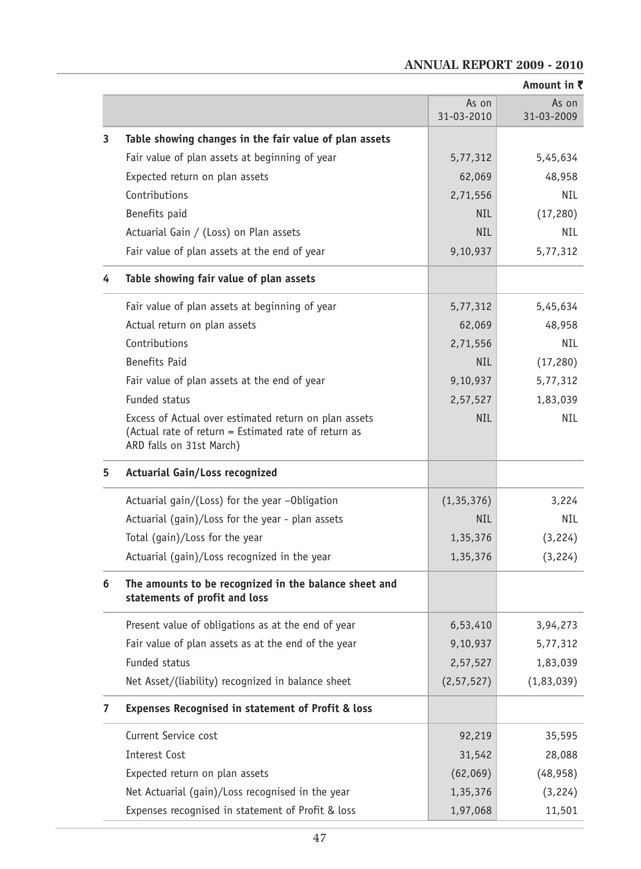# **Amount in** ` As on As on 31-03-2010 31-03-2009 **3 Table showing changes in the fair value of plan assets** Fair value of plan assets at beginning of year Theory S.77,312 5,45,634 Expected return on plan assets 62,069 48,958 Contributions 2,71,556 NIL Benefits paid and the set of the set of the set of the NIL (17,280) Actuarial Gain / (Loss) on Plan assets NIL NIL NIL NIL Fair value of plan assets at the end of year  $\vert$  9,10,937  $\vert$  5,77,312 **4 Table showing fair value of plan assets** Fair value of plan assets at beginning of year  $\begin{array}{c|c} 5,77,312 & 5,45,634 \end{array}$ Actual return on plan assets 62,069 48,958 Contributions 2,71,556 NIL Benefits Paid (17,280) (18,280) (17,280) Fair value of plan assets at the end of year 19,10,937 5,77,312 Funded status 2,57,527 1,83,039 Excess of Actual over estimated return on plan assets NIL NIL NIL NIL NIL (Actual rate of return = Estimated rate of return as ARD falls on 31st March) **5 Actuarial Gain/Loss recognized** Actuarial gain/(Loss) for the year –Obligation  $(1,35,376)$  3,224 Actuarial (gain)/Loss for the year - plan assets NIL NIL NIL Total (gain)/Loss for the year  $1,35,376$   $(3,224)$ Actuarial  $(qain)/Loss$  recognized in the year  $1,35,376$  (3,224) **6 The amounts to be recognized in the balance sheet and statements of profit and loss** Present value of obligations as at the end of year  $6,53,410$  3,94,273 Fair value of plan assets as at the end of the year  $\vert$  9,10,937  $\vert$  5,77,312 Funded status 2,57,527 1,83,039 Net Asset/(liability) recognized in balance sheet  $(2,57,527)$  (1,83,039) **7 Expenses Recognised in statement of Profit & loss** Current Service cost 92,219 35,595 Interest Cost 31,542 28,088 Expected return on plan assets (62,069) (48,958) Net Actuarial (gain)/Loss recognised in the year  $\vert$  1,35,376 (3,224) Expenses recognised in statement of Profit & loss 1,97,068 11,501

#### **ANNUAL REPORT 2009 - 2010**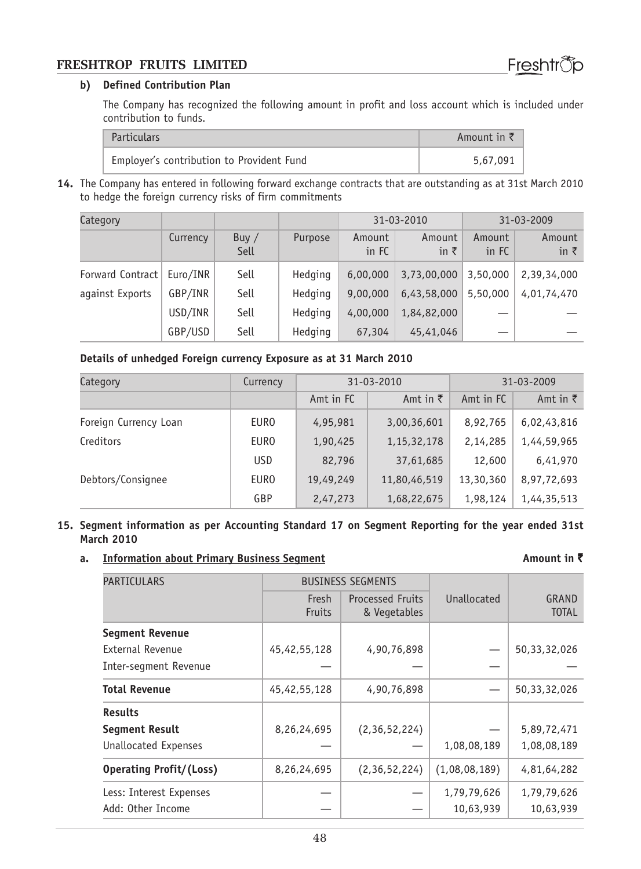#### **b) Defined Contribution Plan**

The Company has recognized the following amount in profit and loss account which is included under contribution to funds.

| <b>Particulars</b>                        | Amount in $\bar{z}$ |
|-------------------------------------------|---------------------|
| Employer's contribution to Provident Fund | 5,67,091            |

**14.** The Company has entered in following forward exchange contracts that are outstanding as at 31st March 2010 to hedge the foreign currency risks of firm commitments

| Category         |          |                 |         | 31-03-2010      |                        | 31-03-2009      |                        |
|------------------|----------|-----------------|---------|-----------------|------------------------|-----------------|------------------------|
|                  | Currency | Buy $/$<br>Sell | Purpose | Amount<br>in FC | Amount<br>in $\bar{z}$ | Amount<br>in FC | Amount<br>in $\bar{z}$ |
| Forward Contract | Euro/INR | Sell            | Hedging | 6,00,000        | 3,73,00,000            | 3,50,000        | 2,39,34,000            |
| against Exports  | GBP/INR  | Sell            | Hedging | 9,00,000        | 6,43,58,000            | 5,50,000        | 4,01,74,470            |
|                  | USD/INR  | Sell            | Hedging | 4,00,000        | 1,84,82,000            |                 |                        |
|                  | GBP/USD  | Sell            | Hedging | 67,304          | 45,41,046              |                 |                        |

#### **Details of unhedged Foreign currency Exposure as at 31 March 2010**

| Category              | Currency    | 31-03-2010 |                  | 31-03-2009 |                  |
|-----------------------|-------------|------------|------------------|------------|------------------|
|                       |             | Amt in FC  | Amt in $\bar{z}$ | Amt in FC  | Amt in $\bar{z}$ |
| Foreign Currency Loan | <b>EURO</b> | 4,95,981   | 3,00,36,601      | 8,92,765   | 6,02,43,816      |
| Creditors             | <b>EURO</b> | 1,90,425   | 1, 15, 32, 178   | 2,14,285   | 1,44,59,965      |
|                       | <b>USD</b>  | 82,796     | 37,61,685        | 12,600     | 6,41,970         |
| Debtors/Consignee     | <b>EURO</b> | 19,49,249  | 11,80,46,519     | 13,30,360  | 8,97,72,693      |
|                       | GBP         | 2,47,273   | 1,68,22,675      | 1,98,124   | 1,44,35,513      |

#### **15. Segment information as per Accounting Standard 17 on Segment Reporting for the year ended 31st March 2010**

### **a. Information about Primary Business Segment Amount in ₹**

| <b>PARTICULARS</b>             |                        | <b>BUSINESS SEGMENTS</b>                |               |                       |
|--------------------------------|------------------------|-----------------------------------------|---------------|-----------------------|
|                                | Fresh<br><b>Fruits</b> | <b>Processed Fruits</b><br>& Vegetables | Unallocated   | GRAND<br><b>TOTAL</b> |
| <b>Segment Revenue</b>         |                        |                                         |               |                       |
| External Revenue               | 45,42,55,128           | 4,90,76,898                             |               | 50,33,32,026          |
| Inter-segment Revenue          |                        |                                         |               |                       |
| <b>Total Revenue</b>           | 45,42,55,128           | 4,90,76,898                             |               | 50,33,32,026          |
| <b>Results</b>                 |                        |                                         |               |                       |
| <b>Segment Result</b>          | 8,26,24,695            | (2,36,52,224)                           |               | 5,89,72,471           |
| <b>Unallocated Expenses</b>    |                        |                                         | 1,08,08,189   | 1,08,08,189           |
| <b>Operating Profit/(Loss)</b> | 8,26,24,695            | (2,36,52,224)                           | (1,08,08,189) | 4,81,64,282           |
| Less: Interest Expenses        |                        |                                         | 1,79,79,626   | 1,79,79,626           |
| Add: Other Income              |                        |                                         | 10,63,939     | 10,63,939             |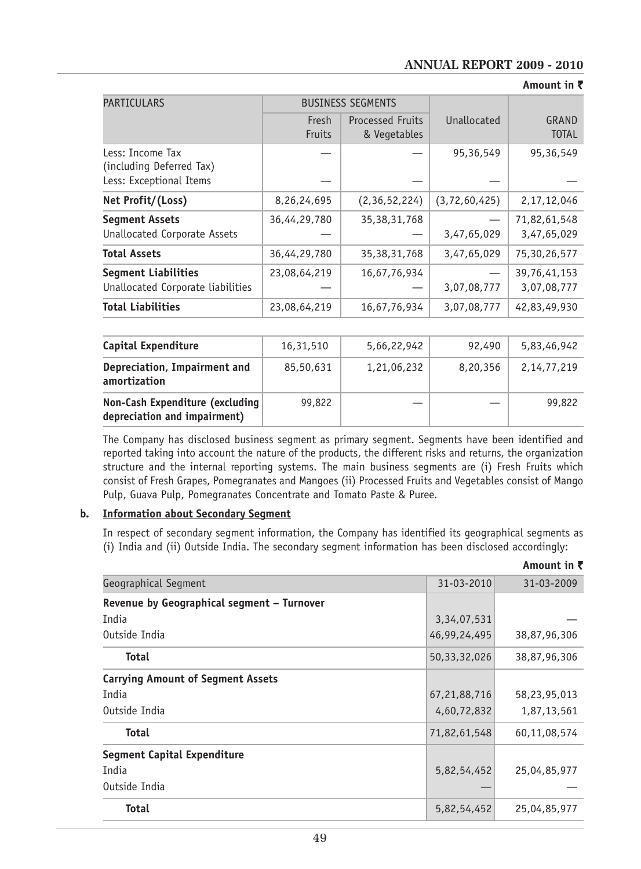#### **ANNUAL REPORT 2009 - 2010**

**Amount in** `

| <b>PARTICULARS</b>                                                      | <b>BUSINESS SEGMENTS</b> |                                         |                  |                             |
|-------------------------------------------------------------------------|--------------------------|-----------------------------------------|------------------|-----------------------------|
|                                                                         | Fresh<br>Fruits          | <b>Processed Fruits</b><br>& Vegetables | Unallocated      | GRAND<br><b>TOTAL</b>       |
| Less: Income Tax<br>(including Deferred Tax)<br>Less: Exceptional Items |                          |                                         | 95,36,549        | 95,36,549                   |
| Net Profit/(Loss)                                                       | 8,26,24,695              | (2,36,52,224)                           | (3, 72, 60, 425) | 2, 17, 12, 046              |
| <b>Segment Assets</b><br>Unallocated Corporate Assets                   | 36,44,29,780             | 35, 38, 31, 768                         | 3,47,65,029      | 71,82,61,548<br>3,47,65,029 |
| <b>Total Assets</b>                                                     | 36,44,29,780             | 35, 38, 31, 768                         | 3,47,65,029      | 75,30,26,577                |
| <b>Seqment Liabilities</b><br>Unallocated Corporate liabilities         | 23,08,64,219             | 16,67,76,934                            | 3,07,08,777      | 39,76,41,153<br>3,07,08,777 |
| <b>Total Liabilities</b>                                                | 23,08,64,219             | 16,67,76,934                            | 3,07,08,777      | 42,83,49,930                |

| Capital Expenditure                                             | 16,31,510 | 5,66,22,942 | 92,490   | 5,83,46,942    |
|-----------------------------------------------------------------|-----------|-------------|----------|----------------|
| Depreciation, Impairment and<br>amortization                    | 85,50,631 | 1,21,06,232 | 8,20,356 | 2, 14, 77, 219 |
| Non-Cash Expenditure (excluding<br>depreciation and impairment) | 99,822    |             |          | 99,822         |

The Company has disclosed business segment as primary segment. Segments have been identified and reported taking into account the nature of the products, the different risks and returns, the organization structure and the internal reporting systems. The main business segments are (i) Fresh Fruits which consist of Fresh Grapes, Pomegranates and Mangoes (ii) Processed Fruits and Vegetables consist of Mango Pulp, Guava Pulp, Pomegranates Concentrate and Tomato Paste & Puree.

#### **b. Information about Secondary Segment**

In respect of secondary segment information, the Company has identified its geographical segments as (i) India and (ii) Outside India. The secondary segment information has been disclosed accordingly:

|                                            |                 | Amount in ₹  |
|--------------------------------------------|-----------------|--------------|
| Geographical Segment                       | 31-03-2010      | 31-03-2009   |
| Revenue by Geographical segment - Turnover |                 |              |
| India                                      | 3, 34, 07, 531  |              |
| Outside India                              | 46,99,24,495    | 38,87,96,306 |
| Total                                      | 50, 33, 32, 026 | 38,87,96,306 |
| <b>Carrying Amount of Segment Assets</b>   |                 |              |
| India                                      | 67,21,88,716    | 58,23,95,013 |
| Outside India                              | 4,60,72,832     | 1,87,13,561  |
| <b>Total</b>                               | 71,82,61,548    | 60,11,08,574 |
| Segment Capital Expenditure                |                 |              |
| India                                      | 5,82,54,452     | 25,04,85,977 |
| Outside India                              |                 |              |
| <b>Total</b>                               | 5,82,54,452     | 25,04,85,977 |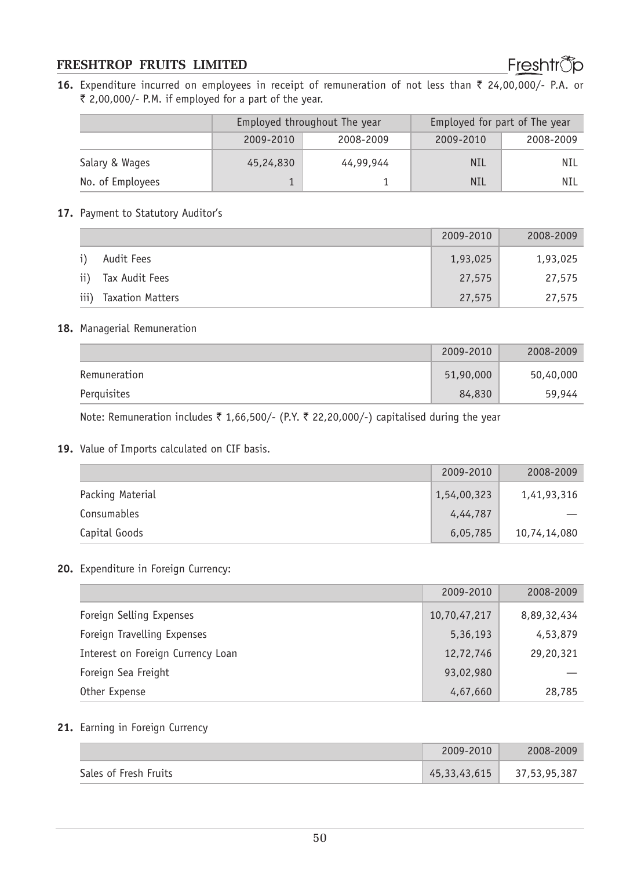**16.** Expenditure incurred on employees in receipt of remuneration of not less than ₹ 24,00,000/- P.A. or  $\bar{\tau}$  2,00,000/- P.M. if employed for a part of the year.

|                  |                        | Employed throughout The year | Employed for part of The year |           |
|------------------|------------------------|------------------------------|-------------------------------|-----------|
|                  | 2009-2010<br>2008-2009 |                              | 2009-2010                     | 2008-2009 |
| Salary & Wages   | 45,24,830              | 44,99,944                    | <b>NIL</b>                    | NIL       |
| No. of Employees |                        |                              | <b>NIL</b>                    | NIL       |

#### 17. Payment to Statutory Auditor's

|      |                  | 2009-2010 | 2008-2009 |
|------|------------------|-----------|-----------|
|      | Audit Fees       | 1,93,025  | 1,93,025  |
| ii)  | Tax Audit Fees   | 27,575    | 27,575    |
| iii) | Taxation Matters | 27,575    | 27,575    |

#### **18.** Managerial Remuneration

|              | 2009-2010 | 2008-2009 |
|--------------|-----------|-----------|
| Remuneration | 51,90,000 | 50,40,000 |
| Perguisites  | 84,830    | 59,944    |

Note: Remuneration includes  $\bar{\tau}$  1,66,500/- (P.Y.  $\bar{\tau}$  22,20,000/-) capitalised during the year

#### **19.** Value of Imports calculated on CIF basis.

|                  | 2009-2010   | 2008-2009    |
|------------------|-------------|--------------|
| Packing Material | 1,54,00,323 | 1,41,93,316  |
| Consumables      | 4,44,787    |              |
| Capital Goods    | 6,05,785    | 10,74,14,080 |

#### **20.** Expenditure in Foreign Currency:

|                                   | 2009-2010    | 2008-2009   |
|-----------------------------------|--------------|-------------|
| Foreign Selling Expenses          | 10,70,47,217 | 8,89,32,434 |
| Foreign Travelling Expenses       | 5,36,193     | 4,53,879    |
| Interest on Foreign Currency Loan | 12,72,746    | 29,20,321   |
| Foreign Sea Freight               | 93,02,980    |             |
| Other Expense                     | 4,67,660     | 28,785      |

#### **21.** Earning in Foreign Currency

|                       | 2009-2010    | 2008-2009    |
|-----------------------|--------------|--------------|
| Sales of Fresh Fruits | 45,33,43,615 | 37,53,95,387 |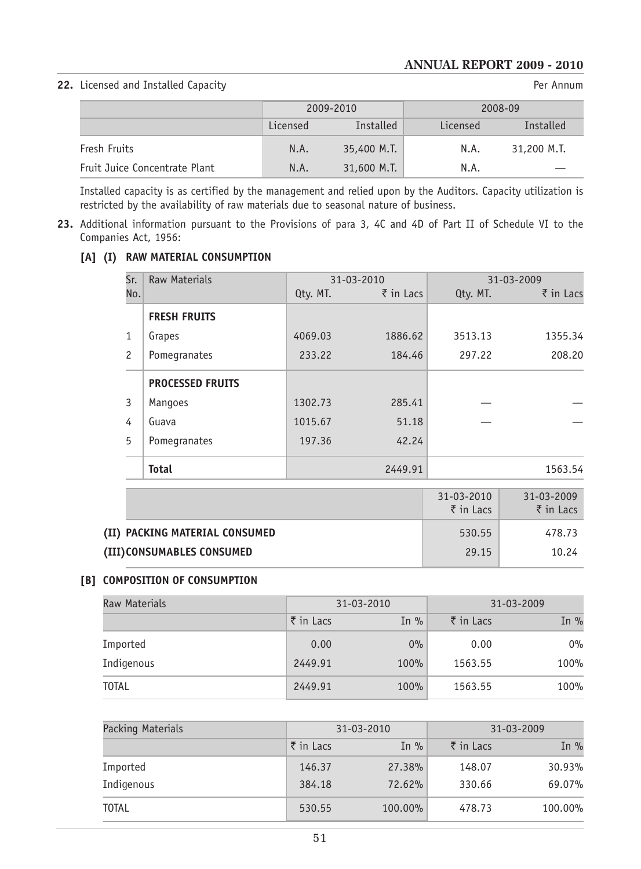#### **22.** Licensed and Installed Capacity **Per Annum** Per Annum

|                               | 2009-2010 |             | 2008-09  |             |
|-------------------------------|-----------|-------------|----------|-------------|
|                               | Licensed  | Installed   | Licensed | Installed   |
| Fresh Fruits                  | N.A.      | 35,400 M.T. | N.A.     | 31,200 M.T. |
| Fruit Juice Concentrate Plant | N.A.      | 31,600 M.T. | N.A.     |             |

Installed capacity is as certified by the management and relied upon by the Auditors. Capacity utilization is restricted by the availability of raw materials due to seasonal nature of business.

**23.** Additional information pursuant to the Provisions of para 3, 4C and 4D of Part II of Schedule VI to the Companies Act, 1956:

#### **[A] (I) RAW MATERIAL CONSUMPTION**

| Sr.            | <b>Raw Materials</b>    |          | 31-03-2010           |          | 31-03-2009 |
|----------------|-------------------------|----------|----------------------|----------|------------|
| No.            |                         | Qty. MT. | $\bar{\tau}$ in Lacs | Qty. MT. | ₹ in Lacs  |
|                | <b>FRESH FRUITS</b>     |          |                      |          |            |
| 1              | Grapes                  | 4069.03  | 1886.62              | 3513.13  | 1355.34    |
| $\overline{c}$ | Pomegranates            | 233.22   | 184.46               | 297.22   | 208.20     |
|                | <b>PROCESSED FRUITS</b> |          |                      |          |            |
| 3              | <b>Mangoes</b>          | 1302.73  | 285.41               |          |            |
| 4              | Guava                   | 1015.67  | 51.18                |          |            |
| 5              | Pomegranates            | 197.36   | 42.24                |          |            |
|                | <b>Total</b>            |          | 2449.91              |          | 1563.54    |

|                                | $31 - 03 - 2010$<br>$\bar{\tau}$ in Lacs | $31 - 03 - 2009$<br>$\bar{\tau}$ in Lacs |
|--------------------------------|------------------------------------------|------------------------------------------|
| (II) PACKING MATERIAL CONSUMED | 530.55                                   | 478.73                                   |
| (III)CONSUMABLES CONSUMED      | 29.15                                    | 10.24                                    |

#### **[B] COMPOSITION OF CONSUMPTION**

| Raw Materials | 31-03-2010           |         | 31-03-2009           |        |
|---------------|----------------------|---------|----------------------|--------|
|               | $\bar{\tau}$ in Lacs | In $\%$ | $\bar{\tau}$ in Lacs | In $%$ |
| Imported      | 0.00                 | 0%      | 0.00                 | $0\%$  |
| Indigenous    | 2449.91              | 100%    | 1563.55              | 100%   |
| <b>TOTAL</b>  | 2449.91              | 100%    | 1563.55              | 100%   |

| Packing Materials | 31-03-2010           |         | 31-03-2009           |         |
|-------------------|----------------------|---------|----------------------|---------|
|                   | $\bar{\tau}$ in Lacs | In $\%$ | $\bar{\tau}$ in Lacs | In $%$  |
| Imported          | 146.37               | 27.38%  | 148.07               | 30.93%  |
| Indigenous        | 384.18               | 72.62%  | 330.66               | 69.07%  |
| <b>TOTAL</b>      | 530.55               | 100.00% | 478.73               | 100.00% |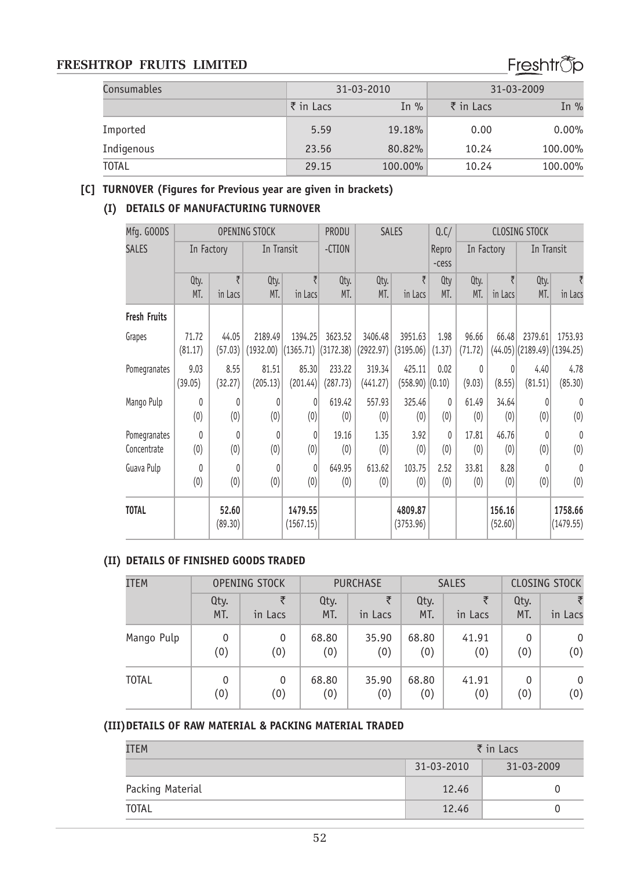# Freshtrop

| Consumables  |                      | 31-03-2010 | 31-03-2009           |          |  |
|--------------|----------------------|------------|----------------------|----------|--|
|              | $\bar{\tau}$ in Lacs | In $\%$    | $\bar{\tau}$ in Lacs | In $%$   |  |
| Imported     | 5.59                 | 19.18%     | 0.00                 | $0.00\%$ |  |
| Indigenous   | 23.56                | 80.82%     | 10.24                | 100.00%  |  |
| <b>TOTAL</b> | 29.15                | 100.00%    | 10.24                | 100.00%  |  |

#### **[C] TURNOVER (Figures for Previous year are given in brackets)**

# **(I) DETAILS OF MANUFACTURING TURNOVER**

| Mfg. GOODS          |              |                  | <b>OPENING STOCK</b> |                      | <b>PRODU</b> |                                     | <b>SALES</b>         | Q.C/     |         |                   | <b>CLOSING STOCK</b> |                               |  |                  |            |  |            |  |
|---------------------|--------------|------------------|----------------------|----------------------|--------------|-------------------------------------|----------------------|----------|---------|-------------------|----------------------|-------------------------------|--|------------------|------------|--|------------|--|
| <b>SALES</b>        | In Factory   |                  | In Transit           |                      | -CTION       |                                     |                      |          |         |                   |                      |                               |  | Repro<br>$-cess$ | In Factory |  | In Transit |  |
|                     | Qty.         | ₹                | Qty.                 | ₹                    | Qty.         | Qty.                                | ₹                    | Qty      | Qty.    | ₹                 | Qty.                 |                               |  |                  |            |  |            |  |
|                     | MT.          | in Lacs          | MT.                  | in Lacs              | MT.          | MT.                                 | in Lacs              | MT.      | MT.     | in Lacs           | MT.                  | in Lacs                       |  |                  |            |  |            |  |
| <b>Fresh Fruits</b> |              |                  |                      |                      |              |                                     |                      |          |         |                   |                      |                               |  |                  |            |  |            |  |
| Grapes              | 71.72        | 44.05            | 2189.49              | 1394.25              | 3623.52      | 3406.48                             | 3951.63              | 1.98     | 96.66   | 66.48             | 2379.61              | 1753.93                       |  |                  |            |  |            |  |
|                     | (81.17)      | (57.03)          | (1932.00)            |                      |              | $(1365.71)$ $(3172.38)$ $(2922.97)$ | (3195.06)            | (1.37)   | (71.72) |                   |                      | $(44.05)$ (2189.49) (1394.25) |  |                  |            |  |            |  |
| Pomegranates        | 9.03         | 8.55             | 81.51                | 85.30                | 233.22       | 319.34                              | 425.11               | 0.02     | 0       | 0                 | 4.40                 | 4.78                          |  |                  |            |  |            |  |
|                     | (39.05)      | (32.27)          | (205.13)             | (201.44)             | (287.73)     | (441.27)                            | $(558.90)$ $(0.10)$  |          | (9.03)  | (8.55)            | (81.51)              | (85.30)                       |  |                  |            |  |            |  |
| Mango Pulp          | $\Omega$     | $\theta$         | 0                    | 0                    | 619.42       | 557.93                              | 325.46               | $\theta$ | 61.49   | 34.64             | 0                    | $\theta$                      |  |                  |            |  |            |  |
|                     | (0)          | (0)              | (0)                  | (0)                  | (0)          | (0)                                 | (0)                  | (0)      | (0)     | (0)               | (0)                  | (0)                           |  |                  |            |  |            |  |
| Pomegranates        | $\mathbf{0}$ | $\mathbf{0}$     | $\theta$             | 0                    | 19.16        | 1.35                                | 3.92                 | $\theta$ | 17.81   | 46.76             | 0                    | $\mathbf{0}$                  |  |                  |            |  |            |  |
| Concentrate         | (0)          | (0)              | (0)                  | (0)                  | (0)          | (0)                                 | (0)                  | (0)      | (0)     | (0)               | (0)                  | (0)                           |  |                  |            |  |            |  |
| Guava Pulp          | 0            | $\mathbf{0}$     | $\theta$             | 0                    | 649.95       | 613.62                              | 103.75               | 2.52     | 33.81   | 8.28              | 0                    | $\mathbf{0}$                  |  |                  |            |  |            |  |
|                     | (0)          | (0)              | (0)                  | (0)                  | (0)          | (0)                                 | (0)                  | (0)      | (0)     | (0)               | (0)                  | (0)                           |  |                  |            |  |            |  |
| <b>TOTAL</b>        |              | 52.60<br>(89.30) |                      | 1479.55<br>(1567.15) |              |                                     | 4809.87<br>(3753.96) |          |         | 156.16<br>(52.60) |                      | 1758.66<br>(1479.55)          |  |                  |            |  |            |  |
|                     |              |                  |                      |                      |              |                                     |                      |          |         |                   |                      |                               |  |                  |            |  |            |  |

# **(II) DETAILS OF FINISHED GOODS TRADED**

| <b>ITEM</b>  | OPENING STOCK |              | <b>PURCHASE</b> |              | <b>SALES</b> |              | <b>CLOSING STOCK</b> |              |
|--------------|---------------|--------------|-----------------|--------------|--------------|--------------|----------------------|--------------|
|              | Qty.<br>MT.   | ₹<br>in Lacs | Qty.<br>MT.     | ₹<br>in Lacs | Qty.<br>MT.  | ₹<br>in Lacs | Qtv.<br>MT.          | in Lacs      |
| Mango Pulp   | 0             | 0            | 68.80           | 35.90        | 68.80        | 41.91        | 0                    | $\mathbf{0}$ |
|              | (0)           | (0)          | (0)             | (0)          | (0)          | (0)          | (0)                  | (0)          |
| <b>TOTAL</b> | 0             | $\mathbf{0}$ | 68.80           | 35.90        | 68.80        | 41.91        | 0                    | $\mathbf{0}$ |
|              | (0)           | (0)          | (0)             | (0)          | (0)          | (0)          | (0)                  | (0)          |

#### **(III)DETAILS OF RAW MATERIAL & PACKING MATERIAL TRADED**

| ITEM             | $\bar{\tau}$ in Lacs |            |  |
|------------------|----------------------|------------|--|
|                  | 31-03-2010           | 31-03-2009 |  |
| Packing Material | 12.46                |            |  |
| <b>TOTAL</b>     | 12.46                |            |  |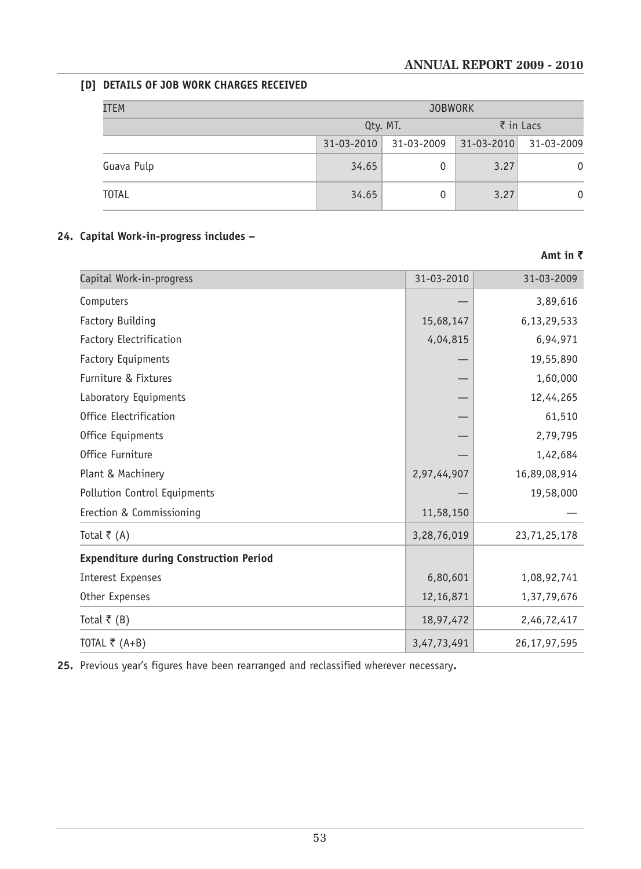**Amt in** `

# **[D] DETAILS OF JOB WORK CHARGES RECEIVED**

| ITEM         |            | <b>JOBWORK</b>                   |            |            |  |  |
|--------------|------------|----------------------------------|------------|------------|--|--|
|              |            | $\bar{\tau}$ in Lacs<br>Qty. MT. |            |            |  |  |
|              | 31-03-2010 | 31-03-2009                       | 31-03-2010 | 31-03-2009 |  |  |
| Guava Pulp   | 34.65      |                                  | 3.27       | 0          |  |  |
| <b>TOTAL</b> | 34.65      | 0                                | 3.27       | 0          |  |  |

# **24. Capital Work-in-progress includes –**

| Capital Work-in-progress                      | 31-03-2010  | 31-03-2009      |
|-----------------------------------------------|-------------|-----------------|
| Computers                                     |             | 3,89,616        |
| Factory Building                              | 15,68,147   | 6,13,29,533     |
| Factory Electrification                       | 4,04,815    | 6,94,971        |
| <b>Factory Equipments</b>                     |             | 19,55,890       |
| Furniture & Fixtures                          |             | 1,60,000        |
| Laboratory Equipments                         |             | 12,44,265       |
| Office Electrification                        |             | 61,510          |
| Office Equipments                             |             | 2,79,795        |
| Office Furniture                              |             | 1,42,684        |
| Plant & Machinery                             | 2,97,44,907 | 16,89,08,914    |
| Pollution Control Equipments                  |             | 19,58,000       |
| Erection & Commissioning                      | 11,58,150   |                 |
| Total ₹ $(A)$                                 | 3,28,76,019 | 23,71,25,178    |
| <b>Expenditure during Construction Period</b> |             |                 |
| Interest Expenses                             | 6,80,601    | 1,08,92,741     |
| Other Expenses                                | 12,16,871   | 1,37,79,676     |
| Total ₹ (B)                                   | 18,97,472   | 2,46,72,417     |
| TOTAL ₹ $(A+B)$                               | 3,47,73,491 | 26, 17, 97, 595 |

**25.** Previous year's figures have been rearranged and reclassified wherever necessary**.**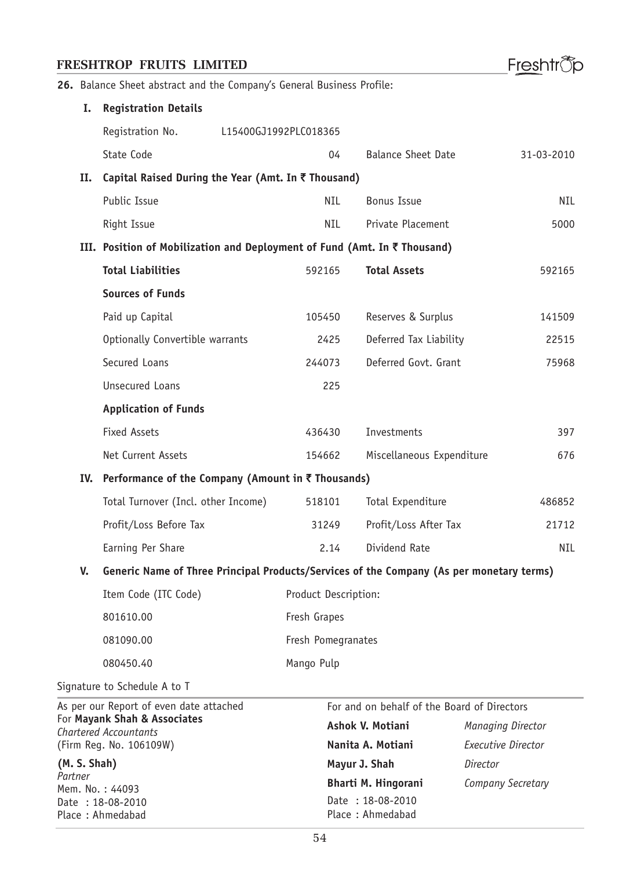Place : Ahmedabad

Freshtrop

**26.** Balance Sheet abstract and the Company's General Business Profile:

| I.                                                           | <b>Registration Details</b>                                                              |  |                       |                                             |                   |                           |
|--------------------------------------------------------------|------------------------------------------------------------------------------------------|--|-----------------------|---------------------------------------------|-------------------|---------------------------|
|                                                              | Registration No.                                                                         |  | L15400GJ1992PLC018365 |                                             |                   |                           |
|                                                              | State Code                                                                               |  | 04                    | <b>Balance Sheet Date</b>                   |                   | 31-03-2010                |
| п.                                                           | Capital Raised During the Year (Amt. In ₹ Thousand)                                      |  |                       |                                             |                   |                           |
|                                                              | Public Issue                                                                             |  | <b>NIL</b>            | <b>Bonus Issue</b>                          |                   | NIL.                      |
|                                                              | Right Issue                                                                              |  | NIL.                  | Private Placement                           |                   | 5000                      |
|                                                              | III. Position of Mobilization and Deployment of Fund (Amt. In ₹ Thousand)                |  |                       |                                             |                   |                           |
|                                                              | <b>Total Liabilities</b>                                                                 |  | 592165                | <b>Total Assets</b>                         |                   | 592165                    |
|                                                              | <b>Sources of Funds</b>                                                                  |  |                       |                                             |                   |                           |
|                                                              | Paid up Capital                                                                          |  | 105450                | Reserves & Surplus                          |                   | 141509                    |
|                                                              | Optionally Convertible warrants                                                          |  | 2425                  | Deferred Tax Liability                      |                   | 22515                     |
|                                                              | Secured Loans                                                                            |  | 244073                | Deferred Govt. Grant                        |                   | 75968                     |
|                                                              | <b>Unsecured Loans</b>                                                                   |  | 225                   |                                             |                   |                           |
|                                                              | <b>Application of Funds</b>                                                              |  |                       |                                             |                   |                           |
|                                                              | <b>Fixed Assets</b>                                                                      |  | 436430                | Investments                                 |                   | 397                       |
|                                                              | Net Current Assets                                                                       |  | 154662                | Miscellaneous Expenditure                   |                   | 676                       |
|                                                              | IV. Performance of the Company (Amount in ₹ Thousands)                                   |  |                       |                                             |                   |                           |
|                                                              | Total Turnover (Incl. other Income)                                                      |  | 518101                | Total Expenditure                           |                   | 486852                    |
|                                                              | Profit/Loss Before Tax                                                                   |  | 31249                 | Profit/Loss After Tax                       |                   | 21712                     |
|                                                              | Earning Per Share                                                                        |  | 2.14                  | Dividend Rate                               |                   | NIL                       |
| V.                                                           | Generic Name of Three Principal Products/Services of the Company (As per monetary terms) |  |                       |                                             |                   |                           |
|                                                              | Item Code (ITC Code)                                                                     |  | Product Description:  |                                             |                   |                           |
|                                                              | 801610.00                                                                                |  | Fresh Grapes          |                                             |                   |                           |
|                                                              | 081090.00                                                                                |  | Fresh Pomegranates    |                                             |                   |                           |
|                                                              | 080450.40                                                                                |  | Mango Pulp            |                                             |                   |                           |
|                                                              | Signature to Schedule A to T                                                             |  |                       |                                             |                   |                           |
|                                                              | As per our Report of even date attached                                                  |  |                       | For and on behalf of the Board of Directors |                   |                           |
| For Mayank Shah & Associates<br><b>Chartered Accountants</b> |                                                                                          |  | Ashok V. Motiani      |                                             | Managing Director |                           |
|                                                              | (Firm Reg. No. 106109W)                                                                  |  |                       | Nanita A. Motiani                           |                   | <b>Executive Director</b> |
| (M. S. Shah)<br>Partner                                      |                                                                                          |  |                       | Mayur J. Shah                               |                   |                           |
|                                                              | Mem. No.: 44093                                                                          |  |                       | <b>Bharti M. Hingorani</b>                  | Company Secretary |                           |
| Date: 18-08-2010                                             |                                                                                          |  |                       | Date: 18-08-2010                            |                   |                           |

Place : Ahmedabad